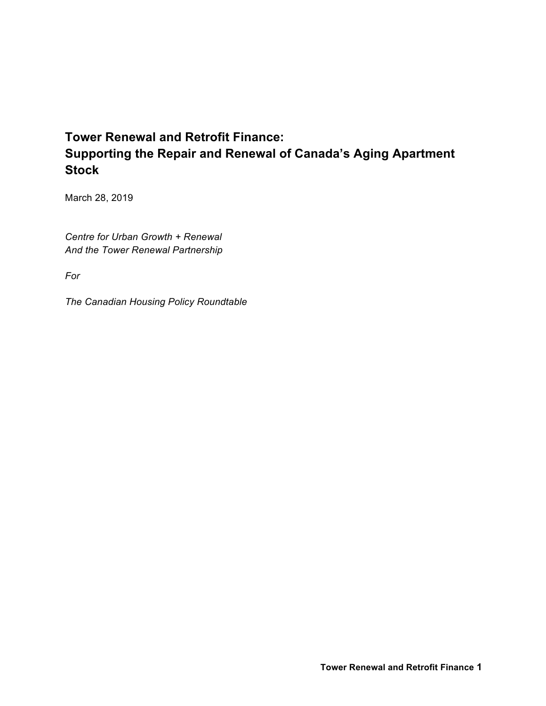# **Tower Renewal and Retrofit Finance: Supporting the Repair and Renewal of Canada's Aging Apartment Stock**

March 28, 2019

*Centre for Urban Growth + Renewal And the Tower Renewal Partnership*

*For*

*The Canadian Housing Policy Roundtable*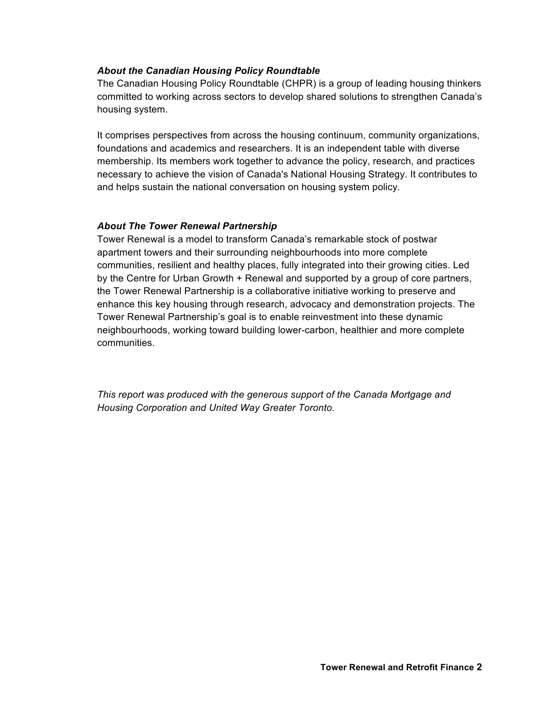#### *About the Canadian Housing Policy Roundtable*

The Canadian Housing Policy Roundtable (CHPR) is a group of leading housing thinkers committed to working across sectors to develop shared solutions to strengthen Canada's housing system.

It comprises perspectives from across the housing continuum, community organizations, foundations and academics and researchers. It is an independent table with diverse membership. Its members work together to advance the policy, research, and practices necessary to achieve the vision of Canada's National Housing Strategy. It contributes to and helps sustain the national conversation on housing system policy.

#### *About The Tower Renewal Partnership*

Tower Renewal is a model to transform Canada's remarkable stock of postwar apartment towers and their surrounding neighbourhoods into more complete communities, resilient and healthy places, fully integrated into their growing cities. Led by the Centre for Urban Growth + Renewal and supported by a group of core partners, the Tower Renewal Partnership is a collaborative initiative working to preserve and enhance this key housing through research, advocacy and demonstration projects. The Tower Renewal Partnership's goal is to enable reinvestment into these dynamic neighbourhoods, working toward building lower-carbon, healthier and more complete communities.

*This report was produced with the generous support of the Canada Mortgage and Housing Corporation and United Way Greater Toronto.*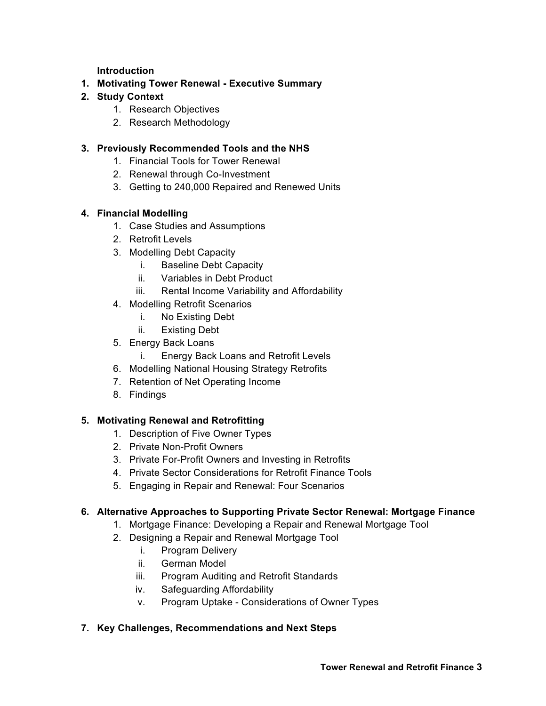**Introduction**

- **1. Motivating Tower Renewal - Executive Summary**
- **2. Study Context**
	- 1. Research Objectives
	- 2. Research Methodology

#### **3. Previously Recommended Tools and the NHS**

- 1. Financial Tools for Tower Renewal
- 2. Renewal through Co-Investment
- 3. Getting to 240,000 Repaired and Renewed Units

## **4. Financial Modelling**

- 1. Case Studies and Assumptions
- 2. Retrofit Levels
- 3. Modelling Debt Capacity
	- i. Baseline Debt Capacity
	- ii. Variables in Debt Product
	- iii. Rental Income Variability and Affordability
- 4. Modelling Retrofit Scenarios
	- i. No Existing Debt
	- ii. Existing Debt
- 5. Energy Back Loans
	- i. Energy Back Loans and Retrofit Levels
- 6. Modelling National Housing Strategy Retrofits
- 7. Retention of Net Operating Income
- 8. Findings

#### **5. Motivating Renewal and Retrofitting**

- 1. Description of Five Owner Types
- 2. Private Non-Profit Owners
- 3. Private For-Profit Owners and Investing in Retrofits
- 4. Private Sector Considerations for Retrofit Finance Tools
- 5. Engaging in Repair and Renewal: Four Scenarios

#### **6. Alternative Approaches to Supporting Private Sector Renewal: Mortgage Finance**

- 1. Mortgage Finance: Developing a Repair and Renewal Mortgage Tool
- 2. Designing a Repair and Renewal Mortgage Tool
	- i. Program Delivery
	- ii. German Model
	- iii. Program Auditing and Retrofit Standards
	- iv. Safeguarding Affordability
	- v. Program Uptake Considerations of Owner Types

#### **7. Key Challenges, Recommendations and Next Steps**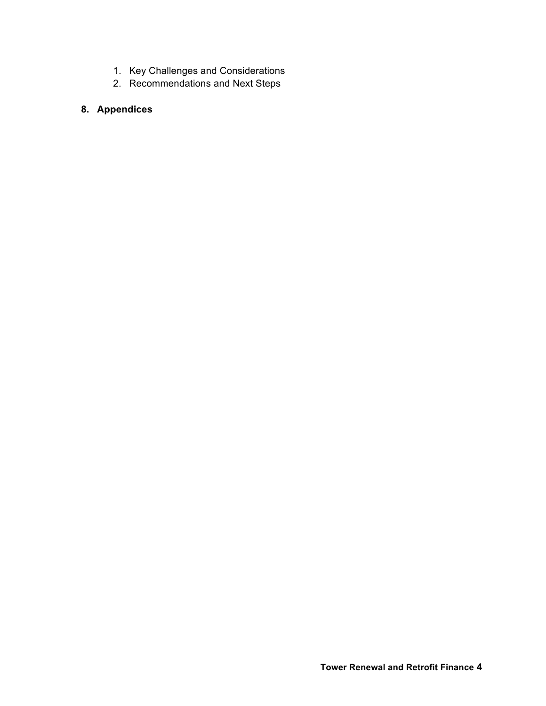- 1. Key Challenges and Considerations
- 2. Recommendations and Next Steps

# **8. Appendices**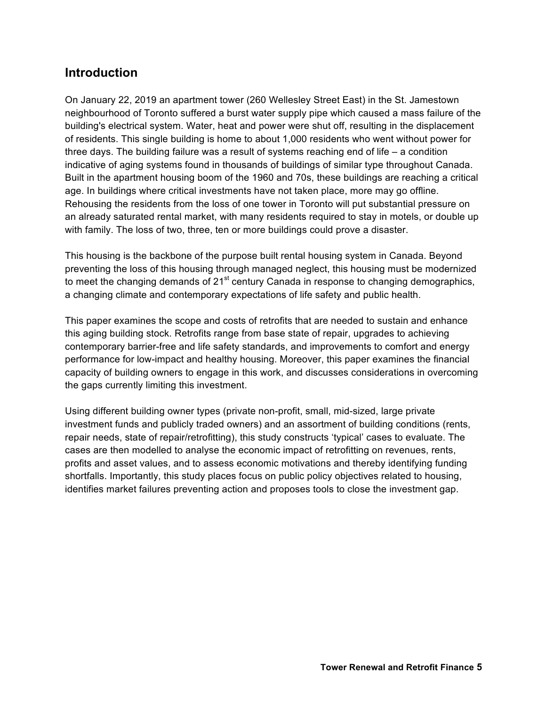# **Introduction**

On January 22, 2019 an apartment tower (260 Wellesley Street East) in the St. Jamestown neighbourhood of Toronto suffered a burst water supply pipe which caused a mass failure of the building's electrical system. Water, heat and power were shut off, resulting in the displacement of residents. This single building is home to about 1,000 residents who went without power for three days. The building failure was a result of systems reaching end of life – a condition indicative of aging systems found in thousands of buildings of similar type throughout Canada. Built in the apartment housing boom of the 1960 and 70s, these buildings are reaching a critical age. In buildings where critical investments have not taken place, more may go offline. Rehousing the residents from the loss of one tower in Toronto will put substantial pressure on an already saturated rental market, with many residents required to stay in motels, or double up with family. The loss of two, three, ten or more buildings could prove a disaster.

This housing is the backbone of the purpose built rental housing system in Canada. Beyond preventing the loss of this housing through managed neglect, this housing must be modernized to meet the changing demands of  $21<sup>st</sup>$  century Canada in response to changing demographics, a changing climate and contemporary expectations of life safety and public health.

This paper examines the scope and costs of retrofits that are needed to sustain and enhance this aging building stock. Retrofits range from base state of repair, upgrades to achieving contemporary barrier-free and life safety standards, and improvements to comfort and energy performance for low-impact and healthy housing. Moreover, this paper examines the financial capacity of building owners to engage in this work, and discusses considerations in overcoming the gaps currently limiting this investment.

Using different building owner types (private non-profit, small, mid-sized, large private investment funds and publicly traded owners) and an assortment of building conditions (rents, repair needs, state of repair/retrofitting), this study constructs 'typical' cases to evaluate. The cases are then modelled to analyse the economic impact of retrofitting on revenues, rents, profits and asset values, and to assess economic motivations and thereby identifying funding shortfalls. Importantly, this study places focus on public policy objectives related to housing, identifies market failures preventing action and proposes tools to close the investment gap.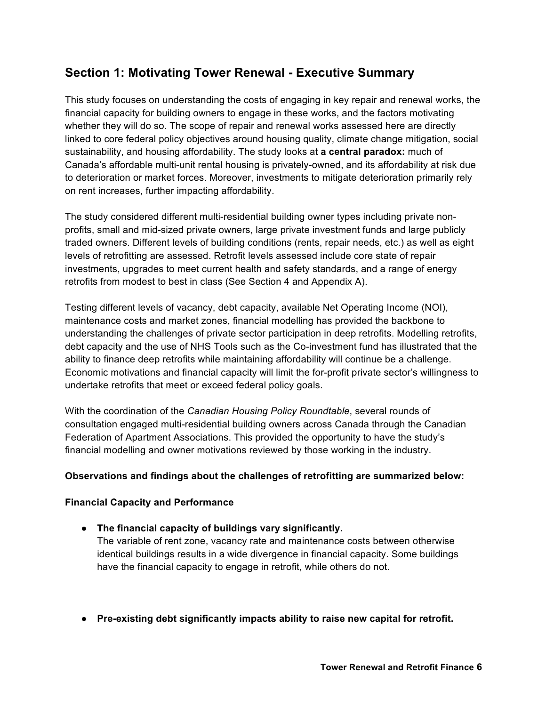# **Section 1: Motivating Tower Renewal - Executive Summary**

This study focuses on understanding the costs of engaging in key repair and renewal works, the financial capacity for building owners to engage in these works, and the factors motivating whether they will do so. The scope of repair and renewal works assessed here are directly linked to core federal policy objectives around housing quality, climate change mitigation, social sustainability, and housing affordability. The study looks at **a central paradox:** much of Canada's affordable multi-unit rental housing is privately-owned, and its affordability at risk due to deterioration or market forces. Moreover, investments to mitigate deterioration primarily rely on rent increases, further impacting affordability.

The study considered different multi-residential building owner types including private nonprofits, small and mid-sized private owners, large private investment funds and large publicly traded owners. Different levels of building conditions (rents, repair needs, etc.) as well as eight levels of retrofitting are assessed. Retrofit levels assessed include core state of repair investments, upgrades to meet current health and safety standards, and a range of energy retrofits from modest to best in class (See Section 4 and Appendix A).

Testing different levels of vacancy, debt capacity, available Net Operating Income (NOI), maintenance costs and market zones, financial modelling has provided the backbone to understanding the challenges of private sector participation in deep retrofits. Modelling retrofits, debt capacity and the use of NHS Tools such as the Co-investment fund has illustrated that the ability to finance deep retrofits while maintaining affordability will continue be a challenge. Economic motivations and financial capacity will limit the for-profit private sector's willingness to undertake retrofits that meet or exceed federal policy goals.

With the coordination of the *Canadian Housing Policy Roundtable*, several rounds of consultation engaged multi-residential building owners across Canada through the Canadian Federation of Apartment Associations. This provided the opportunity to have the study's financial modelling and owner motivations reviewed by those working in the industry.

#### **Observations and findings about the challenges of retrofitting are summarized below:**

#### **Financial Capacity and Performance**

● **The financial capacity of buildings vary significantly.**

The variable of rent zone, vacancy rate and maintenance costs between otherwise identical buildings results in a wide divergence in financial capacity. Some buildings have the financial capacity to engage in retrofit, while others do not.

● **Pre-existing debt significantly impacts ability to raise new capital for retrofit.**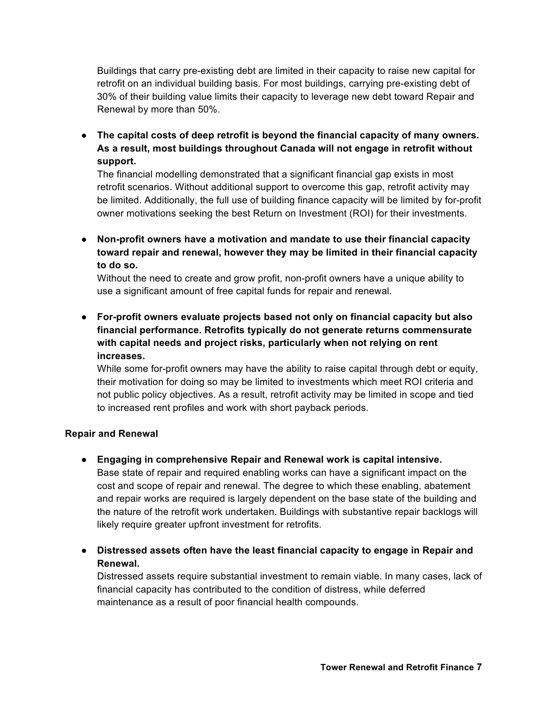Buildings that carry pre-existing debt are limited in their capacity to raise new capital for retrofit on an individual building basis. For most buildings, carrying pre-existing debt of 30% of their building value limits their capacity to leverage new debt toward Repair and Renewal by more than 50%.

● **The capital costs of deep retrofit is beyond the financial capacity of many owners. As a result, most buildings throughout Canada will not engage in retrofit without support.**

The financial modelling demonstrated that a significant financial gap exists in most retrofit scenarios. Without additional support to overcome this gap, retrofit activity may be limited. Additionally, the full use of building finance capacity will be limited by for-profit owner motivations seeking the best Return on Investment (ROI) for their investments.

● **Non-profit owners have a motivation and mandate to use their financial capacity toward repair and renewal, however they may be limited in their financial capacity to do so.**

Without the need to create and grow profit, non-profit owners have a unique ability to use a significant amount of free capital funds for repair and renewal.

● **For-profit owners evaluate projects based not only on financial capacity but also financial performance. Retrofits typically do not generate returns commensurate with capital needs and project risks, particularly when not relying on rent increases.**

While some for-profit owners may have the ability to raise capital through debt or equity, their motivation for doing so may be limited to investments which meet ROI criteria and not public policy objectives. As a result, retrofit activity may be limited in scope and tied to increased rent profiles and work with short payback periods.

#### **Repair and Renewal**

● **Engaging in comprehensive Repair and Renewal work is capital intensive.**

Base state of repair and required enabling works can have a significant impact on the cost and scope of repair and renewal. The degree to which these enabling, abatement and repair works are required is largely dependent on the base state of the building and the nature of the retrofit work undertaken. Buildings with substantive repair backlogs will likely require greater upfront investment for retrofits.

● **Distressed assets often have the least financial capacity to engage in Repair and Renewal.** 

Distressed assets require substantial investment to remain viable. In many cases, lack of financial capacity has contributed to the condition of distress, while deferred maintenance as a result of poor financial health compounds.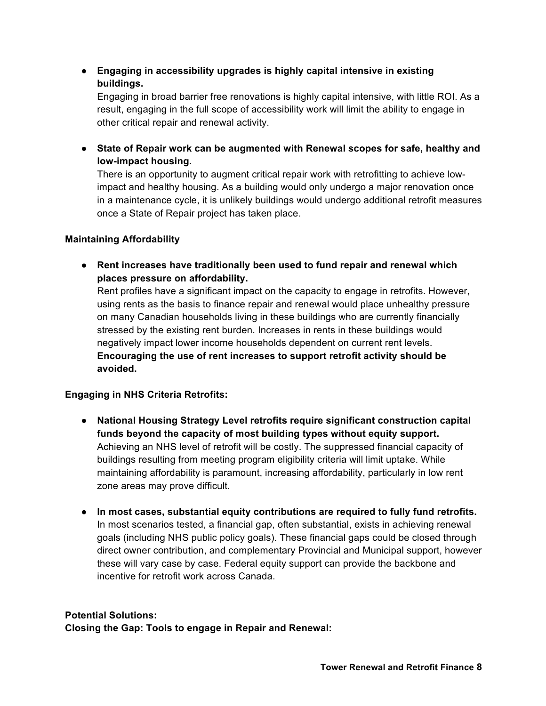● **Engaging in accessibility upgrades is highly capital intensive in existing buildings.**

Engaging in broad barrier free renovations is highly capital intensive, with little ROI. As a result, engaging in the full scope of accessibility work will limit the ability to engage in other critical repair and renewal activity.

● **State of Repair work can be augmented with Renewal scopes for safe, healthy and low-impact housing.**

There is an opportunity to augment critical repair work with retrofitting to achieve lowimpact and healthy housing. As a building would only undergo a major renovation once in a maintenance cycle, it is unlikely buildings would undergo additional retrofit measures once a State of Repair project has taken place.

## **Maintaining Affordability**

● **Rent increases have traditionally been used to fund repair and renewal which places pressure on affordability.** 

Rent profiles have a significant impact on the capacity to engage in retrofits. However, using rents as the basis to finance repair and renewal would place unhealthy pressure on many Canadian households living in these buildings who are currently financially stressed by the existing rent burden. Increases in rents in these buildings would negatively impact lower income households dependent on current rent levels. **Encouraging the use of rent increases to support retrofit activity should be avoided.**

# **Engaging in NHS Criteria Retrofits:**

- **National Housing Strategy Level retrofits require significant construction capital funds beyond the capacity of most building types without equity support.** Achieving an NHS level of retrofit will be costly. The suppressed financial capacity of buildings resulting from meeting program eligibility criteria will limit uptake. While maintaining affordability is paramount, increasing affordability, particularly in low rent zone areas may prove difficult.
- **In most cases, substantial equity contributions are required to fully fund retrofits.** In most scenarios tested, a financial gap, often substantial, exists in achieving renewal goals (including NHS public policy goals). These financial gaps could be closed through direct owner contribution, and complementary Provincial and Municipal support, however these will vary case by case. Federal equity support can provide the backbone and incentive for retrofit work across Canada.

#### **Potential Solutions:**

**Closing the Gap: Tools to engage in Repair and Renewal:**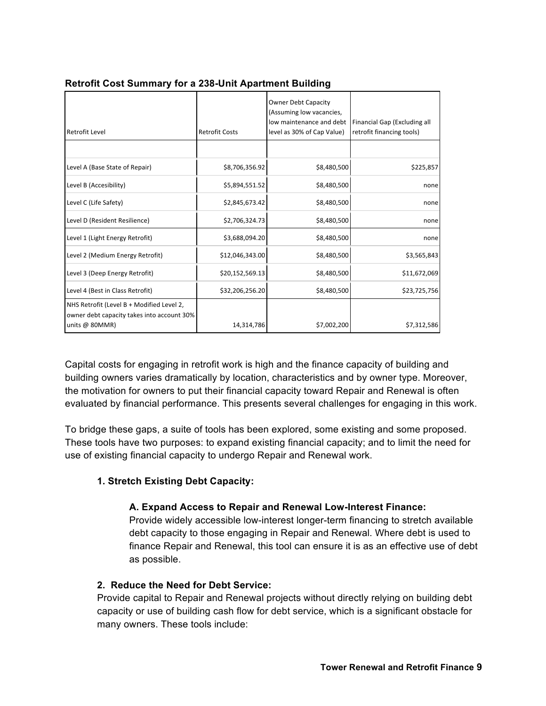| Retrofit Level                                                                                               | <b>Retrofit Costs</b> | <b>Owner Debt Capacity</b><br>(Assuming low vacancies,<br>low maintenance and debt<br>level as 30% of Cap Value) | Financial Gap (Excluding all<br>retrofit financing tools) |
|--------------------------------------------------------------------------------------------------------------|-----------------------|------------------------------------------------------------------------------------------------------------------|-----------------------------------------------------------|
|                                                                                                              |                       |                                                                                                                  |                                                           |
| Level A (Base State of Repair)                                                                               | \$8,706,356.92        | \$8,480,500                                                                                                      | \$225,857                                                 |
| Level B (Accesibility)                                                                                       | \$5,894,551.52        | \$8,480,500                                                                                                      | none                                                      |
| Level C (Life Safety)                                                                                        | \$2,845,673.42        | \$8,480,500                                                                                                      | none                                                      |
| Level D (Resident Resilience)                                                                                | \$2,706,324.73        | \$8,480,500                                                                                                      | none                                                      |
| Level 1 (Light Energy Retrofit)                                                                              | \$3,688,094.20        | \$8,480,500                                                                                                      | none                                                      |
| Level 2 (Medium Energy Retrofit)                                                                             | \$12,046,343.00       | \$8,480,500                                                                                                      | \$3,565,843                                               |
| Level 3 (Deep Energy Retrofit)                                                                               | \$20,152,569.13       | \$8,480,500                                                                                                      | \$11,672,069                                              |
| Level 4 (Best in Class Retrofit)                                                                             | \$32,206,256.20       | \$8,480,500                                                                                                      | \$23,725,756                                              |
| NHS Retrofit (Level B + Modified Level 2,<br>owner debt capacity takes into account 30%<br>units @ $80MMR$ ) | 14,314,786            | \$7,002,200                                                                                                      | \$7,312,586                                               |

## **Retrofit Cost Summary for a 238-Unit Apartment Building**

Capital costs for engaging in retrofit work is high and the finance capacity of building and building owners varies dramatically by location, characteristics and by owner type. Moreover, the motivation for owners to put their financial capacity toward Repair and Renewal is often evaluated by financial performance. This presents several challenges for engaging in this work.

To bridge these gaps, a suite of tools has been explored, some existing and some proposed. These tools have two purposes: to expand existing financial capacity; and to limit the need for use of existing financial capacity to undergo Repair and Renewal work.

# **1. Stretch Existing Debt Capacity:**

# **A. Expand Access to Repair and Renewal Low-Interest Finance:**

Provide widely accessible low-interest longer-term financing to stretch available debt capacity to those engaging in Repair and Renewal. Where debt is used to finance Repair and Renewal, this tool can ensure it is as an effective use of debt as possible.

# **2. Reduce the Need for Debt Service:**

Provide capital to Repair and Renewal projects without directly relying on building debt capacity or use of building cash flow for debt service, which is a significant obstacle for many owners. These tools include: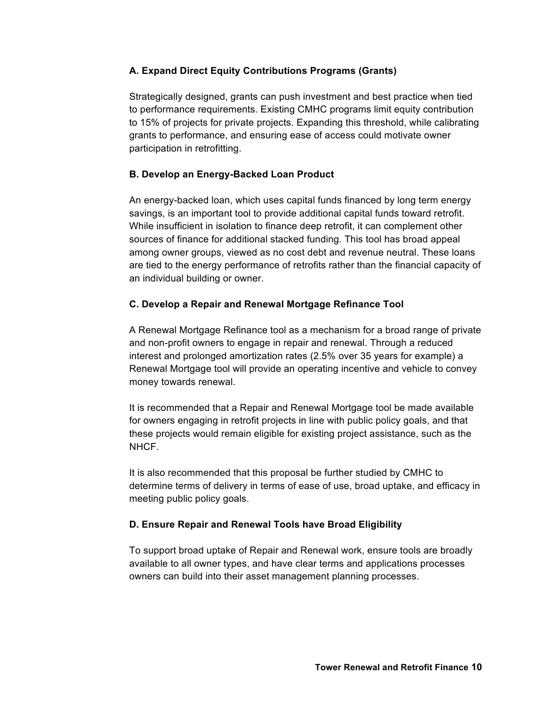## **A. Expand Direct Equity Contributions Programs (Grants)**

Strategically designed, grants can push investment and best practice when tied to performance requirements. Existing CMHC programs limit equity contribution to 15% of projects for private projects. Expanding this threshold, while calibrating grants to performance, and ensuring ease of access could motivate owner participation in retrofitting.

# **B. Develop an Energy-Backed Loan Product**

An energy-backed loan, which uses capital funds financed by long term energy savings, is an important tool to provide additional capital funds toward retrofit. While insufficient in isolation to finance deep retrofit, it can complement other sources of finance for additional stacked funding. This tool has broad appeal among owner groups, viewed as no cost debt and revenue neutral. These loans are tied to the energy performance of retrofits rather than the financial capacity of an individual building or owner.

# **C. Develop a Repair and Renewal Mortgage Refinance Tool**

A Renewal Mortgage Refinance tool as a mechanism for a broad range of private and non-profit owners to engage in repair and renewal. Through a reduced interest and prolonged amortization rates (2.5% over 35 years for example) a Renewal Mortgage tool will provide an operating incentive and vehicle to convey money towards renewal.

It is recommended that a Repair and Renewal Mortgage tool be made available for owners engaging in retrofit projects in line with public policy goals, and that these projects would remain eligible for existing project assistance, such as the NHCF.

It is also recommended that this proposal be further studied by CMHC to determine terms of delivery in terms of ease of use, broad uptake, and efficacy in meeting public policy goals.

# **D. Ensure Repair and Renewal Tools have Broad Eligibility**

To support broad uptake of Repair and Renewal work, ensure tools are broadly available to all owner types, and have clear terms and applications processes owners can build into their asset management planning processes.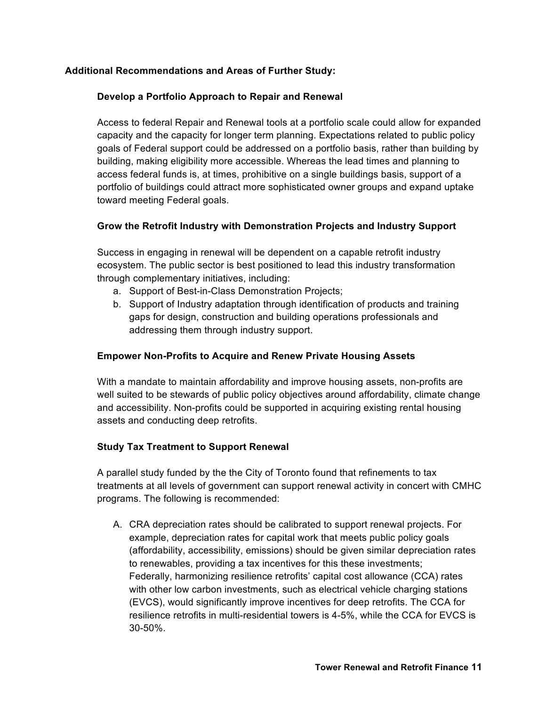#### **Additional Recommendations and Areas of Further Study:**

#### **Develop a Portfolio Approach to Repair and Renewal**

Access to federal Repair and Renewal tools at a portfolio scale could allow for expanded capacity and the capacity for longer term planning. Expectations related to public policy goals of Federal support could be addressed on a portfolio basis, rather than building by building, making eligibility more accessible. Whereas the lead times and planning to access federal funds is, at times, prohibitive on a single buildings basis, support of a portfolio of buildings could attract more sophisticated owner groups and expand uptake toward meeting Federal goals.

#### **Grow the Retrofit Industry with Demonstration Projects and Industry Support**

Success in engaging in renewal will be dependent on a capable retrofit industry ecosystem. The public sector is best positioned to lead this industry transformation through complementary initiatives, including:

- a. Support of Best-in-Class Demonstration Projects;
- b. Support of Industry adaptation through identification of products and training gaps for design, construction and building operations professionals and addressing them through industry support.

## **Empower Non-Profits to Acquire and Renew Private Housing Assets**

With a mandate to maintain affordability and improve housing assets, non-profits are well suited to be stewards of public policy objectives around affordability, climate change and accessibility. Non-profits could be supported in acquiring existing rental housing assets and conducting deep retrofits.

#### **Study Tax Treatment to Support Renewal**

A parallel study funded by the the City of Toronto found that refinements to tax treatments at all levels of government can support renewal activity in concert with CMHC programs. The following is recommended:

A. CRA depreciation rates should be calibrated to support renewal projects. For example, depreciation rates for capital work that meets public policy goals (affordability, accessibility, emissions) should be given similar depreciation rates to renewables, providing a tax incentives for this these investments; Federally, harmonizing resilience retrofits' capital cost allowance (CCA) rates with other low carbon investments, such as electrical vehicle charging stations (EVCS), would significantly improve incentives for deep retrofits. The CCA for resilience retrofits in multi-residential towers is 4-5%, while the CCA for EVCS is 30-50%.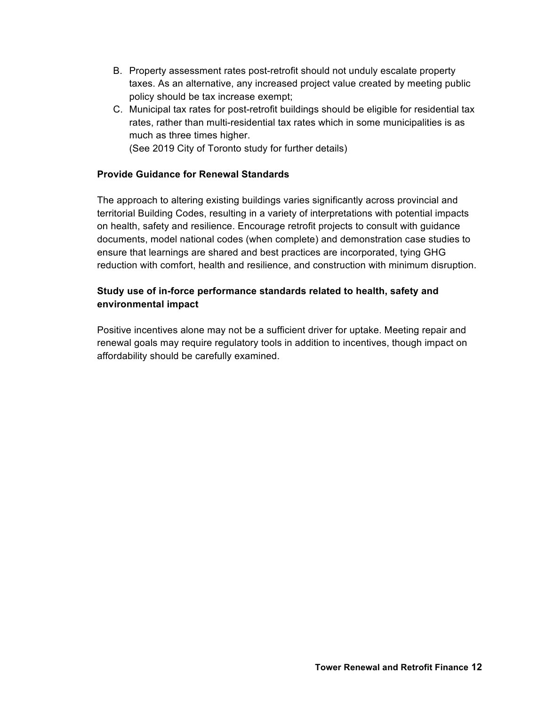- B. Property assessment rates post-retrofit should not unduly escalate property taxes. As an alternative, any increased project value created by meeting public policy should be tax increase exempt;
- C. Municipal tax rates for post-retrofit buildings should be eligible for residential tax rates, rather than multi-residential tax rates which in some municipalities is as much as three times higher. (See 2019 City of Toronto study for further details)

## **Provide Guidance for Renewal Standards**

The approach to altering existing buildings varies significantly across provincial and territorial Building Codes, resulting in a variety of interpretations with potential impacts on health, safety and resilience. Encourage retrofit projects to consult with guidance documents, model national codes (when complete) and demonstration case studies to ensure that learnings are shared and best practices are incorporated, tying GHG reduction with comfort, health and resilience, and construction with minimum disruption.

# **Study use of in-force performance standards related to health, safety and environmental impact**

Positive incentives alone may not be a sufficient driver for uptake. Meeting repair and renewal goals may require regulatory tools in addition to incentives, though impact on affordability should be carefully examined.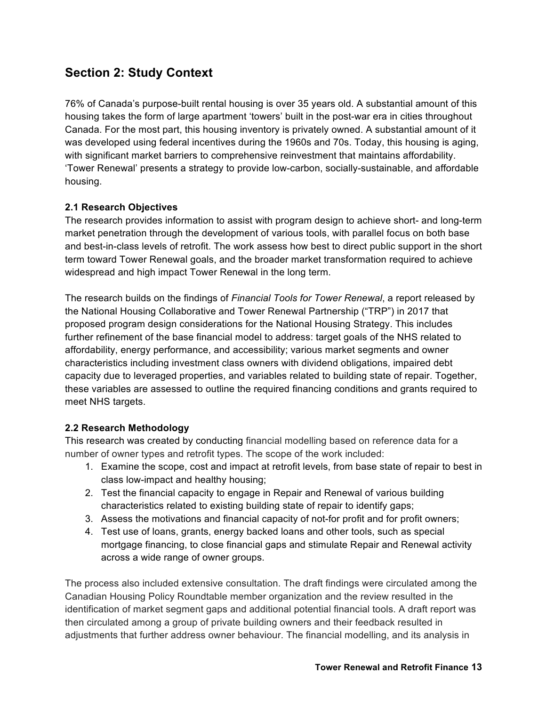# **Section 2: Study Context**

76% of Canada's purpose-built rental housing is over 35 years old. A substantial amount of this housing takes the form of large apartment 'towers' built in the post-war era in cities throughout Canada. For the most part, this housing inventory is privately owned. A substantial amount of it was developed using federal incentives during the 1960s and 70s. Today, this housing is aging, with significant market barriers to comprehensive reinvestment that maintains affordability. 'Tower Renewal' presents a strategy to provide low-carbon, socially-sustainable, and affordable housing.

# **2.1 Research Objectives**

The research provides information to assist with program design to achieve short- and long-term market penetration through the development of various tools, with parallel focus on both base and best-in-class levels of retrofit. The work assess how best to direct public support in the short term toward Tower Renewal goals, and the broader market transformation required to achieve widespread and high impact Tower Renewal in the long term.

The research builds on the findings of *Financial Tools for Tower Renewal*, a report released by the National Housing Collaborative and Tower Renewal Partnership ("TRP") in 2017 that proposed program design considerations for the National Housing Strategy. This includes further refinement of the base financial model to address: target goals of the NHS related to affordability, energy performance, and accessibility; various market segments and owner characteristics including investment class owners with dividend obligations, impaired debt capacity due to leveraged properties, and variables related to building state of repair. Together, these variables are assessed to outline the required financing conditions and grants required to meet NHS targets.

# **2.2 Research Methodology**

This research was created by conducting financial modelling based on reference data for a number of owner types and retrofit types. The scope of the work included:

- 1. Examine the scope, cost and impact at retrofit levels, from base state of repair to best in class low-impact and healthy housing;
- 2. Test the financial capacity to engage in Repair and Renewal of various building characteristics related to existing building state of repair to identify gaps;
- 3. Assess the motivations and financial capacity of not-for profit and for profit owners;
- 4. Test use of loans, grants, energy backed loans and other tools, such as special mortgage financing, to close financial gaps and stimulate Repair and Renewal activity across a wide range of owner groups.

The process also included extensive consultation. The draft findings were circulated among the Canadian Housing Policy Roundtable member organization and the review resulted in the identification of market segment gaps and additional potential financial tools. A draft report was then circulated among a group of private building owners and their feedback resulted in adjustments that further address owner behaviour. The financial modelling, and its analysis in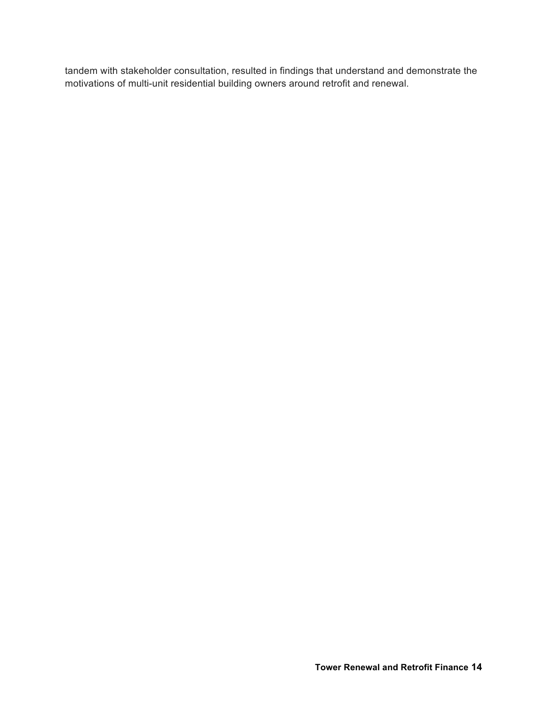tandem with stakeholder consultation, resulted in findings that understand and demonstrate the motivations of multi-unit residential building owners around retrofit and renewal.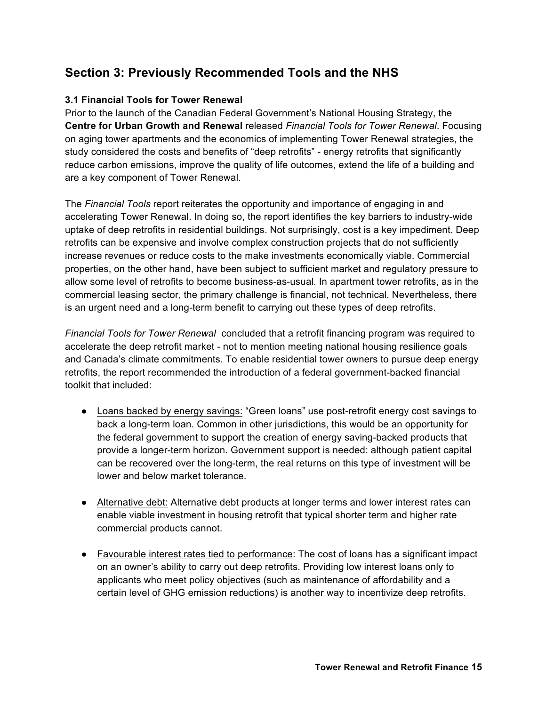# **Section 3: Previously Recommended Tools and the NHS**

# **3.1 Financial Tools for Tower Renewal**

Prior to the launch of the Canadian Federal Government's National Housing Strategy, the **Centre for Urban Growth and Renewal** released *Financial Tools for Tower Renewal*. Focusing on aging tower apartments and the economics of implementing Tower Renewal strategies, the study considered the costs and benefits of "deep retrofits" - energy retrofits that significantly reduce carbon emissions, improve the quality of life outcomes, extend the life of a building and are a key component of Tower Renewal.

The *Financial Tools* report reiterates the opportunity and importance of engaging in and accelerating Tower Renewal. In doing so, the report identifies the key barriers to industry-wide uptake of deep retrofits in residential buildings. Not surprisingly, cost is a key impediment. Deep retrofits can be expensive and involve complex construction projects that do not sufficiently increase revenues or reduce costs to the make investments economically viable. Commercial properties, on the other hand, have been subject to sufficient market and regulatory pressure to allow some level of retrofits to become business-as-usual. In apartment tower retrofits, as in the commercial leasing sector, the primary challenge is financial, not technical. Nevertheless, there is an urgent need and a long-term benefit to carrying out these types of deep retrofits.

*Financial Tools for Tower Renewal* concluded that a retrofit financing program was required to accelerate the deep retrofit market - not to mention meeting national housing resilience goals and Canada's climate commitments. To enable residential tower owners to pursue deep energy retrofits, the report recommended the introduction of a federal government-backed financial toolkit that included:

- Loans backed by energy savings: "Green loans" use post-retrofit energy cost savings to back a long-term loan. Common in other jurisdictions, this would be an opportunity for the federal government to support the creation of energy saving-backed products that provide a longer-term horizon. Government support is needed: although patient capital can be recovered over the long-term, the real returns on this type of investment will be lower and below market tolerance.
- Alternative debt: Alternative debt products at longer terms and lower interest rates can enable viable investment in housing retrofit that typical shorter term and higher rate commercial products cannot.
- Favourable interest rates tied to performance: The cost of loans has a significant impact on an owner's ability to carry out deep retrofits. Providing low interest loans only to applicants who meet policy objectives (such as maintenance of affordability and a certain level of GHG emission reductions) is another way to incentivize deep retrofits.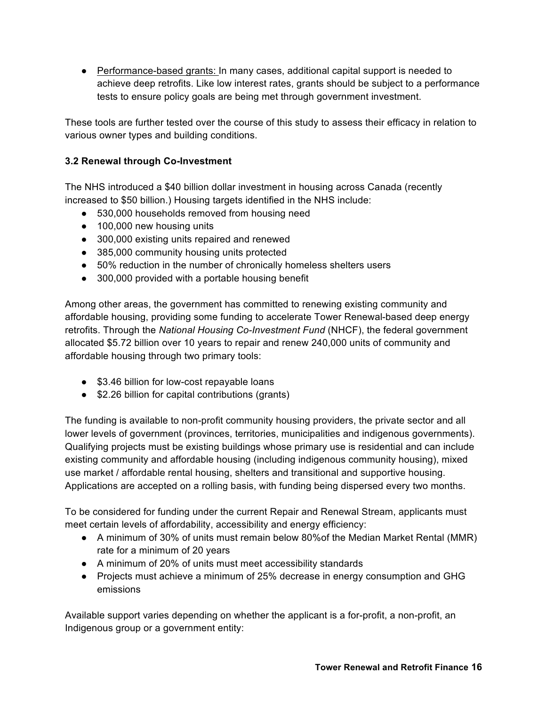● Performance-based grants: In many cases, additional capital support is needed to achieve deep retrofits. Like low interest rates, grants should be subject to a performance tests to ensure policy goals are being met through government investment.

These tools are further tested over the course of this study to assess their efficacy in relation to various owner types and building conditions.

# **3.2 Renewal through Co-Investment**

The NHS introduced a \$40 billion dollar investment in housing across Canada (recently increased to \$50 billion.) Housing targets identified in the NHS include:

- 530,000 households removed from housing need
- 100,000 new housing units
- 300,000 existing units repaired and renewed
- 385,000 community housing units protected
- 50% reduction in the number of chronically homeless shelters users
- 300,000 provided with a portable housing benefit

Among other areas, the government has committed to renewing existing community and affordable housing, providing some funding to accelerate Tower Renewal-based deep energy retrofits. Through the *National Housing Co-Investment Fund* (NHCF), the federal government allocated \$5.72 billion over 10 years to repair and renew 240,000 units of community and affordable housing through two primary tools:

- \$3.46 billion for low-cost repayable loans
- \$2.26 billion for capital contributions (grants)

The funding is available to non-profit community housing providers, the private sector and all lower levels of government (provinces, territories, municipalities and indigenous governments). Qualifying projects must be existing buildings whose primary use is residential and can include existing community and affordable housing (including indigenous community housing), mixed use market / affordable rental housing, shelters and transitional and supportive housing. Applications are accepted on a rolling basis, with funding being dispersed every two months.

To be considered for funding under the current Repair and Renewal Stream, applicants must meet certain levels of affordability, accessibility and energy efficiency:

- A minimum of 30% of units must remain below 80%of the Median Market Rental (MMR) rate for a minimum of 20 years
- A minimum of 20% of units must meet accessibility standards
- Projects must achieve a minimum of 25% decrease in energy consumption and GHG emissions

Available support varies depending on whether the applicant is a for-profit, a non-profit, an Indigenous group or a government entity: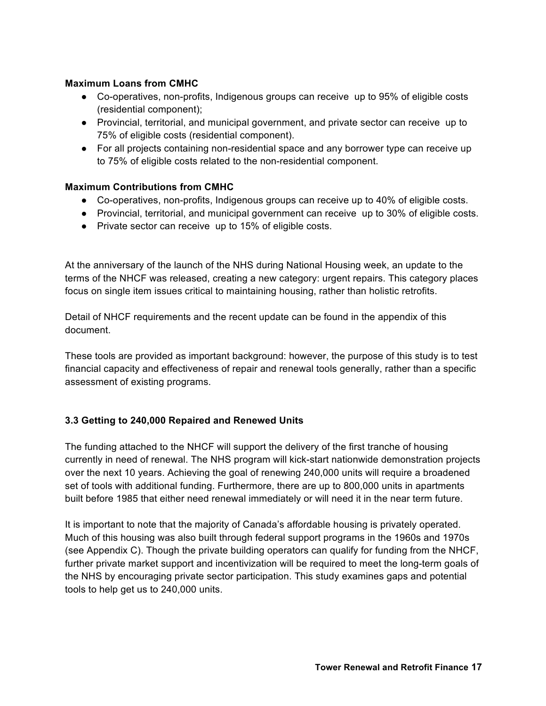## **Maximum Loans from CMHC**

- Co-operatives, non-profits, Indigenous groups can receive up to 95% of eligible costs (residential component);
- Provincial, territorial, and municipal government, and private sector can receive up to 75% of eligible costs (residential component).
- For all projects containing non-residential space and any borrower type can receive up to 75% of eligible costs related to the non-residential component.

## **Maximum Contributions from CMHC**

- Co-operatives, non-profits, Indigenous groups can receive up to 40% of eligible costs.
- Provincial, territorial, and municipal government can receive up to 30% of eligible costs.
- Private sector can receive up to 15% of eligible costs.

At the anniversary of the launch of the NHS during National Housing week, an update to the terms of the NHCF was released, creating a new category: urgent repairs. This category places focus on single item issues critical to maintaining housing, rather than holistic retrofits.

Detail of NHCF requirements and the recent update can be found in the appendix of this document.

These tools are provided as important background: however, the purpose of this study is to test financial capacity and effectiveness of repair and renewal tools generally, rather than a specific assessment of existing programs.

# **3.3 Getting to 240,000 Repaired and Renewed Units**

The funding attached to the NHCF will support the delivery of the first tranche of housing currently in need of renewal. The NHS program will kick-start nationwide demonstration projects over the next 10 years. Achieving the goal of renewing 240,000 units will require a broadened set of tools with additional funding. Furthermore, there are up to 800,000 units in apartments built before 1985 that either need renewal immediately or will need it in the near term future.

It is important to note that the majority of Canada's affordable housing is privately operated. Much of this housing was also built through federal support programs in the 1960s and 1970s (see Appendix C). Though the private building operators can qualify for funding from the NHCF, further private market support and incentivization will be required to meet the long-term goals of the NHS by encouraging private sector participation. This study examines gaps and potential tools to help get us to 240,000 units.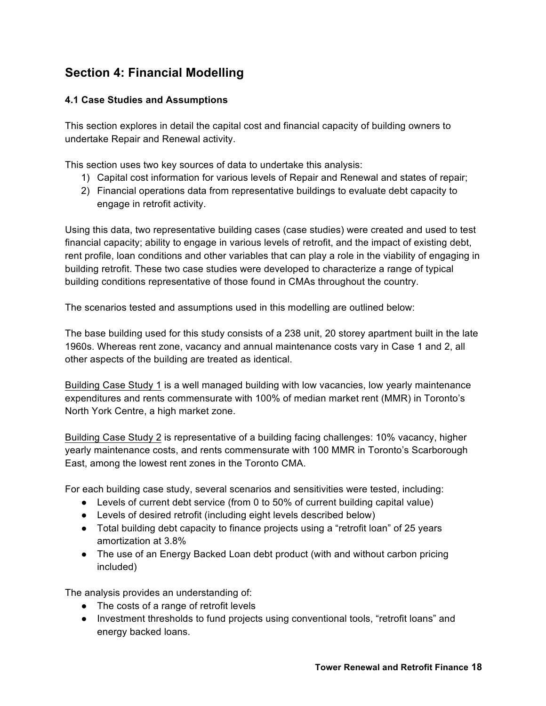# **Section 4: Financial Modelling**

# **4.1 Case Studies and Assumptions**

This section explores in detail the capital cost and financial capacity of building owners to undertake Repair and Renewal activity.

This section uses two key sources of data to undertake this analysis:

- 1) Capital cost information for various levels of Repair and Renewal and states of repair;
- 2) Financial operations data from representative buildings to evaluate debt capacity to engage in retrofit activity.

Using this data, two representative building cases (case studies) were created and used to test financial capacity; ability to engage in various levels of retrofit, and the impact of existing debt, rent profile, loan conditions and other variables that can play a role in the viability of engaging in building retrofit. These two case studies were developed to characterize a range of typical building conditions representative of those found in CMAs throughout the country.

The scenarios tested and assumptions used in this modelling are outlined below:

The base building used for this study consists of a 238 unit, 20 storey apartment built in the late 1960s. Whereas rent zone, vacancy and annual maintenance costs vary in Case 1 and 2, all other aspects of the building are treated as identical.

Building Case Study 1 is a well managed building with low vacancies, low yearly maintenance expenditures and rents commensurate with 100% of median market rent (MMR) in Toronto's North York Centre, a high market zone.

Building Case Study 2 is representative of a building facing challenges: 10% vacancy, higher yearly maintenance costs, and rents commensurate with 100 MMR in Toronto's Scarborough East, among the lowest rent zones in the Toronto CMA.

For each building case study, several scenarios and sensitivities were tested, including:

- Levels of current debt service (from 0 to 50% of current building capital value)
- Levels of desired retrofit (including eight levels described below)
- Total building debt capacity to finance projects using a "retrofit loan" of 25 years amortization at 3.8%
- The use of an Energy Backed Loan debt product (with and without carbon pricing included)

The analysis provides an understanding of:

- The costs of a range of retrofit levels
- Investment thresholds to fund projects using conventional tools, "retrofit loans" and energy backed loans.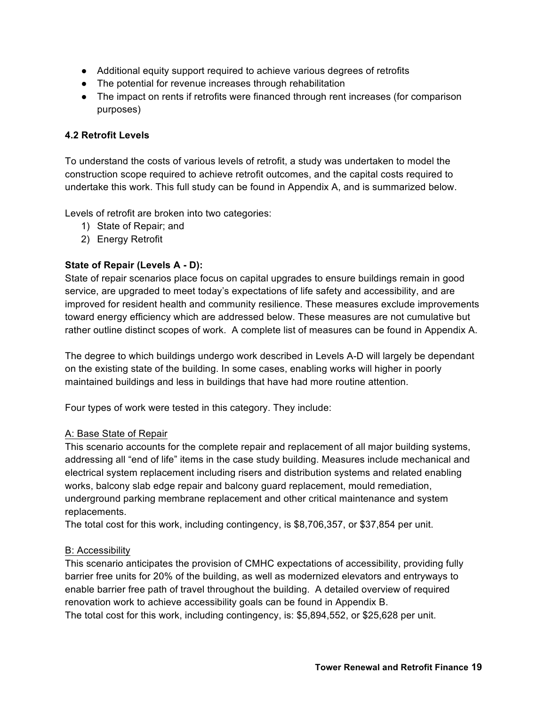- Additional equity support required to achieve various degrees of retrofits
- The potential for revenue increases through rehabilitation
- The impact on rents if retrofits were financed through rent increases (for comparison purposes)

## **4.2 Retrofit Levels**

To understand the costs of various levels of retrofit, a study was undertaken to model the construction scope required to achieve retrofit outcomes, and the capital costs required to undertake this work. This full study can be found in Appendix A, and is summarized below.

Levels of retrofit are broken into two categories:

- 1) State of Repair; and
- 2) Energy Retrofit

#### **State of Repair (Levels A - D):**

State of repair scenarios place focus on capital upgrades to ensure buildings remain in good service, are upgraded to meet today's expectations of life safety and accessibility, and are improved for resident health and community resilience. These measures exclude improvements toward energy efficiency which are addressed below. These measures are not cumulative but rather outline distinct scopes of work. A complete list of measures can be found in Appendix A.

The degree to which buildings undergo work described in Levels A-D will largely be dependant on the existing state of the building. In some cases, enabling works will higher in poorly maintained buildings and less in buildings that have had more routine attention.

Four types of work were tested in this category. They include:

#### A: Base State of Repair

This scenario accounts for the complete repair and replacement of all major building systems, addressing all "end of life" items in the case study building. Measures include mechanical and electrical system replacement including risers and distribution systems and related enabling works, balcony slab edge repair and balcony guard replacement, mould remediation, underground parking membrane replacement and other critical maintenance and system replacements.

The total cost for this work, including contingency, is \$8,706,357, or \$37,854 per unit.

#### B: Accessibility

This scenario anticipates the provision of CMHC expectations of accessibility, providing fully barrier free units for 20% of the building, as well as modernized elevators and entryways to enable barrier free path of travel throughout the building. A detailed overview of required renovation work to achieve accessibility goals can be found in Appendix B. The total cost for this work, including contingency, is: \$5,894,552, or \$25,628 per unit.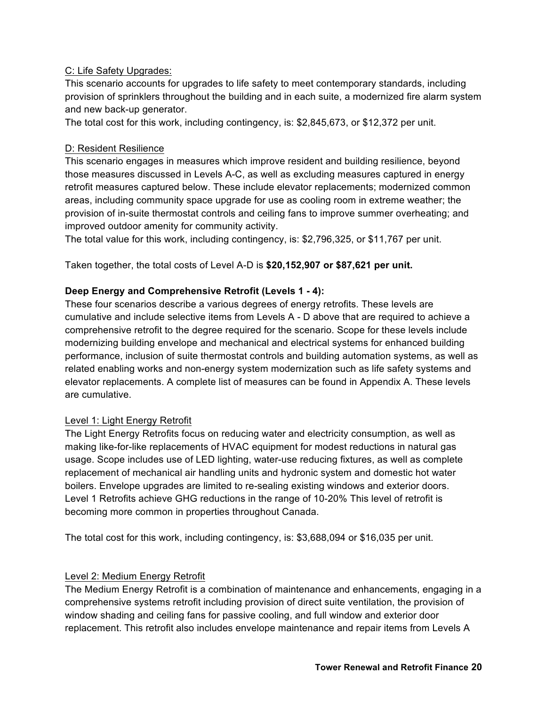## C: Life Safety Upgrades:

This scenario accounts for upgrades to life safety to meet contemporary standards, including provision of sprinklers throughout the building and in each suite, a modernized fire alarm system and new back-up generator.

The total cost for this work, including contingency, is: \$2,845,673, or \$12,372 per unit.

## D: Resident Resilience

This scenario engages in measures which improve resident and building resilience, beyond those measures discussed in Levels A-C, as well as excluding measures captured in energy retrofit measures captured below. These include elevator replacements; modernized common areas, including community space upgrade for use as cooling room in extreme weather; the provision of in-suite thermostat controls and ceiling fans to improve summer overheating; and improved outdoor amenity for community activity.

The total value for this work, including contingency, is: \$2,796,325, or \$11,767 per unit.

Taken together, the total costs of Level A-D is **\$20,152,907 or \$87,621 per unit.**

## **Deep Energy and Comprehensive Retrofit (Levels 1 - 4):**

These four scenarios describe a various degrees of energy retrofits. These levels are cumulative and include selective items from Levels A - D above that are required to achieve a comprehensive retrofit to the degree required for the scenario. Scope for these levels include modernizing building envelope and mechanical and electrical systems for enhanced building performance, inclusion of suite thermostat controls and building automation systems, as well as related enabling works and non-energy system modernization such as life safety systems and elevator replacements. A complete list of measures can be found in Appendix A. These levels are cumulative.

#### Level 1: Light Energy Retrofit

The Light Energy Retrofits focus on reducing water and electricity consumption, as well as making like-for-like replacements of HVAC equipment for modest reductions in natural gas usage. Scope includes use of LED lighting, water-use reducing fixtures, as well as complete replacement of mechanical air handling units and hydronic system and domestic hot water boilers. Envelope upgrades are limited to re-sealing existing windows and exterior doors. Level 1 Retrofits achieve GHG reductions in the range of 10-20% This level of retrofit is becoming more common in properties throughout Canada.

The total cost for this work, including contingency, is: \$3,688,094 or \$16,035 per unit.

#### Level 2: Medium Energy Retrofit

The Medium Energy Retrofit is a combination of maintenance and enhancements, engaging in a comprehensive systems retrofit including provision of direct suite ventilation, the provision of window shading and ceiling fans for passive cooling, and full window and exterior door replacement. This retrofit also includes envelope maintenance and repair items from Levels A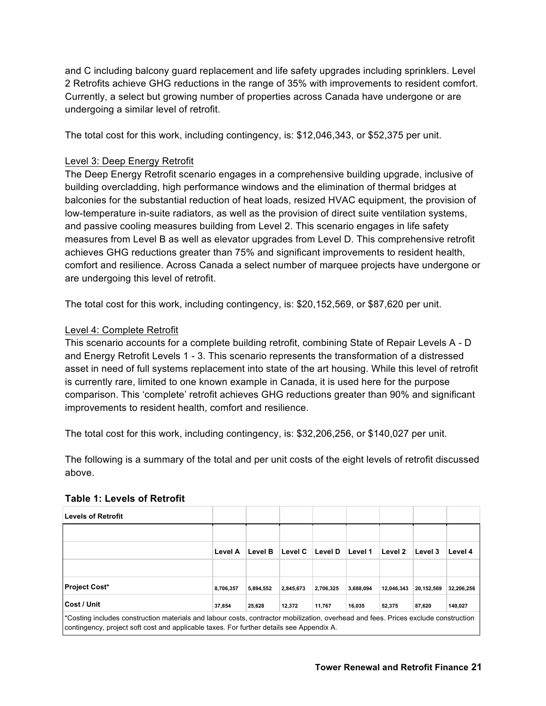and C including balcony guard replacement and life safety upgrades including sprinklers. Level 2 Retrofits achieve GHG reductions in the range of 35% with improvements to resident comfort. Currently, a select but growing number of properties across Canada have undergone or are undergoing a similar level of retrofit.

The total cost for this work, including contingency, is: \$12,046,343, or \$52,375 per unit.

## Level 3: Deep Energy Retrofit

The Deep Energy Retrofit scenario engages in a comprehensive building upgrade, inclusive of building overcladding, high performance windows and the elimination of thermal bridges at balconies for the substantial reduction of heat loads, resized HVAC equipment, the provision of low-temperature in-suite radiators, as well as the provision of direct suite ventilation systems, and passive cooling measures building from Level 2. This scenario engages in life safety measures from Level B as well as elevator upgrades from Level D. This comprehensive retrofit achieves GHG reductions greater than 75% and significant improvements to resident health, comfort and resilience. Across Canada a select number of marquee projects have undergone or are undergoing this level of retrofit.

The total cost for this work, including contingency, is: \$20,152,569, or \$87,620 per unit.

#### Level 4: Complete Retrofit

This scenario accounts for a complete building retrofit, combining State of Repair Levels A - D and Energy Retrofit Levels 1 - 3. This scenario represents the transformation of a distressed asset in need of full systems replacement into state of the art housing. While this level of retrofit is currently rare, limited to one known example in Canada, it is used here for the purpose comparison. This 'complete' retrofit achieves GHG reductions greater than 90% and significant improvements to resident health, comfort and resilience.

The total cost for this work, including contingency, is: \$32,206,256, or \$140,027 per unit.

The following is a summary of the total and per unit costs of the eight levels of retrofit discussed above.

| <b>Levels of Retrofit</b>                                                                                                                                                                                                      |           |           |           |           |           |            |            |            |
|--------------------------------------------------------------------------------------------------------------------------------------------------------------------------------------------------------------------------------|-----------|-----------|-----------|-----------|-----------|------------|------------|------------|
|                                                                                                                                                                                                                                |           |           |           |           |           |            |            |            |
|                                                                                                                                                                                                                                | Level A   | Level B   | Level C   | Level D   | Level 1   | Level 2    | Level 3    | Level 4    |
|                                                                                                                                                                                                                                |           |           |           |           |           |            |            |            |
| <b>Project Cost*</b>                                                                                                                                                                                                           | 8,706,357 | 5,894,552 | 2,845,673 | 2,706,325 | 3,688,094 | 12.046.343 | 20,152,569 | 32,206,256 |
| Cost / Unit                                                                                                                                                                                                                    | 37,854    | 25,628    | 12,372    | 11,767    | 16,035    | 52,375     | 87,620     | 140,027    |
| *Costing includes construction materials and labour costs, contractor mobilization, overhead and fees. Prices exclude construction<br>contingency, project soft cost and applicable taxes. For further details see Appendix A. |           |           |           |           |           |            |            |            |

#### **Table 1: Levels of Retrofit**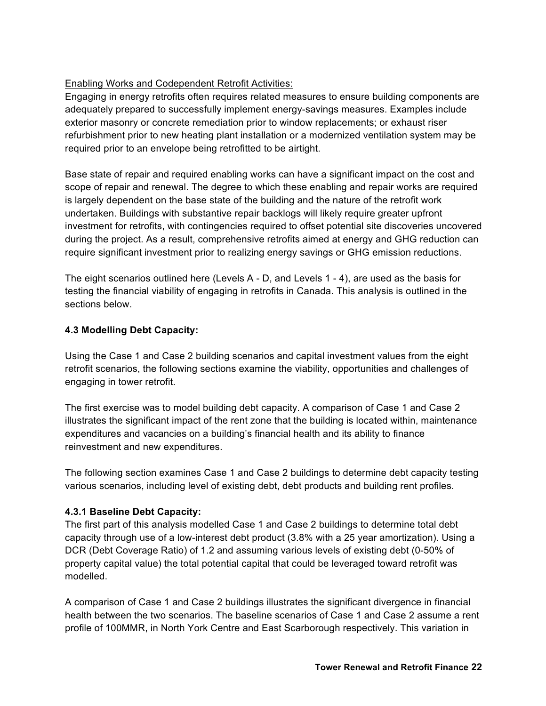# Enabling Works and Codependent Retrofit Activities:

Engaging in energy retrofits often requires related measures to ensure building components are adequately prepared to successfully implement energy-savings measures. Examples include exterior masonry or concrete remediation prior to window replacements; or exhaust riser refurbishment prior to new heating plant installation or a modernized ventilation system may be required prior to an envelope being retrofitted to be airtight.

Base state of repair and required enabling works can have a significant impact on the cost and scope of repair and renewal. The degree to which these enabling and repair works are required is largely dependent on the base state of the building and the nature of the retrofit work undertaken. Buildings with substantive repair backlogs will likely require greater upfront investment for retrofits, with contingencies required to offset potential site discoveries uncovered during the project. As a result, comprehensive retrofits aimed at energy and GHG reduction can require significant investment prior to realizing energy savings or GHG emission reductions.

The eight scenarios outlined here (Levels A - D, and Levels 1 - 4), are used as the basis for testing the financial viability of engaging in retrofits in Canada. This analysis is outlined in the sections below.

# **4.3 Modelling Debt Capacity:**

Using the Case 1 and Case 2 building scenarios and capital investment values from the eight retrofit scenarios, the following sections examine the viability, opportunities and challenges of engaging in tower retrofit.

The first exercise was to model building debt capacity. A comparison of Case 1 and Case 2 illustrates the significant impact of the rent zone that the building is located within, maintenance expenditures and vacancies on a building's financial health and its ability to finance reinvestment and new expenditures.

The following section examines Case 1 and Case 2 buildings to determine debt capacity testing various scenarios, including level of existing debt, debt products and building rent profiles.

# **4.3.1 Baseline Debt Capacity:**

The first part of this analysis modelled Case 1 and Case 2 buildings to determine total debt capacity through use of a low-interest debt product (3.8% with a 25 year amortization). Using a DCR (Debt Coverage Ratio) of 1.2 and assuming various levels of existing debt (0-50% of property capital value) the total potential capital that could be leveraged toward retrofit was modelled.

A comparison of Case 1 and Case 2 buildings illustrates the significant divergence in financial health between the two scenarios. The baseline scenarios of Case 1 and Case 2 assume a rent profile of 100MMR, in North York Centre and East Scarborough respectively. This variation in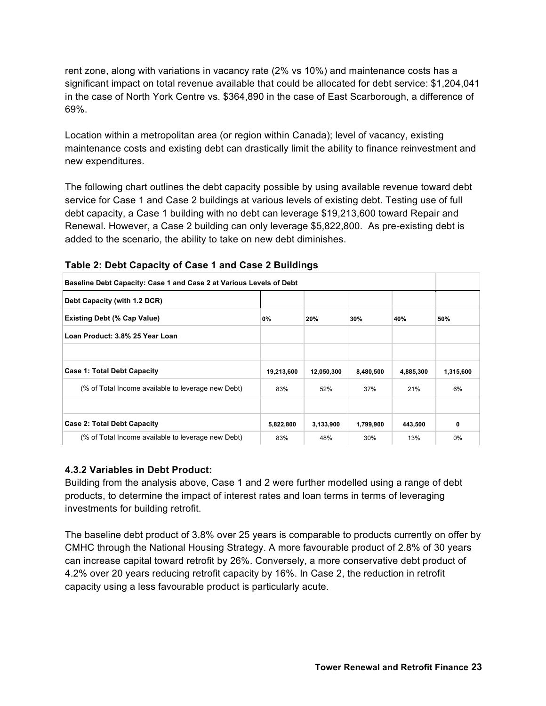rent zone, along with variations in vacancy rate (2% vs 10%) and maintenance costs has a significant impact on total revenue available that could be allocated for debt service: \$1,204,041 in the case of North York Centre vs. \$364,890 in the case of East Scarborough, a difference of 69%.

Location within a metropolitan area (or region within Canada); level of vacancy, existing maintenance costs and existing debt can drastically limit the ability to finance reinvestment and new expenditures.

The following chart outlines the debt capacity possible by using available revenue toward debt service for Case 1 and Case 2 buildings at various levels of existing debt. Testing use of full debt capacity, a Case 1 building with no debt can leverage \$19,213,600 toward Repair and Renewal. However, a Case 2 building can only leverage \$5,822,800. As pre-existing debt is added to the scenario, the ability to take on new debt diminishes.

| Baseline Debt Capacity: Case 1 and Case 2 at Various Levels of Debt |            |            |           |           |           |  |  |  |
|---------------------------------------------------------------------|------------|------------|-----------|-----------|-----------|--|--|--|
| Debt Capacity (with 1.2 DCR)                                        |            |            |           |           |           |  |  |  |
| <b>Existing Debt (% Cap Value)</b>                                  | 0%         | 20%        | 30%       | 40%       | 50%       |  |  |  |
| Loan Product: 3.8% 25 Year Loan                                     |            |            |           |           |           |  |  |  |
|                                                                     |            |            |           |           |           |  |  |  |
| Case 1: Total Debt Capacity                                         | 19,213,600 | 12,050,300 | 8,480,500 | 4,885,300 | 1,315,600 |  |  |  |
| (% of Total Income available to leverage new Debt)                  | 83%        | 52%        | 37%       | 21%       | 6%        |  |  |  |
|                                                                     |            |            |           |           |           |  |  |  |
| <b>Case 2: Total Debt Capacity</b>                                  | 5,822,800  | 3,133,900  | 1,799,900 | 443,500   | 0         |  |  |  |
| (% of Total Income available to leverage new Debt)                  | 83%        | 48%        | 30%       | 13%       | 0%        |  |  |  |

**Table 2: Debt Capacity of Case 1 and Case 2 Buildings** 

# **4.3.2 Variables in Debt Product:**

Building from the analysis above, Case 1 and 2 were further modelled using a range of debt products, to determine the impact of interest rates and loan terms in terms of leveraging investments for building retrofit.

The baseline debt product of 3.8% over 25 years is comparable to products currently on offer by CMHC through the National Housing Strategy. A more favourable product of 2.8% of 30 years can increase capital toward retrofit by 26%. Conversely, a more conservative debt product of 4.2% over 20 years reducing retrofit capacity by 16%. In Case 2, the reduction in retrofit capacity using a less favourable product is particularly acute.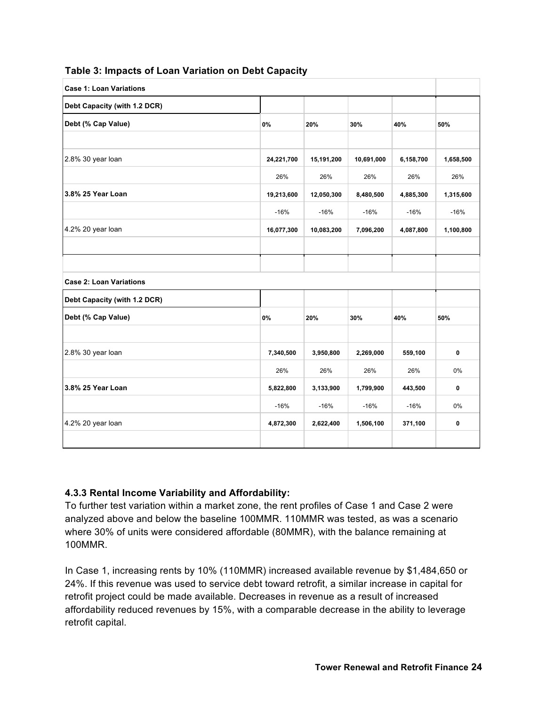| <b>Case 1: Loan Variations</b> |            |            |            |           |             |  |  |
|--------------------------------|------------|------------|------------|-----------|-------------|--|--|
| Debt Capacity (with 1.2 DCR)   |            |            |            |           |             |  |  |
| Debt (% Cap Value)             | 0%         | 20%        | 30%        | 40%       | 50%         |  |  |
|                                |            |            |            |           |             |  |  |
| 2.8% 30 year loan              | 24,221,700 | 15,191,200 | 10,691,000 | 6,158,700 | 1,658,500   |  |  |
|                                | 26%        | 26%        | 26%        | 26%       | 26%         |  |  |
| 3.8% 25 Year Loan              | 19,213,600 | 12,050,300 | 8,480,500  | 4,885,300 | 1,315,600   |  |  |
|                                | $-16%$     | $-16%$     | $-16%$     | $-16%$    | $-16%$      |  |  |
| 4.2% 20 year loan              | 16,077,300 | 10,083,200 | 7,096,200  | 4,087,800 | 1,100,800   |  |  |
|                                |            |            |            |           |             |  |  |
|                                |            |            |            |           |             |  |  |
| <b>Case 2: Loan Variations</b> |            |            |            |           |             |  |  |
| Debt Capacity (with 1.2 DCR)   |            |            |            |           |             |  |  |
| Debt (% Cap Value)             | 0%         | 20%        | 30%        | 40%       | 50%         |  |  |
|                                |            |            |            |           |             |  |  |
| 2.8% 30 year loan              | 7,340,500  | 3,950,800  | 2,269,000  | 559,100   | $\pmb{0}$   |  |  |
|                                | 26%        | 26%        | 26%        | 26%       | 0%          |  |  |
| 3.8% 25 Year Loan              | 5,822,800  | 3,133,900  | 1,799,900  | 443,500   | 0           |  |  |
|                                | $-16%$     | $-16%$     | $-16%$     | $-16%$    | 0%          |  |  |
| 4.2% 20 year loan              | 4,872,300  | 2,622,400  | 1,506,100  | 371,100   | $\mathbf 0$ |  |  |
|                                |            |            |            |           |             |  |  |

## **Table 3: Impacts of Loan Variation on Debt Capacity**

#### **4.3.3 Rental Income Variability and Affordability:**

To further test variation within a market zone, the rent profiles of Case 1 and Case 2 were analyzed above and below the baseline 100MMR. 110MMR was tested, as was a scenario where 30% of units were considered affordable (80MMR), with the balance remaining at 100MMR.

In Case 1, increasing rents by 10% (110MMR) increased available revenue by \$1,484,650 or 24%. If this revenue was used to service debt toward retrofit, a similar increase in capital for retrofit project could be made available. Decreases in revenue as a result of increased affordability reduced revenues by 15%, with a comparable decrease in the ability to leverage retrofit capital.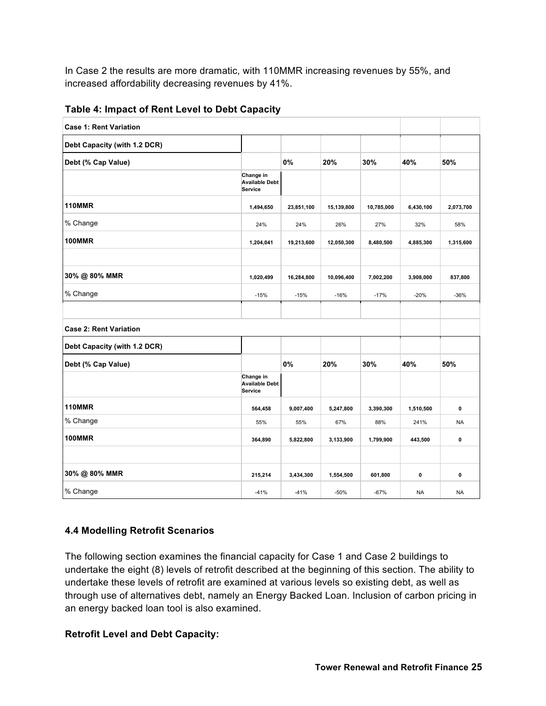In Case 2 the results are more dramatic, with 110MMR increasing revenues by 55%, and increased affordability decreasing revenues by 41%.

| <b>Case 1: Rent Variation</b> |                                               |            |            |            |           |              |
|-------------------------------|-----------------------------------------------|------------|------------|------------|-----------|--------------|
| Debt Capacity (with 1.2 DCR)  |                                               |            |            |            |           |              |
| Debt (% Cap Value)            |                                               | $0\%$      | 20%        | 30%        | 40%       | 50%          |
|                               | Change in<br><b>Available Debt</b><br>Service |            |            |            |           |              |
| <b>110MMR</b>                 | 1,494,650                                     | 23,851,100 | 15,139,800 | 10,785,000 | 6,430,100 | 2,073,700    |
| % Change                      | 24%                                           | 24%        | 26%        | 27%        | 32%       | 58%          |
| <b>100MMR</b>                 | 1,204,041                                     | 19,213,600 | 12,050,300 | 8,480,500  | 4,885,300 | 1,315,600    |
|                               |                                               |            |            |            |           |              |
| 30% @ 80% MMR                 | 1,020,499                                     | 16,284,800 | 10,096,400 | 7,002,200  | 3,908,000 | 837,800      |
| % Change                      | $-15%$                                        | $-15%$     | $-16%$     | $-17%$     | $-20%$    | $-36%$       |
|                               |                                               |            |            |            |           |              |
| <b>Case 2: Rent Variation</b> |                                               |            |            |            |           |              |
| Debt Capacity (with 1.2 DCR)  |                                               |            |            |            |           |              |
| Debt (% Cap Value)            |                                               | 0%         | 20%        | 30%        | 40%       | 50%          |
|                               | Change in<br><b>Available Debt</b><br>Service |            |            |            |           |              |
| <b>110MMR</b>                 | 564,458                                       | 9,007,400  | 5,247,800  | 3,390,300  | 1,510,500 | $\mathbf{0}$ |
| % Change                      | 55%                                           | 55%        | 67%        | 88%        | 241%      | <b>NA</b>    |
| <b>100MMR</b>                 | 364,890                                       | 5,822,800  | 3,133,900  | 1,799,900  | 443,500   | $\pmb{0}$    |
|                               |                                               |            |            |            |           |              |
| 30% @ 80% MMR                 | 215,214                                       | 3,434,300  | 1,554,500  | 601,800    | 0         | $\mathbf 0$  |
| % Change                      | $-41%$                                        | $-41%$     | $-50%$     | $-67%$     | <b>NA</b> | <b>NA</b>    |

**Table 4: Impact of Rent Level to Debt Capacity** 

# **4.4 Modelling Retrofit Scenarios**

The following section examines the financial capacity for Case 1 and Case 2 buildings to undertake the eight (8) levels of retrofit described at the beginning of this section. The ability to undertake these levels of retrofit are examined at various levels so existing debt, as well as through use of alternatives debt, namely an Energy Backed Loan. Inclusion of carbon pricing in an energy backed loan tool is also examined.

# **Retrofit Level and Debt Capacity:**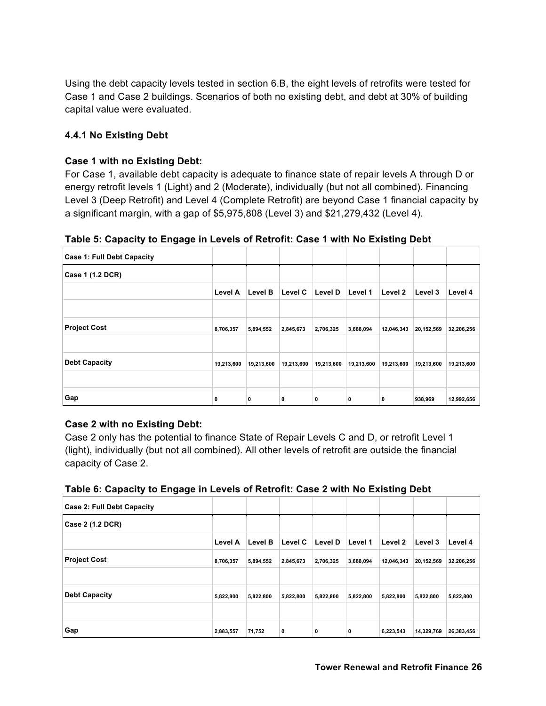Using the debt capacity levels tested in section 6.B, the eight levels of retrofits were tested for Case 1 and Case 2 buildings. Scenarios of both no existing debt, and debt at 30% of building capital value were evaluated.

# **4.4.1 No Existing Debt**

#### **Case 1 with no Existing Debt:**

For Case 1, available debt capacity is adequate to finance state of repair levels A through D or energy retrofit levels 1 (Light) and 2 (Moderate), individually (but not all combined). Financing Level 3 (Deep Retrofit) and Level 4 (Complete Retrofit) are beyond Case 1 financial capacity by a significant margin, with a gap of \$5,975,808 (Level 3) and \$21,279,432 (Level 4).

**Table 5: Capacity to Engage in Levels of Retrofit: Case 1 with No Existing Debt**

| <b>Case 1: Full Debt Capacity</b> |                |            |            |                |            |            |            |            |
|-----------------------------------|----------------|------------|------------|----------------|------------|------------|------------|------------|
| Case 1 (1.2 DCR)                  |                |            |            |                |            |            |            |            |
|                                   | <b>Level A</b> | Level B    | Level C    | <b>Level D</b> | Level 1    | Level 2    | Level 3    | Level 4    |
|                                   |                |            |            |                |            |            |            |            |
| <b>Project Cost</b>               | 8,706,357      | 5,894,552  | 2,845,673  | 2,706,325      | 3,688,094  | 12,046,343 | 20,152,569 | 32,206,256 |
|                                   |                |            |            |                |            |            |            |            |
| <b>Debt Capacity</b>              | 19,213,600     | 19,213,600 | 19,213,600 | 19,213,600     | 19,213,600 | 19,213,600 | 19,213,600 | 19,213,600 |
|                                   |                |            |            |                |            |            |            |            |
| Gap                               | 0              | 0          | 0          | 0              | 0          | 0          | 938,969    | 12,992,656 |

#### **Case 2 with no Existing Debt:**

Case 2 only has the potential to finance State of Repair Levels C and D, or retrofit Level 1 (light), individually (but not all combined). All other levels of retrofit are outside the financial capacity of Case 2.

| Table 6: Capacity to Engage in Levels of Retrofit: Case 2 with No Existing Debt |  |
|---------------------------------------------------------------------------------|--|
|---------------------------------------------------------------------------------|--|

| <b>Case 2: Full Debt Capacity</b> |                |           |           |           |           |            |            |            |
|-----------------------------------|----------------|-----------|-----------|-----------|-----------|------------|------------|------------|
| Case 2 (1.2 DCR)                  |                |           |           |           |           |            |            |            |
|                                   | <b>Level A</b> | Level B   | Level C   | Level D   | Level 1   | Level 2    | Level 3    | Level 4    |
| <b>Project Cost</b>               | 8,706,357      | 5,894,552 | 2,845,673 | 2,706,325 | 3,688,094 | 12,046,343 | 20,152,569 | 32,206,256 |
|                                   |                |           |           |           |           |            |            |            |
| <b>Debt Capacity</b>              | 5,822,800      | 5,822,800 | 5,822,800 | 5,822,800 | 5,822,800 | 5,822,800  | 5,822,800  | 5,822,800  |
|                                   |                |           |           |           |           |            |            |            |
| Gap                               | 2,883,557      | 71,752    | 0         | 0         | 0         | 6,223,543  | 14,329,769 | 26,383,456 |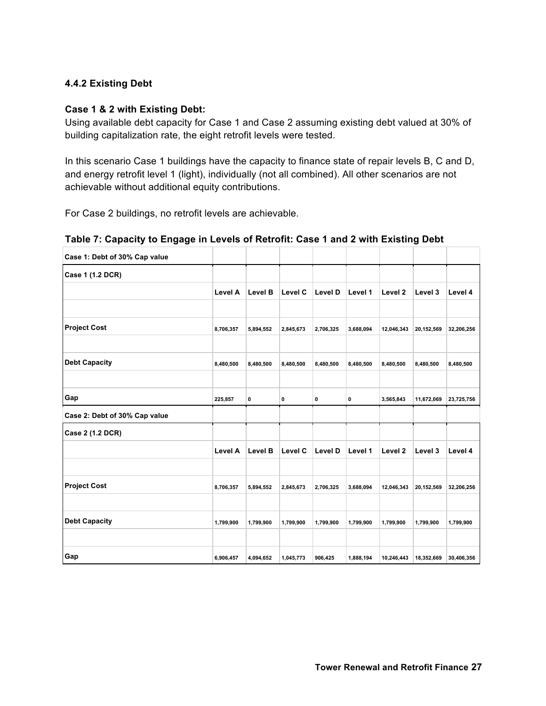## **4.4.2 Existing Debt**

#### **Case 1 & 2 with Existing Debt:**

Using available debt capacity for Case 1 and Case 2 assuming existing debt valued at 30% of building capitalization rate, the eight retrofit levels were tested.

In this scenario Case 1 buildings have the capacity to finance state of repair levels B, C and D, and energy retrofit level 1 (light), individually (not all combined). All other scenarios are not achievable without additional equity contributions.

For Case 2 buildings, no retrofit levels are achievable.

| Case 1: Debt of 30% Cap value |                |                |           |           |           |                    |            |            |
|-------------------------------|----------------|----------------|-----------|-----------|-----------|--------------------|------------|------------|
| Case 1 (1.2 DCR)              |                |                |           |           |           |                    |            |            |
|                               | <b>Level A</b> | <b>Level B</b> | Level C   | Level D   | Level 1   | Level <sub>2</sub> | Level 3    | Level 4    |
|                               |                |                |           |           |           |                    |            |            |
| <b>Project Cost</b>           | 8,706,357      | 5,894,552      | 2,845,673 | 2,706,325 | 3,688,094 | 12,046,343         | 20,152,569 | 32,206,256 |
| <b>Debt Capacity</b>          | 8,480,500      | 8,480,500      | 8,480,500 | 8,480,500 | 8,480,500 | 8,480,500          | 8,480,500  | 8,480,500  |
| Gap                           | 225,857        | 0              | 0         | $\pmb{0}$ | $\pmb{0}$ | 3,565,843          | 11,672,069 | 23,725,756 |
| Case 2: Debt of 30% Cap value |                |                |           |           |           |                    |            |            |
| Case 2 (1.2 DCR)              |                |                |           |           |           |                    |            |            |
|                               | Level A        | Level B        | Level C   | Level D   | Level 1   | Level <sub>2</sub> | Level 3    | Level 4    |
| <b>Project Cost</b>           | 8,706,357      | 5,894,552      | 2,845,673 | 2,706,325 | 3,688,094 | 12,046,343         | 20,152,569 | 32,206,256 |
| <b>Debt Capacity</b>          |                |                |           |           |           |                    |            |            |
|                               | 1,799,900      | 1,799,900      | 1,799,900 | 1,799,900 | 1,799,900 | 1,799,900          | 1,799,900  | 1,799,900  |
| Gap                           | 6,906,457      | 4,094,652      | 1,045,773 | 906,425   | 1,888,194 | 10,246,443         | 18,352,669 | 30,406,356 |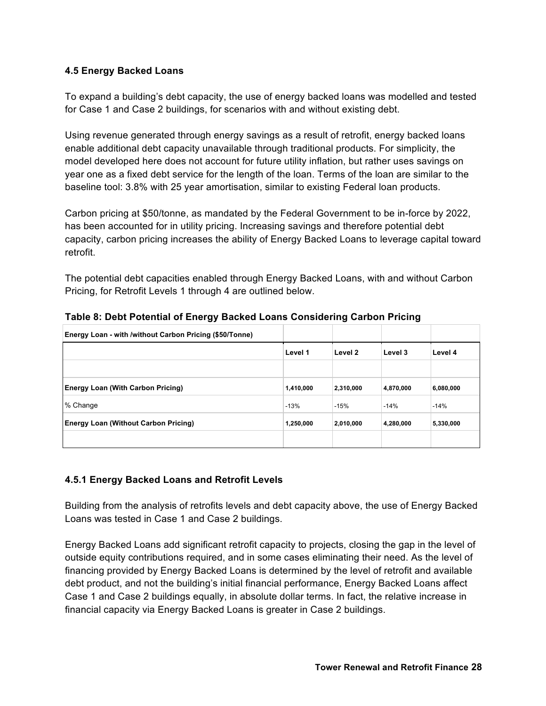#### **4.5 Energy Backed Loans**

To expand a building's debt capacity, the use of energy backed loans was modelled and tested for Case 1 and Case 2 buildings, for scenarios with and without existing debt.

Using revenue generated through energy savings as a result of retrofit, energy backed loans enable additional debt capacity unavailable through traditional products. For simplicity, the model developed here does not account for future utility inflation, but rather uses savings on year one as a fixed debt service for the length of the loan. Terms of the loan are similar to the baseline tool: 3.8% with 25 year amortisation, similar to existing Federal loan products.

Carbon pricing at \$50/tonne, as mandated by the Federal Government to be in-force by 2022, has been accounted for in utility pricing. Increasing savings and therefore potential debt capacity, carbon pricing increases the ability of Energy Backed Loans to leverage capital toward retrofit.

The potential debt capacities enabled through Energy Backed Loans, with and without Carbon Pricing, for Retrofit Levels 1 through 4 are outlined below.

| Energy Loan - with /without Carbon Pricing (\$50/Tonne) |           |           |           |           |
|---------------------------------------------------------|-----------|-----------|-----------|-----------|
|                                                         | Level 1   | Level 2   | Level 3   | Level 4   |
|                                                         |           |           |           |           |
| <b>Energy Loan (With Carbon Pricing)</b>                | 1,410,000 | 2,310,000 | 4,870,000 | 6,080,000 |
| % Change                                                | $-13%$    | $-15%$    | $-14%$    | $-14%$    |
| <b>Energy Loan (Without Carbon Pricing)</b>             | 1,250,000 | 2,010,000 | 4,280,000 | 5,330,000 |
|                                                         |           |           |           |           |

**Table 8: Debt Potential of Energy Backed Loans Considering Carbon Pricing** 

# **4.5.1 Energy Backed Loans and Retrofit Levels**

Building from the analysis of retrofits levels and debt capacity above, the use of Energy Backed Loans was tested in Case 1 and Case 2 buildings.

Energy Backed Loans add significant retrofit capacity to projects, closing the gap in the level of outside equity contributions required, and in some cases eliminating their need. As the level of financing provided by Energy Backed Loans is determined by the level of retrofit and available debt product, and not the building's initial financial performance, Energy Backed Loans affect Case 1 and Case 2 buildings equally, in absolute dollar terms. In fact, the relative increase in financial capacity via Energy Backed Loans is greater in Case 2 buildings.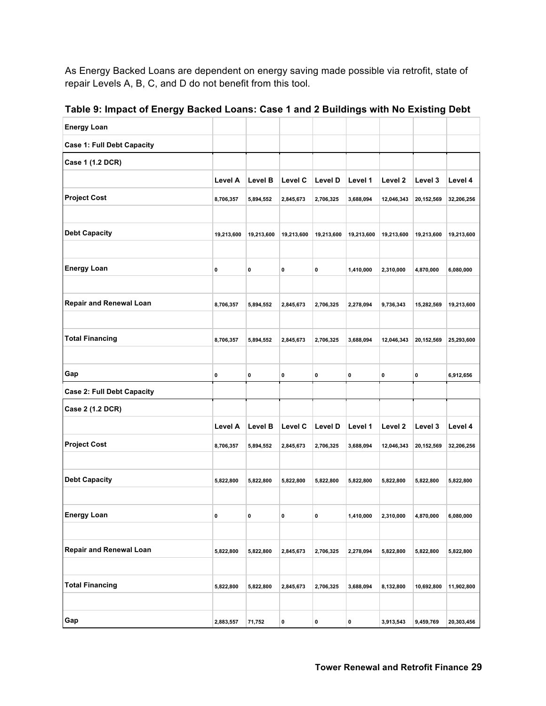As Energy Backed Loans are dependent on energy saving made possible via retrofit, state of repair Levels A, B, C, and D do not benefit from this tool.

| <b>Energy Loan</b>                |            |             |            |            |            |            |            |            |
|-----------------------------------|------------|-------------|------------|------------|------------|------------|------------|------------|
| <b>Case 1: Full Debt Capacity</b> |            |             |            |            |            |            |            |            |
| Case 1 (1.2 DCR)                  |            |             |            |            |            |            |            |            |
|                                   | Level A    | Level B     | Level C    | Level D    | Level 1    | Level 2    | Level 3    | Level 4    |
| <b>Project Cost</b>               | 8,706,357  | 5,894,552   | 2,845,673  | 2,706,325  | 3,688,094  | 12,046,343 | 20,152,569 | 32,206,256 |
|                                   |            |             |            |            |            |            |            |            |
| <b>Debt Capacity</b>              | 19,213,600 | 19,213,600  | 19,213,600 | 19,213,600 | 19,213,600 | 19,213,600 | 19,213,600 | 19,213,600 |
|                                   |            |             |            |            |            |            |            |            |
| <b>Energy Loan</b>                | 0          | 0           | 0          | 0          | 1,410,000  | 2,310,000  | 4,870,000  | 6,080,000  |
|                                   |            |             |            |            |            |            |            |            |
| <b>Repair and Renewal Loan</b>    | 8,706,357  | 5,894,552   | 2,845,673  | 2,706,325  | 2,278,094  | 9,736,343  | 15,282,569 | 19,213,600 |
|                                   |            |             |            |            |            |            |            |            |
| <b>Total Financing</b>            | 8,706,357  | 5,894,552   | 2,845,673  | 2,706,325  | 3,688,094  | 12,046,343 | 20,152,569 | 25,293,600 |
|                                   |            |             |            |            |            |            |            |            |
| Gap                               | 0          | $\mathbf 0$ | 0          | 0          | 0          | 0          | 0          | 6,912,656  |
| <b>Case 2: Full Debt Capacity</b> |            |             |            |            |            |            |            |            |
| Case 2 (1.2 DCR)                  |            |             |            |            |            |            |            |            |
|                                   | Level A    | Level B     | Level C    | Level D    | Level 1    | Level 2    | Level 3    | Level 4    |
| <b>Project Cost</b>               | 8,706,357  | 5,894,552   | 2,845,673  | 2,706,325  | 3,688,094  | 12,046,343 | 20,152,569 | 32,206,256 |
|                                   |            |             |            |            |            |            |            |            |
| <b>Debt Capacity</b>              | 5,822,800  | 5,822,800   | 5,822,800  | 5,822,800  | 5,822,800  | 5,822,800  | 5,822,800  | 5,822,800  |
|                                   |            |             |            |            |            |            |            |            |
| <b>Energy Loan</b>                | 0          | 0           | 0          | 0          | 1,410,000  | 2,310,000  | 4,870,000  | 6,080,000  |
|                                   |            |             |            |            |            |            |            |            |
| <b>Repair and Renewal Loan</b>    | 5,822,800  | 5,822,800   | 2,845,673  | 2,706,325  | 2,278,094  | 5,822,800  | 5,822,800  | 5,822,800  |
|                                   |            |             |            |            |            |            |            |            |
| <b>Total Financing</b>            | 5,822,800  | 5,822,800   | 2,845,673  | 2,706,325  | 3,688,094  | 8,132,800  | 10,692,800 | 11,902,800 |
|                                   |            |             |            |            |            |            |            |            |
| Gap                               | 2,883,557  | 71,752      | 0          | 0          | 0          | 3,913,543  | 9,459,769  | 20,303,456 |

**Table 9: Impact of Energy Backed Loans: Case 1 and 2 Buildings with No Existing Debt**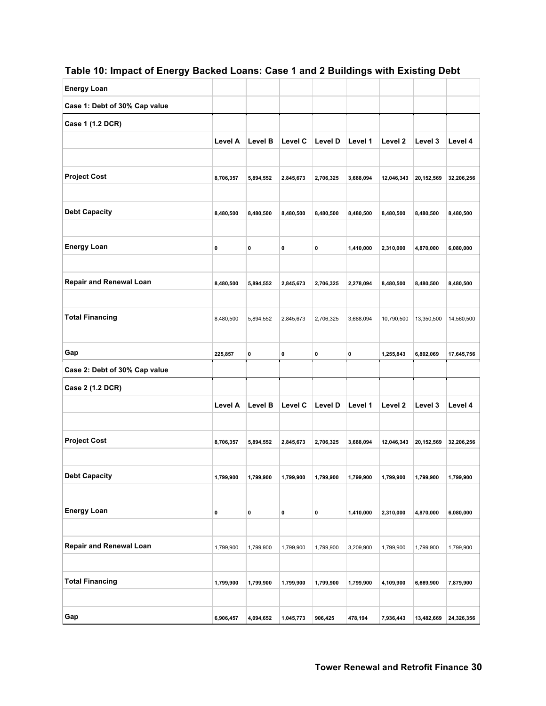# **Table 10: Impact of Energy Backed Loans: Case 1 and 2 Buildings with Existing Debt**

| <b>Energy Loan</b>             |           |           |           |           |           |                    |            |            |
|--------------------------------|-----------|-----------|-----------|-----------|-----------|--------------------|------------|------------|
| Case 1: Debt of 30% Cap value  |           |           |           |           |           |                    |            |            |
| Case 1 (1.2 DCR)               |           |           |           |           |           |                    |            |            |
|                                | Level A   | Level B   | Level C   | Level D   | Level 1   | Level 2            | Level 3    | Level 4    |
|                                |           |           |           |           |           |                    |            |            |
| <b>Project Cost</b>            | 8,706,357 | 5,894,552 | 2,845,673 | 2,706,325 | 3,688,094 | 12,046,343         | 20,152,569 | 32,206,256 |
|                                |           |           |           |           |           |                    |            |            |
| <b>Debt Capacity</b>           | 8,480,500 | 8,480,500 | 8,480,500 | 8,480,500 | 8,480,500 | 8,480,500          | 8,480,500  | 8,480,500  |
|                                |           |           |           |           |           |                    |            |            |
| <b>Energy Loan</b>             | 0         | 0         | 0         | 0         | 1,410,000 | 2,310,000          | 4,870,000  | 6,080,000  |
|                                |           |           |           |           |           |                    |            |            |
| <b>Repair and Renewal Loan</b> | 8,480,500 | 5,894,552 | 2,845,673 | 2,706,325 | 2,278,094 | 8,480,500          | 8,480,500  | 8,480,500  |
|                                |           |           |           |           |           |                    |            |            |
| <b>Total Financing</b>         | 8,480,500 | 5,894,552 | 2,845,673 | 2,706,325 | 3,688,094 | 10,790,500         | 13,350,500 | 14,560,500 |
|                                |           |           |           |           |           |                    |            |            |
| Gap                            | 225,857   | 0         | 0         | 0         | 0         | 1,255,843          | 6,802,069  | 17,645,756 |
|                                |           |           |           |           |           |                    |            |            |
| Case 2: Debt of 30% Cap value  |           |           |           |           |           |                    |            |            |
| Case 2 (1.2 DCR)               |           |           |           |           |           |                    |            |            |
|                                | Level A   | Level B   | Level C   | Level D   | Level 1   | Level <sub>2</sub> | Level 3    | Level 4    |
|                                |           |           |           |           |           |                    |            |            |
| <b>Project Cost</b>            | 8,706,357 | 5,894,552 | 2,845,673 | 2,706,325 | 3,688,094 | 12,046,343         | 20,152,569 | 32,206,256 |
|                                |           |           |           |           |           |                    |            |            |
| <b>Debt Capacity</b>           | 1,799,900 | 1,799,900 | 1,799,900 | 1,799,900 | 1,799,900 | 1,799,900          | 1,799,900  | 1,799,900  |
|                                |           |           |           |           |           |                    |            |            |
| <b>Energy Loan</b>             | 0         | 0         | 0         | 0         | 1,410,000 | 2,310,000          | 4,870,000  | 6,080,000  |
|                                |           |           |           |           |           |                    |            |            |
| <b>Repair and Renewal Loan</b> | 1,799,900 | 1,799,900 | 1,799,900 | 1,799,900 | 3,209,900 | 1,799,900          | 1,799,900  | 1,799,900  |
|                                |           |           |           |           |           |                    |            |            |
| <b>Total Financing</b>         | 1,799,900 | 1,799,900 | 1,799,900 | 1,799,900 | 1,799,900 | 4,109,900          | 6,669,900  | 7,879,900  |
|                                |           |           |           |           |           |                    |            |            |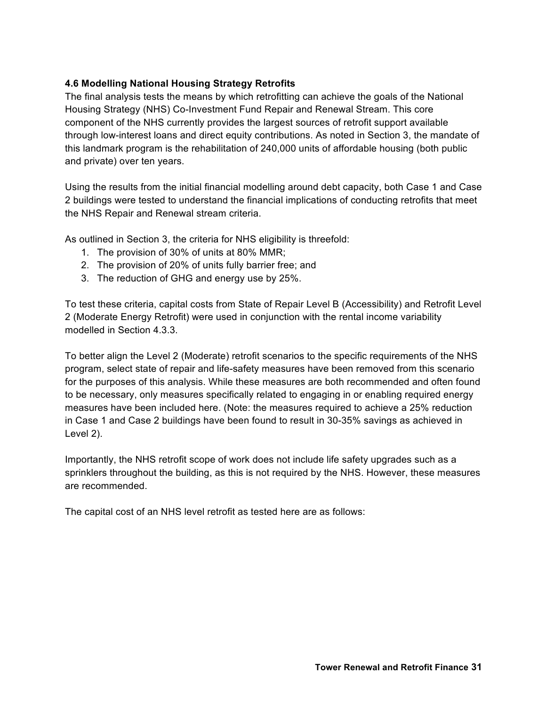# **4.6 Modelling National Housing Strategy Retrofits**

The final analysis tests the means by which retrofitting can achieve the goals of the National Housing Strategy (NHS) Co-Investment Fund Repair and Renewal Stream. This core component of the NHS currently provides the largest sources of retrofit support available through low-interest loans and direct equity contributions. As noted in Section 3, the mandate of this landmark program is the rehabilitation of 240,000 units of affordable housing (both public and private) over ten years.

Using the results from the initial financial modelling around debt capacity, both Case 1 and Case 2 buildings were tested to understand the financial implications of conducting retrofits that meet the NHS Repair and Renewal stream criteria.

As outlined in Section 3, the criteria for NHS eligibility is threefold:

- 1. The provision of 30% of units at 80% MMR;
- 2. The provision of 20% of units fully barrier free; and
- 3. The reduction of GHG and energy use by 25%.

To test these criteria, capital costs from State of Repair Level B (Accessibility) and Retrofit Level 2 (Moderate Energy Retrofit) were used in conjunction with the rental income variability modelled in Section 4.3.3.

To better align the Level 2 (Moderate) retrofit scenarios to the specific requirements of the NHS program, select state of repair and life-safety measures have been removed from this scenario for the purposes of this analysis. While these measures are both recommended and often found to be necessary, only measures specifically related to engaging in or enabling required energy measures have been included here. (Note: the measures required to achieve a 25% reduction in Case 1 and Case 2 buildings have been found to result in 30-35% savings as achieved in Level 2).

Importantly, the NHS retrofit scope of work does not include life safety upgrades such as a sprinklers throughout the building, as this is not required by the NHS. However, these measures are recommended.

The capital cost of an NHS level retrofit as tested here are as follows: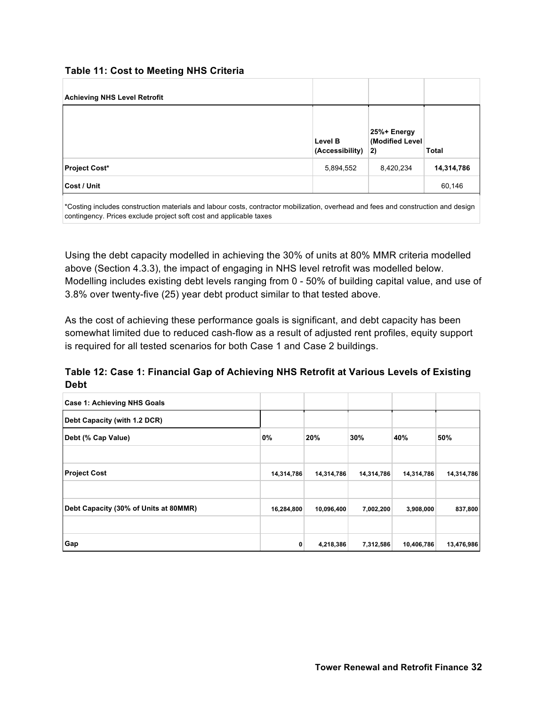#### **Table 11: Cost to Meeting NHS Criteria**

| <b>Achieving NHS Level Retrofit</b> |                            |                                      |              |
|-------------------------------------|----------------------------|--------------------------------------|--------------|
|                                     | Level B<br>(Accessibility) | 25%+ Energy<br>(Modified Level<br>2) | <b>Total</b> |
| <b>Project Cost*</b>                | 5,894,552                  | 8,420,234                            | 14,314,786   |
| Cost / Unit                         |                            |                                      | 60,146       |

\*Costing includes construction materials and labour costs, contractor mobilization, overhead and fees and construction and design contingency. Prices exclude project soft cost and applicable taxes

Using the debt capacity modelled in achieving the 30% of units at 80% MMR criteria modelled above (Section 4.3.3), the impact of engaging in NHS level retrofit was modelled below. Modelling includes existing debt levels ranging from 0 - 50% of building capital value, and use of 3.8% over twenty-five (25) year debt product similar to that tested above.

As the cost of achieving these performance goals is significant, and debt capacity has been somewhat limited due to reduced cash-flow as a result of adjusted rent profiles, equity support is required for all tested scenarios for both Case 1 and Case 2 buildings.

**Table 12: Case 1: Financial Gap of Achieving NHS Retrofit at Various Levels of Existing Debt**

| <b>Case 1: Achieving NHS Goals</b>    |            |            |            |            |            |
|---------------------------------------|------------|------------|------------|------------|------------|
| Debt Capacity (with 1.2 DCR)          |            |            |            |            |            |
| Debt (% Cap Value)                    | 0%         | 20%        | 30%        | 40%        | 50%        |
|                                       |            |            |            |            |            |
| <b>Project Cost</b>                   | 14,314,786 | 14,314,786 | 14,314,786 | 14,314,786 | 14,314,786 |
|                                       |            |            |            |            |            |
| Debt Capacity (30% of Units at 80MMR) | 16,284,800 | 10,096,400 | 7,002,200  | 3,908,000  | 837,800    |
|                                       |            |            |            |            |            |
| Gap                                   | 0          | 4,218,386  | 7,312,586  | 10,406,786 | 13,476,986 |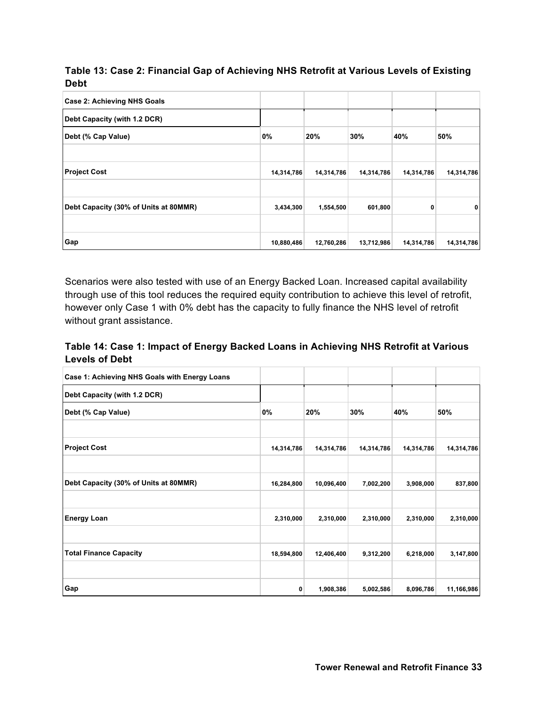| Table 13: Case 2: Financial Gap of Achieving NHS Retrofit at Various Levels of Existing |  |
|-----------------------------------------------------------------------------------------|--|
| <b>Debt</b>                                                                             |  |

| <b>Case 2: Achieving NHS Goals</b>    |            |            |            |            |            |
|---------------------------------------|------------|------------|------------|------------|------------|
| Debt Capacity (with 1.2 DCR)          |            |            |            |            |            |
| Debt (% Cap Value)                    | 0%         | 20%        | 30%        | 40%        | 50%        |
|                                       |            |            |            |            |            |
| <b>Project Cost</b>                   | 14,314,786 | 14,314,786 | 14,314,786 | 14,314,786 | 14,314,786 |
|                                       |            |            |            |            |            |
| Debt Capacity (30% of Units at 80MMR) | 3,434,300  | 1,554,500  | 601,800    | 0          | 0          |
|                                       |            |            |            |            |            |
| Gap                                   | 10,880,486 | 12,760,286 | 13,712,986 | 14,314,786 | 14,314,786 |

Scenarios were also tested with use of an Energy Backed Loan. Increased capital availability through use of this tool reduces the required equity contribution to achieve this level of retrofit, however only Case 1 with 0% debt has the capacity to fully finance the NHS level of retrofit without grant assistance.

# **Table 14: Case 1: Impact of Energy Backed Loans in Achieving NHS Retrofit at Various Levels of Debt**

| Case 1: Achieving NHS Goals with Energy Loans |            |            |            |            |            |
|-----------------------------------------------|------------|------------|------------|------------|------------|
| Debt Capacity (with 1.2 DCR)                  |            |            |            |            |            |
| Debt (% Cap Value)                            | 0%         | 20%        | 30%        | 40%        | 50%        |
|                                               |            |            |            |            |            |
| <b>Project Cost</b>                           | 14,314,786 | 14,314,786 | 14,314,786 | 14,314,786 | 14,314,786 |
|                                               |            |            |            |            |            |
| Debt Capacity (30% of Units at 80MMR)         | 16,284,800 | 10,096,400 | 7,002,200  | 3,908,000  | 837,800    |
|                                               |            |            |            |            |            |
| <b>Energy Loan</b>                            | 2,310,000  | 2,310,000  | 2,310,000  | 2,310,000  | 2,310,000  |
|                                               |            |            |            |            |            |
| <b>Total Finance Capacity</b>                 | 18,594,800 | 12,406,400 | 9,312,200  | 6,218,000  | 3,147,800  |
|                                               |            |            |            |            |            |
| Gap                                           | 0          | 1,908,386  | 5,002,586  | 8,096,786  | 11,166,986 |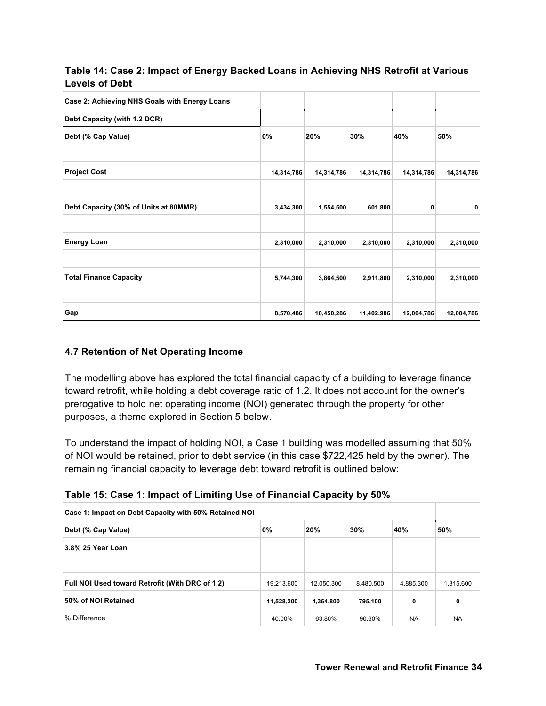## **Table 14: Case 2: Impact of Energy Backed Loans in Achieving NHS Retrofit at Various Levels of Debt**

| Case 2: Achieving NHS Goals with Energy Loans |            |            |            |            |            |
|-----------------------------------------------|------------|------------|------------|------------|------------|
| Debt Capacity (with 1.2 DCR)                  |            |            |            |            |            |
| Debt (% Cap Value)                            | 0%         | 20%        | 30%        | 40%        | 50%        |
|                                               |            |            |            |            |            |
| <b>Project Cost</b>                           | 14,314,786 | 14,314,786 | 14,314,786 | 14,314,786 | 14,314,786 |
|                                               |            |            |            |            |            |
| Debt Capacity (30% of Units at 80MMR)         | 3,434,300  | 1,554,500  | 601,800    | 0          | 0          |
|                                               |            |            |            |            |            |
| <b>Energy Loan</b>                            | 2,310,000  | 2,310,000  | 2,310,000  | 2,310,000  | 2,310,000  |
|                                               |            |            |            |            |            |
| <b>Total Finance Capacity</b>                 | 5,744,300  | 3,864,500  | 2,911,800  | 2,310,000  | 2,310,000  |
|                                               |            |            |            |            |            |
| Gap                                           | 8,570,486  | 10,450,286 | 11,402,986 | 12,004,786 | 12,004,786 |

# **4.7 Retention of Net Operating Income**

The modelling above has explored the total financial capacity of a building to leverage finance toward retrofit, while holding a debt coverage ratio of 1.2. It does not account for the owner's prerogative to hold net operating income (NOI) generated through the property for other purposes, a theme explored in Section 5 below.

To understand the impact of holding NOI, a Case 1 building was modelled assuming that 50% of NOI would be retained, prior to debt service (in this case \$722,425 held by the owner). The remaining financial capacity to leverage debt toward retrofit is outlined below:

| Table 15: Case 1: Impact of Limiting Use of Financial Capacity by 50% |  |  |  |  |  |
|-----------------------------------------------------------------------|--|--|--|--|--|
|-----------------------------------------------------------------------|--|--|--|--|--|

| Case 1: Impact on Debt Capacity with 50% Retained NOI  |            |            |           |           |           |  |  |
|--------------------------------------------------------|------------|------------|-----------|-----------|-----------|--|--|
| 0%<br>20%<br>30%<br>40%<br>Debt (% Cap Value)          |            |            |           |           |           |  |  |
| 13.8% 25 Year Loan                                     |            |            |           |           |           |  |  |
|                                                        |            |            |           |           |           |  |  |
| <b>Full NOI Used toward Retrofit (With DRC of 1.2)</b> | 19,213,600 | 12,050,300 | 8,480,500 | 4,885,300 | 1,315,600 |  |  |
| 50% of NOI Retained                                    | 11,528,200 | 4,364,800  | 795,100   | 0         | 0         |  |  |
| I% Difference                                          | 40.00%     | 63.80%     | 90.60%    | <b>NA</b> | <b>NA</b> |  |  |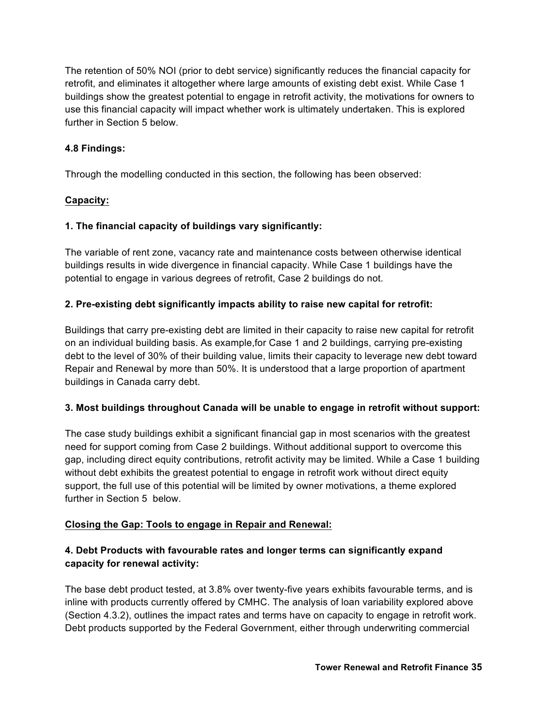The retention of 50% NOI (prior to debt service) significantly reduces the financial capacity for retrofit, and eliminates it altogether where large amounts of existing debt exist. While Case 1 buildings show the greatest potential to engage in retrofit activity, the motivations for owners to use this financial capacity will impact whether work is ultimately undertaken. This is explored further in Section 5 below.

## **4.8 Findings:**

Through the modelling conducted in this section, the following has been observed:

# **Capacity:**

## **1. The financial capacity of buildings vary significantly:**

The variable of rent zone, vacancy rate and maintenance costs between otherwise identical buildings results in wide divergence in financial capacity. While Case 1 buildings have the potential to engage in various degrees of retrofit, Case 2 buildings do not.

# **2. Pre-existing debt significantly impacts ability to raise new capital for retrofit:**

Buildings that carry pre-existing debt are limited in their capacity to raise new capital for retrofit on an individual building basis. As example,for Case 1 and 2 buildings, carrying pre-existing debt to the level of 30% of their building value, limits their capacity to leverage new debt toward Repair and Renewal by more than 50%. It is understood that a large proportion of apartment buildings in Canada carry debt.

#### **3. Most buildings throughout Canada will be unable to engage in retrofit without support:**

The case study buildings exhibit a significant financial gap in most scenarios with the greatest need for support coming from Case 2 buildings. Without additional support to overcome this gap, including direct equity contributions, retrofit activity may be limited. While a Case 1 building without debt exhibits the greatest potential to engage in retrofit work without direct equity support, the full use of this potential will be limited by owner motivations, a theme explored further in Section 5 below.

#### **Closing the Gap: Tools to engage in Repair and Renewal:**

# **4. Debt Products with favourable rates and longer terms can significantly expand capacity for renewal activity:**

The base debt product tested, at 3.8% over twenty-five years exhibits favourable terms, and is inline with products currently offered by CMHC. The analysis of loan variability explored above (Section 4.3.2), outlines the impact rates and terms have on capacity to engage in retrofit work. Debt products supported by the Federal Government, either through underwriting commercial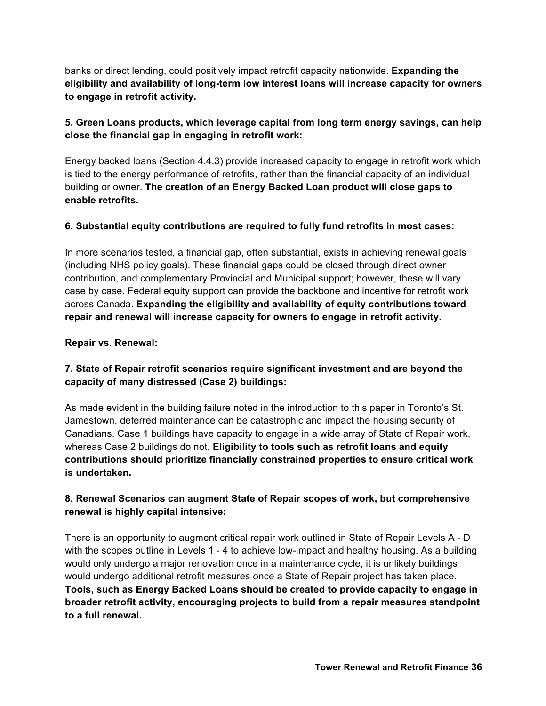banks or direct lending, could positively impact retrofit capacity nationwide. **Expanding the eligibility and availability of long-term low interest loans will increase capacity for owners to engage in retrofit activity.** 

# **5. Green Loans products, which leverage capital from long term energy savings, can help close the financial gap in engaging in retrofit work:**

Energy backed loans (Section 4.4.3) provide increased capacity to engage in retrofit work which is tied to the energy performance of retrofits, rather than the financial capacity of an individual building or owner. **The creation of an Energy Backed Loan product will close gaps to enable retrofits.** 

# **6. Substantial equity contributions are required to fully fund retrofits in most cases:**

In more scenarios tested, a financial gap, often substantial, exists in achieving renewal goals (including NHS policy goals). These financial gaps could be closed through direct owner contribution, and complementary Provincial and Municipal support; however, these will vary case by case. Federal equity support can provide the backbone and incentive for retrofit work across Canada. **Expanding the eligibility and availability of equity contributions toward repair and renewal will increase capacity for owners to engage in retrofit activity.** 

#### **Repair vs. Renewal:**

# **7. State of Repair retrofit scenarios require significant investment and are beyond the capacity of many distressed (Case 2) buildings:**

As made evident in the building failure noted in the introduction to this paper in Toronto's St. Jamestown, deferred maintenance can be catastrophic and impact the housing security of Canadians. Case 1 buildings have capacity to engage in a wide array of State of Repair work, whereas Case 2 buildings do not. **Eligibility to tools such as retrofit loans and equity contributions should prioritize financially constrained properties to ensure critical work is undertaken.** 

# **8. Renewal Scenarios can augment State of Repair scopes of work, but comprehensive renewal is highly capital intensive:**

There is an opportunity to augment critical repair work outlined in State of Repair Levels A - D with the scopes outline in Levels 1 - 4 to achieve low-impact and healthy housing. As a building would only undergo a major renovation once in a maintenance cycle, it is unlikely buildings would undergo additional retrofit measures once a State of Repair project has taken place. **Tools, such as Energy Backed Loans should be created to provide capacity to engage in broader retrofit activity, encouraging projects to build from a repair measures standpoint to a full renewal.**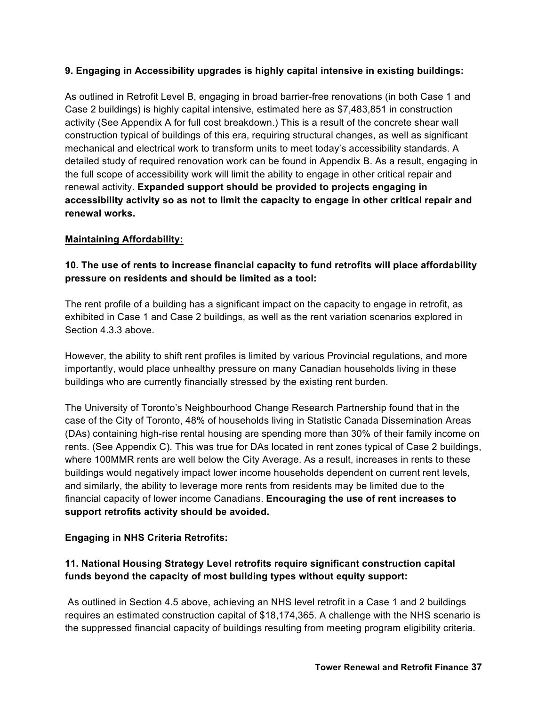# **9. Engaging in Accessibility upgrades is highly capital intensive in existing buildings:**

As outlined in Retrofit Level B, engaging in broad barrier-free renovations (in both Case 1 and Case 2 buildings) is highly capital intensive, estimated here as \$7,483,851 in construction activity (See Appendix A for full cost breakdown.) This is a result of the concrete shear wall construction typical of buildings of this era, requiring structural changes, as well as significant mechanical and electrical work to transform units to meet today's accessibility standards. A detailed study of required renovation work can be found in Appendix B. As a result, engaging in the full scope of accessibility work will limit the ability to engage in other critical repair and renewal activity. **Expanded support should be provided to projects engaging in accessibility activity so as not to limit the capacity to engage in other critical repair and renewal works.** 

#### **Maintaining Affordability:**

**10. The use of rents to increase financial capacity to fund retrofits will place affordability pressure on residents and should be limited as a tool:** 

The rent profile of a building has a significant impact on the capacity to engage in retrofit, as exhibited in Case 1 and Case 2 buildings, as well as the rent variation scenarios explored in Section 4.3.3 above.

However, the ability to shift rent profiles is limited by various Provincial regulations, and more importantly, would place unhealthy pressure on many Canadian households living in these buildings who are currently financially stressed by the existing rent burden.

The University of Toronto's Neighbourhood Change Research Partnership found that in the case of the City of Toronto, 48% of households living in Statistic Canada Dissemination Areas (DAs) containing high-rise rental housing are spending more than 30% of their family income on rents. (See Appendix C). This was true for DAs located in rent zones typical of Case 2 buildings, where 100MMR rents are well below the City Average. As a result, increases in rents to these buildings would negatively impact lower income households dependent on current rent levels, and similarly, the ability to leverage more rents from residents may be limited due to the financial capacity of lower income Canadians. **Encouraging the use of rent increases to support retrofits activity should be avoided.**

# **Engaging in NHS Criteria Retrofits:**

# **11. National Housing Strategy Level retrofits require significant construction capital funds beyond the capacity of most building types without equity support:**

As outlined in Section 4.5 above, achieving an NHS level retrofit in a Case 1 and 2 buildings requires an estimated construction capital of \$18,174,365. A challenge with the NHS scenario is the suppressed financial capacity of buildings resulting from meeting program eligibility criteria.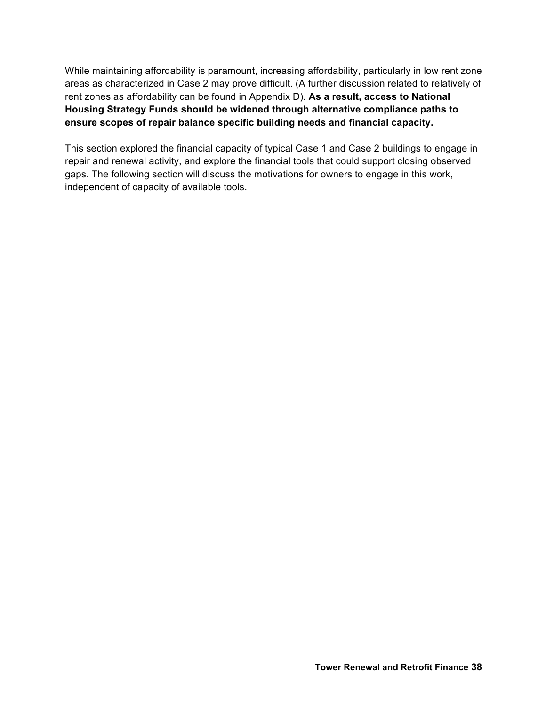While maintaining affordability is paramount, increasing affordability, particularly in low rent zone areas as characterized in Case 2 may prove difficult. (A further discussion related to relatively of rent zones as affordability can be found in Appendix D). **As a result, access to National Housing Strategy Funds should be widened through alternative compliance paths to ensure scopes of repair balance specific building needs and financial capacity.**

This section explored the financial capacity of typical Case 1 and Case 2 buildings to engage in repair and renewal activity, and explore the financial tools that could support closing observed gaps. The following section will discuss the motivations for owners to engage in this work, independent of capacity of available tools.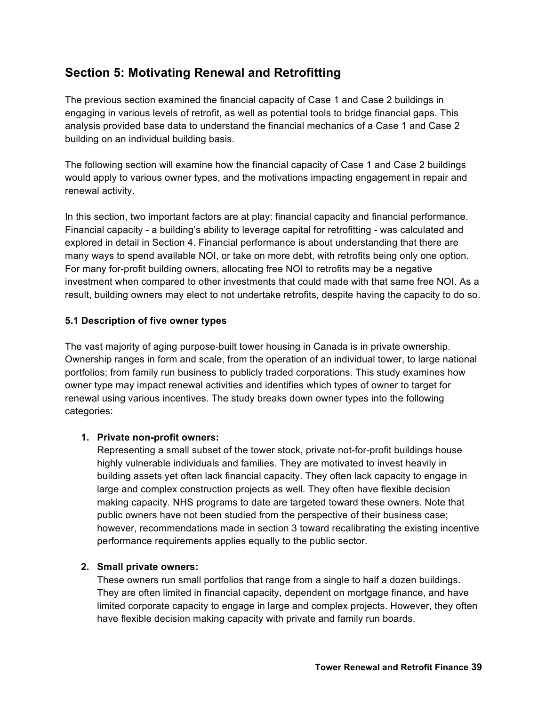# **Section 5: Motivating Renewal and Retrofitting**

The previous section examined the financial capacity of Case 1 and Case 2 buildings in engaging in various levels of retrofit, as well as potential tools to bridge financial gaps. This analysis provided base data to understand the financial mechanics of a Case 1 and Case 2 building on an individual building basis.

The following section will examine how the financial capacity of Case 1 and Case 2 buildings would apply to various owner types, and the motivations impacting engagement in repair and renewal activity.

In this section, two important factors are at play: financial capacity and financial performance. Financial capacity - a building's ability to leverage capital for retrofitting - was calculated and explored in detail in Section 4. Financial performance is about understanding that there are many ways to spend available NOI, or take on more debt, with retrofits being only one option. For many for-profit building owners, allocating free NOI to retrofits may be a negative investment when compared to other investments that could made with that same free NOI. As a result, building owners may elect to not undertake retrofits, despite having the capacity to do so.

#### **5.1 Description of five owner types**

The vast majority of aging purpose-built tower housing in Canada is in private ownership. Ownership ranges in form and scale, from the operation of an individual tower, to large national portfolios; from family run business to publicly traded corporations. This study examines how owner type may impact renewal activities and identifies which types of owner to target for renewal using various incentives. The study breaks down owner types into the following categories:

#### **1. Private non-profit owners:**

Representing a small subset of the tower stock, private not-for-profit buildings house highly vulnerable individuals and families. They are motivated to invest heavily in building assets yet often lack financial capacity. They often lack capacity to engage in large and complex construction projects as well. They often have flexible decision making capacity. NHS programs to date are targeted toward these owners. Note that public owners have not been studied from the perspective of their business case; however, recommendations made in section 3 toward recalibrating the existing incentive performance requirements applies equally to the public sector.

#### **2. Small private owners:**

These owners run small portfolios that range from a single to half a dozen buildings. They are often limited in financial capacity, dependent on mortgage finance, and have limited corporate capacity to engage in large and complex projects. However, they often have flexible decision making capacity with private and family run boards.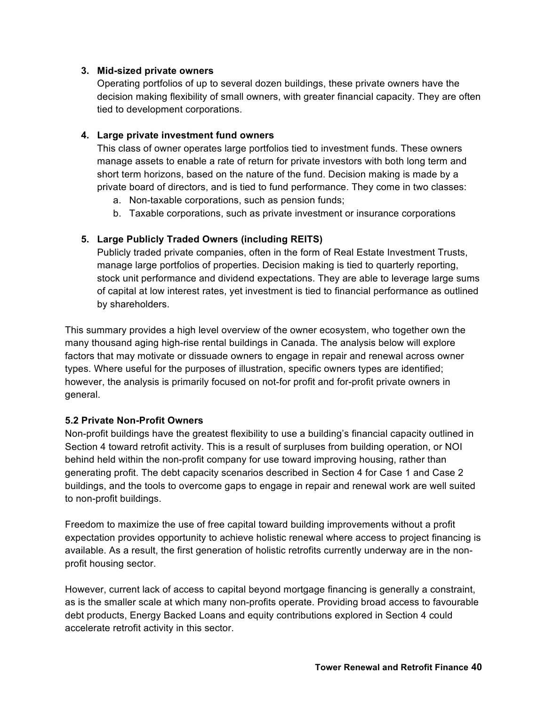#### **3. Mid-sized private owners**

Operating portfolios of up to several dozen buildings, these private owners have the decision making flexibility of small owners, with greater financial capacity. They are often tied to development corporations.

#### **4. Large private investment fund owners**

This class of owner operates large portfolios tied to investment funds. These owners manage assets to enable a rate of return for private investors with both long term and short term horizons, based on the nature of the fund. Decision making is made by a private board of directors, and is tied to fund performance. They come in two classes:

- a. Non-taxable corporations, such as pension funds;
- b. Taxable corporations, such as private investment or insurance corporations

#### **5. Large Publicly Traded Owners (including REITS)**

Publicly traded private companies, often in the form of Real Estate Investment Trusts, manage large portfolios of properties. Decision making is tied to quarterly reporting, stock unit performance and dividend expectations. They are able to leverage large sums of capital at low interest rates, yet investment is tied to financial performance as outlined by shareholders.

This summary provides a high level overview of the owner ecosystem, who together own the many thousand aging high-rise rental buildings in Canada. The analysis below will explore factors that may motivate or dissuade owners to engage in repair and renewal across owner types. Where useful for the purposes of illustration, specific owners types are identified; however, the analysis is primarily focused on not-for profit and for-profit private owners in general.

#### **5.2 Private Non-Profit Owners**

Non-profit buildings have the greatest flexibility to use a building's financial capacity outlined in Section 4 toward retrofit activity. This is a result of surpluses from building operation, or NOI behind held within the non-profit company for use toward improving housing, rather than generating profit. The debt capacity scenarios described in Section 4 for Case 1 and Case 2 buildings, and the tools to overcome gaps to engage in repair and renewal work are well suited to non-profit buildings.

Freedom to maximize the use of free capital toward building improvements without a profit expectation provides opportunity to achieve holistic renewal where access to project financing is available. As a result, the first generation of holistic retrofits currently underway are in the nonprofit housing sector.

However, current lack of access to capital beyond mortgage financing is generally a constraint, as is the smaller scale at which many non-profits operate. Providing broad access to favourable debt products, Energy Backed Loans and equity contributions explored in Section 4 could accelerate retrofit activity in this sector.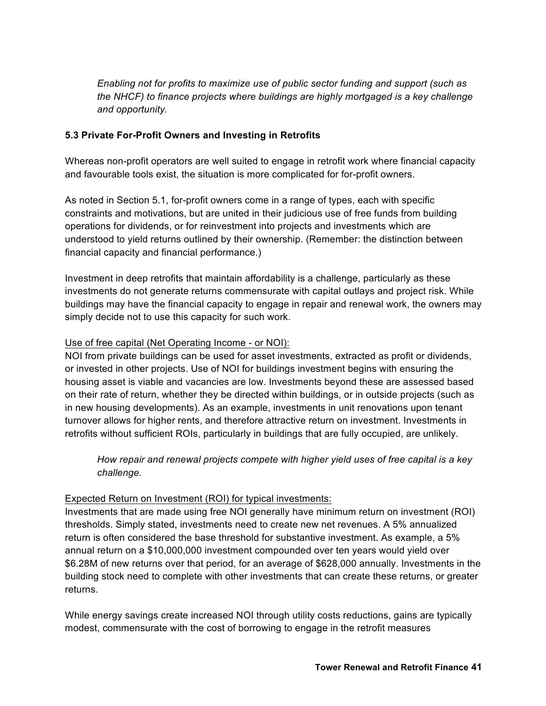*Enabling not for profits to maximize use of public sector funding and support (such as the NHCF) to finance projects where buildings are highly mortgaged is a key challenge and opportunity.* 

#### **5.3 Private For-Profit Owners and Investing in Retrofits**

Whereas non-profit operators are well suited to engage in retrofit work where financial capacity and favourable tools exist, the situation is more complicated for for-profit owners.

As noted in Section 5.1, for-profit owners come in a range of types, each with specific constraints and motivations, but are united in their judicious use of free funds from building operations for dividends, or for reinvestment into projects and investments which are understood to yield returns outlined by their ownership. (Remember: the distinction between financial capacity and financial performance.)

Investment in deep retrofits that maintain affordability is a challenge, particularly as these investments do not generate returns commensurate with capital outlays and project risk. While buildings may have the financial capacity to engage in repair and renewal work, the owners may simply decide not to use this capacity for such work.

#### Use of free capital (Net Operating Income - or NOI):

NOI from private buildings can be used for asset investments, extracted as profit or dividends, or invested in other projects. Use of NOI for buildings investment begins with ensuring the housing asset is viable and vacancies are low. Investments beyond these are assessed based on their rate of return, whether they be directed within buildings, or in outside projects (such as in new housing developments). As an example, investments in unit renovations upon tenant turnover allows for higher rents, and therefore attractive return on investment. Investments in retrofits without sufficient ROIs, particularly in buildings that are fully occupied, are unlikely.

*How repair and renewal projects compete with higher yield uses of free capital is a key challenge.* 

#### Expected Return on Investment (ROI) for typical investments:

Investments that are made using free NOI generally have minimum return on investment (ROI) thresholds. Simply stated, investments need to create new net revenues. A 5% annualized return is often considered the base threshold for substantive investment. As example, a 5% annual return on a \$10,000,000 investment compounded over ten years would yield over \$6.28M of new returns over that period, for an average of \$628,000 annually. Investments in the building stock need to complete with other investments that can create these returns, or greater returns.

While energy savings create increased NOI through utility costs reductions, gains are typically modest, commensurate with the cost of borrowing to engage in the retrofit measures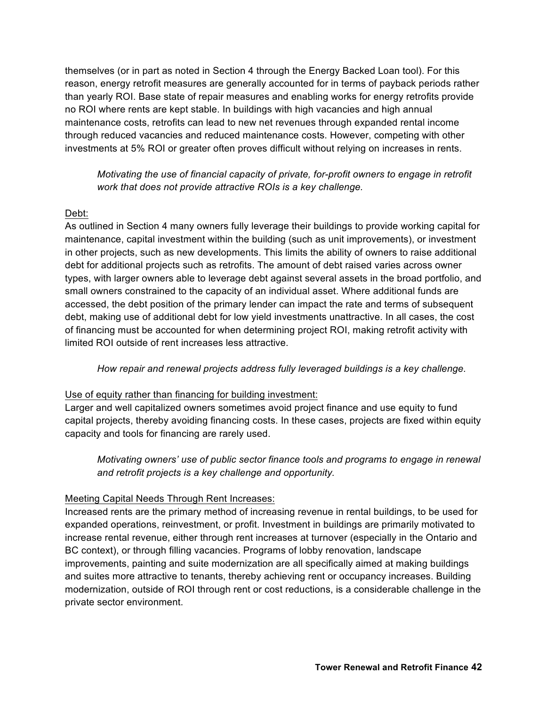themselves (or in part as noted in Section 4 through the Energy Backed Loan tool). For this reason, energy retrofit measures are generally accounted for in terms of payback periods rather than yearly ROI. Base state of repair measures and enabling works for energy retrofits provide no ROI where rents are kept stable. In buildings with high vacancies and high annual maintenance costs, retrofits can lead to new net revenues through expanded rental income through reduced vacancies and reduced maintenance costs. However, competing with other investments at 5% ROI or greater often proves difficult without relying on increases in rents.

# *Motivating the use of financial capacity of private, for-profit owners to engage in retrofit work that does not provide attractive ROIs is a key challenge.*

# Debt:

As outlined in Section 4 many owners fully leverage their buildings to provide working capital for maintenance, capital investment within the building (such as unit improvements), or investment in other projects, such as new developments. This limits the ability of owners to raise additional debt for additional projects such as retrofits. The amount of debt raised varies across owner types, with larger owners able to leverage debt against several assets in the broad portfolio, and small owners constrained to the capacity of an individual asset. Where additional funds are accessed, the debt position of the primary lender can impact the rate and terms of subsequent debt, making use of additional debt for low yield investments unattractive. In all cases, the cost of financing must be accounted for when determining project ROI, making retrofit activity with limited ROI outside of rent increases less attractive.

#### *How repair and renewal projects address fully leveraged buildings is a key challenge.*

#### Use of equity rather than financing for building investment:

Larger and well capitalized owners sometimes avoid project finance and use equity to fund capital projects, thereby avoiding financing costs. In these cases, projects are fixed within equity capacity and tools for financing are rarely used.

# *Motivating owners' use of public sector finance tools and programs to engage in renewal and retrofit projects is a key challenge and opportunity.*

#### Meeting Capital Needs Through Rent Increases:

Increased rents are the primary method of increasing revenue in rental buildings, to be used for expanded operations, reinvestment, or profit. Investment in buildings are primarily motivated to increase rental revenue, either through rent increases at turnover (especially in the Ontario and BC context), or through filling vacancies. Programs of lobby renovation, landscape improvements, painting and suite modernization are all specifically aimed at making buildings and suites more attractive to tenants, thereby achieving rent or occupancy increases. Building modernization, outside of ROI through rent or cost reductions, is a considerable challenge in the private sector environment.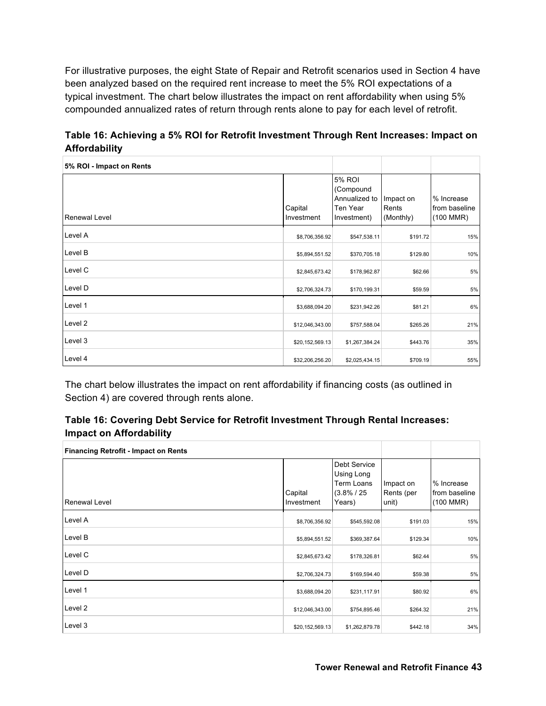For illustrative purposes, the eight State of Repair and Retrofit scenarios used in Section 4 have been analyzed based on the required rent increase to meet the 5% ROI expectations of a typical investment. The chart below illustrates the impact on rent affordability when using 5% compounded annualized rates of return through rents alone to pay for each level of retrofit.

**Table 16: Achieving a 5% ROI for Retrofit Investment Through Rent Increases: Impact on Affordability** 

| 5% ROI - Impact on Rents |                       |                                                                 |                                 |                                            |
|--------------------------|-----------------------|-----------------------------------------------------------------|---------------------------------|--------------------------------------------|
| <b>Renewal Level</b>     | Capital<br>Investment | 5% ROI<br>(Compound<br>Annualized to<br>Ten Year<br>Investment) | Impact on<br>Rents<br>(Monthly) | % Increase<br>from baseline<br>$(100$ MMR) |
| Level A                  | \$8,706,356.92        | \$547,538.11                                                    | \$191.72                        | 15%                                        |
| Level B                  | \$5,894,551.52        | \$370,705.18                                                    | \$129.80                        | 10%                                        |
| Level C                  | \$2,845,673.42        | \$178,962.87                                                    | \$62.66                         | 5%                                         |
| Level D                  | \$2,706,324.73        | \$170,199.31                                                    | \$59.59                         | 5%                                         |
| Level 1                  | \$3,688,094.20        | \$231,942.26                                                    | \$81.21                         | 6%                                         |
| Level 2                  | \$12,046,343.00       | \$757,588.04                                                    | \$265.26                        | 21%                                        |
| Level 3                  | \$20,152,569.13       | \$1,267,384.24                                                  | \$443.76                        | 35%                                        |
| Level 4                  | \$32,206,256.20       | \$2,025,434.15                                                  | \$709.19                        | 55%                                        |

The chart below illustrates the impact on rent affordability if financing costs (as outlined in Section 4) are covered through rents alone.

| Table 16: Covering Debt Service for Retrofit Investment Through Rental Increases: |
|-----------------------------------------------------------------------------------|
| <b>Impact on Affordability</b>                                                    |

| <b>Financing Retrofit - Impact on Rents</b> |                       |                                                                      |                                  |                                                    |
|---------------------------------------------|-----------------------|----------------------------------------------------------------------|----------------------------------|----------------------------------------------------|
| Renewal Level                               | Capital<br>Investment | Debt Service<br>Using Long<br>Term Loans<br>$(3.8\% / 25)$<br>Years) | Impact on<br>Rents (per<br>unit) | % Increase<br>from baseline<br>$(100 \text{ MMR})$ |
| Level A                                     | \$8,706,356.92        | \$545,592.08                                                         | \$191.03                         | 15%                                                |
| Level B                                     | \$5,894,551.52        | \$369,387.64                                                         | \$129.34                         | 10%                                                |
| Level C                                     | \$2,845,673.42        | \$178,326.81                                                         | \$62.44                          | 5%                                                 |
| Level D                                     | \$2,706,324.73        | \$169,594.40                                                         | \$59.38                          | 5%                                                 |
| Level 1                                     | \$3,688,094.20        | \$231,117.91                                                         | \$80.92                          | 6%                                                 |
| Level 2                                     | \$12,046,343.00       | \$754,895.46                                                         | \$264.32                         | 21%                                                |
| Level 3                                     | \$20,152,569.13       | \$1,262,879.78                                                       | \$442.18                         | 34%                                                |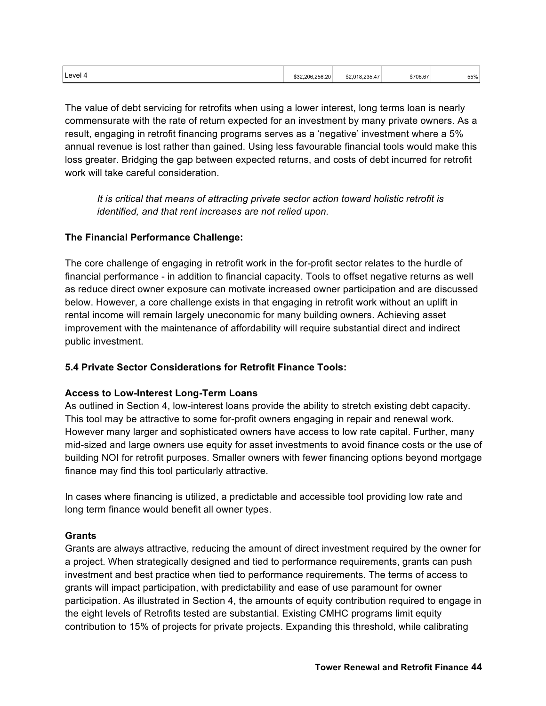| ∟evel∽ | 2.206.256.20<br>. | 235<br>$\overline{\phantom{a}}$<br>\$2.018<br>J18.235.4 | \$706.67<br>. | 55%<br>. |
|--------|-------------------|---------------------------------------------------------|---------------|----------|
|        |                   |                                                         |               |          |

The value of debt servicing for retrofits when using a lower interest, long terms loan is nearly commensurate with the rate of return expected for an investment by many private owners. As a result, engaging in retrofit financing programs serves as a 'negative' investment where a 5% annual revenue is lost rather than gained. Using less favourable financial tools would make this loss greater. Bridging the gap between expected returns, and costs of debt incurred for retrofit work will take careful consideration.

*It is critical that means of attracting private sector action toward holistic retrofit is identified, and that rent increases are not relied upon.*

#### **The Financial Performance Challenge:**

The core challenge of engaging in retrofit work in the for-profit sector relates to the hurdle of financial performance - in addition to financial capacity. Tools to offset negative returns as well as reduce direct owner exposure can motivate increased owner participation and are discussed below. However, a core challenge exists in that engaging in retrofit work without an uplift in rental income will remain largely uneconomic for many building owners. Achieving asset improvement with the maintenance of affordability will require substantial direct and indirect public investment.

#### **5.4 Private Sector Considerations for Retrofit Finance Tools:**

#### **Access to Low-Interest Long-Term Loans**

As outlined in Section 4, low-interest loans provide the ability to stretch existing debt capacity. This tool may be attractive to some for-profit owners engaging in repair and renewal work. However many larger and sophisticated owners have access to low rate capital. Further, many mid-sized and large owners use equity for asset investments to avoid finance costs or the use of building NOI for retrofit purposes. Smaller owners with fewer financing options beyond mortgage finance may find this tool particularly attractive.

In cases where financing is utilized, a predictable and accessible tool providing low rate and long term finance would benefit all owner types.

#### **Grants**

Grants are always attractive, reducing the amount of direct investment required by the owner for a project. When strategically designed and tied to performance requirements, grants can push investment and best practice when tied to performance requirements. The terms of access to grants will impact participation, with predictability and ease of use paramount for owner participation. As illustrated in Section 4, the amounts of equity contribution required to engage in the eight levels of Retrofits tested are substantial. Existing CMHC programs limit equity contribution to 15% of projects for private projects. Expanding this threshold, while calibrating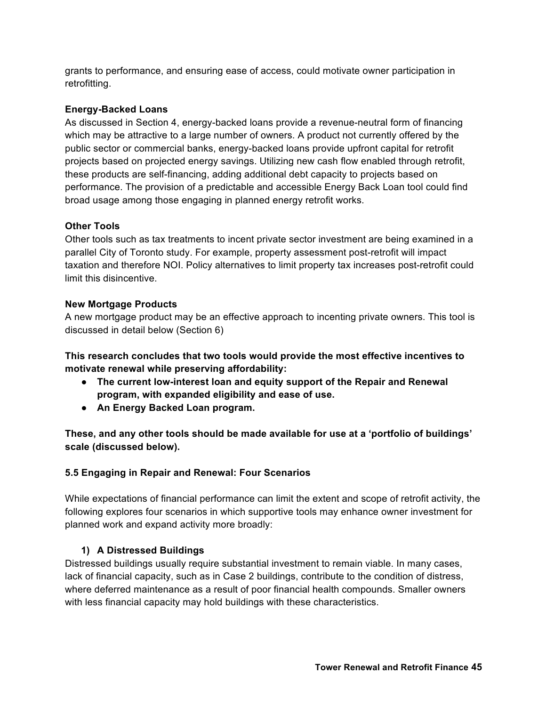grants to performance, and ensuring ease of access, could motivate owner participation in retrofitting.

#### **Energy-Backed Loans**

As discussed in Section 4, energy-backed loans provide a revenue-neutral form of financing which may be attractive to a large number of owners. A product not currently offered by the public sector or commercial banks, energy-backed loans provide upfront capital for retrofit projects based on projected energy savings. Utilizing new cash flow enabled through retrofit, these products are self-financing, adding additional debt capacity to projects based on performance. The provision of a predictable and accessible Energy Back Loan tool could find broad usage among those engaging in planned energy retrofit works.

#### **Other Tools**

Other tools such as tax treatments to incent private sector investment are being examined in a parallel City of Toronto study. For example, property assessment post-retrofit will impact taxation and therefore NOI. Policy alternatives to limit property tax increases post-retrofit could limit this disincentive.

#### **New Mortgage Products**

A new mortgage product may be an effective approach to incenting private owners. This tool is discussed in detail below (Section 6)

**This research concludes that two tools would provide the most effective incentives to motivate renewal while preserving affordability:**

- **The current low-interest loan and equity support of the Repair and Renewal program, with expanded eligibility and ease of use.**
- **An Energy Backed Loan program.**

**These, and any other tools should be made available for use at a 'portfolio of buildings' scale (discussed below).** 

# **5.5 Engaging in Repair and Renewal: Four Scenarios**

While expectations of financial performance can limit the extent and scope of retrofit activity, the following explores four scenarios in which supportive tools may enhance owner investment for planned work and expand activity more broadly:

#### **1) A Distressed Buildings**

Distressed buildings usually require substantial investment to remain viable. In many cases, lack of financial capacity, such as in Case 2 buildings, contribute to the condition of distress, where deferred maintenance as a result of poor financial health compounds. Smaller owners with less financial capacity may hold buildings with these characteristics.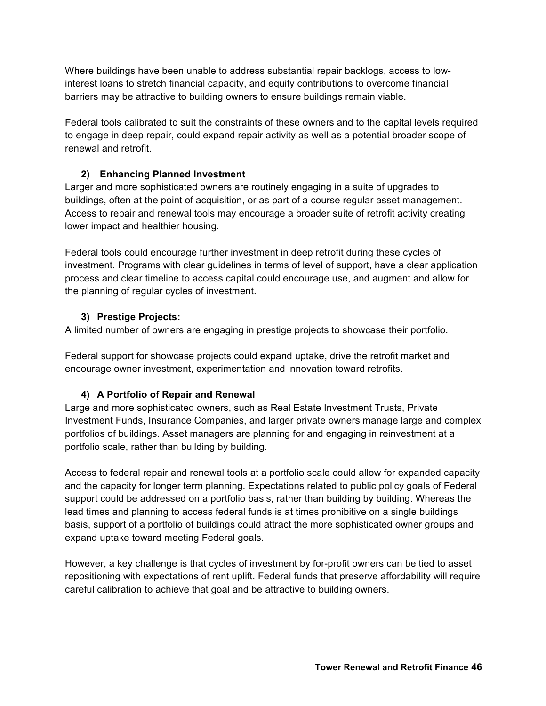Where buildings have been unable to address substantial repair backlogs, access to lowinterest loans to stretch financial capacity, and equity contributions to overcome financial barriers may be attractive to building owners to ensure buildings remain viable.

Federal tools calibrated to suit the constraints of these owners and to the capital levels required to engage in deep repair, could expand repair activity as well as a potential broader scope of renewal and retrofit.

#### **2) Enhancing Planned Investment**

Larger and more sophisticated owners are routinely engaging in a suite of upgrades to buildings, often at the point of acquisition, or as part of a course regular asset management. Access to repair and renewal tools may encourage a broader suite of retrofit activity creating lower impact and healthier housing.

Federal tools could encourage further investment in deep retrofit during these cycles of investment. Programs with clear guidelines in terms of level of support, have a clear application process and clear timeline to access capital could encourage use, and augment and allow for the planning of regular cycles of investment.

#### **3) Prestige Projects:**

A limited number of owners are engaging in prestige projects to showcase their portfolio.

Federal support for showcase projects could expand uptake, drive the retrofit market and encourage owner investment, experimentation and innovation toward retrofits.

# **4) A Portfolio of Repair and Renewal**

Large and more sophisticated owners, such as Real Estate Investment Trusts, Private Investment Funds, Insurance Companies, and larger private owners manage large and complex portfolios of buildings. Asset managers are planning for and engaging in reinvestment at a portfolio scale, rather than building by building.

Access to federal repair and renewal tools at a portfolio scale could allow for expanded capacity and the capacity for longer term planning. Expectations related to public policy goals of Federal support could be addressed on a portfolio basis, rather than building by building. Whereas the lead times and planning to access federal funds is at times prohibitive on a single buildings basis, support of a portfolio of buildings could attract the more sophisticated owner groups and expand uptake toward meeting Federal goals.

However, a key challenge is that cycles of investment by for-profit owners can be tied to asset repositioning with expectations of rent uplift. Federal funds that preserve affordability will require careful calibration to achieve that goal and be attractive to building owners.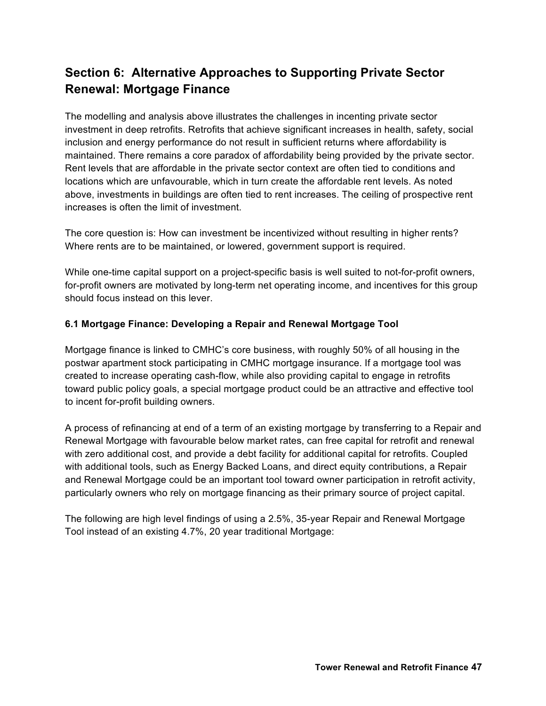# **Section 6: Alternative Approaches to Supporting Private Sector Renewal: Mortgage Finance**

The modelling and analysis above illustrates the challenges in incenting private sector investment in deep retrofits. Retrofits that achieve significant increases in health, safety, social inclusion and energy performance do not result in sufficient returns where affordability is maintained. There remains a core paradox of affordability being provided by the private sector. Rent levels that are affordable in the private sector context are often tied to conditions and locations which are unfavourable, which in turn create the affordable rent levels. As noted above, investments in buildings are often tied to rent increases. The ceiling of prospective rent increases is often the limit of investment.

The core question is: How can investment be incentivized without resulting in higher rents? Where rents are to be maintained, or lowered, government support is required.

While one-time capital support on a project-specific basis is well suited to not-for-profit owners, for-profit owners are motivated by long-term net operating income, and incentives for this group should focus instead on this lever.

# **6.1 Mortgage Finance: Developing a Repair and Renewal Mortgage Tool**

Mortgage finance is linked to CMHC's core business, with roughly 50% of all housing in the postwar apartment stock participating in CMHC mortgage insurance. If a mortgage tool was created to increase operating cash-flow, while also providing capital to engage in retrofits toward public policy goals, a special mortgage product could be an attractive and effective tool to incent for-profit building owners.

A process of refinancing at end of a term of an existing mortgage by transferring to a Repair and Renewal Mortgage with favourable below market rates, can free capital for retrofit and renewal with zero additional cost, and provide a debt facility for additional capital for retrofits. Coupled with additional tools, such as Energy Backed Loans, and direct equity contributions, a Repair and Renewal Mortgage could be an important tool toward owner participation in retrofit activity, particularly owners who rely on mortgage financing as their primary source of project capital.

The following are high level findings of using a 2.5%, 35-year Repair and Renewal Mortgage Tool instead of an existing 4.7%, 20 year traditional Mortgage: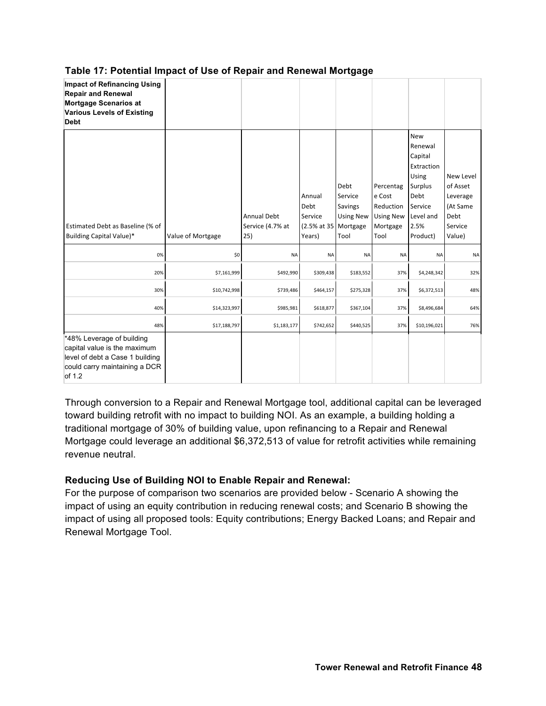| <b>Impact of Refinancing Using</b><br><b>Repair and Renewal</b><br>Mortgage Scenarios at<br><b>Various Levels of Existing</b><br><b>Debt</b> |                   |                                               |                                                             |                                                        |                                                                          |                                                                                                                        |                                                                            |
|----------------------------------------------------------------------------------------------------------------------------------------------|-------------------|-----------------------------------------------|-------------------------------------------------------------|--------------------------------------------------------|--------------------------------------------------------------------------|------------------------------------------------------------------------------------------------------------------------|----------------------------------------------------------------------------|
| Estimated Debt as Baseline (% of<br>Building Capital Value)*                                                                                 | Value of Mortgage | <b>Annual Debt</b><br>Service (4.7% at<br>25) | Annual<br>Debt<br>Service<br>(2.5% at 35 Mortgage<br>Years) | Debt<br>Service<br>Savings<br><b>Using New</b><br>Tool | Percentag<br>e Cost<br>Reduction<br><b>Using New</b><br>Mortgage<br>Tool | <b>New</b><br>Renewal<br>Capital<br>Extraction<br>Using<br>Surplus<br>Debt<br>Service<br>Level and<br>2.5%<br>Product) | New Level<br>of Asset<br>Leverage<br>(At Same<br>Debt<br>Service<br>Value) |
| 0%                                                                                                                                           | \$0               | <b>NA</b>                                     | NA                                                          | NA                                                     | <b>NA</b>                                                                | <b>NA</b>                                                                                                              | <b>NA</b>                                                                  |
| 20%                                                                                                                                          | \$7,161,999       | \$492,990                                     | \$309,438                                                   | \$183,552                                              | 37%                                                                      | \$4,248,342                                                                                                            | 32%                                                                        |
| 30%                                                                                                                                          | \$10,742,998      | \$739,486                                     | \$464,157                                                   | \$275,328                                              | 37%                                                                      | \$6,372,513                                                                                                            | 48%                                                                        |
| 40%                                                                                                                                          | \$14,323,997      | \$985,981                                     | \$618,877                                                   | \$367,104                                              | 37%                                                                      | \$8,496,684                                                                                                            | 64%                                                                        |
| 48%                                                                                                                                          | \$17,188,797      | \$1,183,177                                   | \$742,652                                                   | \$440,525                                              | 37%                                                                      | \$10,196,021                                                                                                           | 76%                                                                        |
| *48% Leverage of building<br>capital value is the maximum<br>level of debt a Case 1 building<br>could carry maintaining a DCR<br>of 1.2      |                   |                                               |                                                             |                                                        |                                                                          |                                                                                                                        |                                                                            |

**Table 17: Potential Impact of Use of Repair and Renewal Mortgage**

Through conversion to a Repair and Renewal Mortgage tool, additional capital can be leveraged toward building retrofit with no impact to building NOI. As an example, a building holding a traditional mortgage of 30% of building value, upon refinancing to a Repair and Renewal Mortgage could leverage an additional \$6,372,513 of value for retrofit activities while remaining revenue neutral.

# **Reducing Use of Building NOI to Enable Repair and Renewal:**

For the purpose of comparison two scenarios are provided below - Scenario A showing the impact of using an equity contribution in reducing renewal costs; and Scenario B showing the impact of using all proposed tools: Equity contributions; Energy Backed Loans; and Repair and Renewal Mortgage Tool.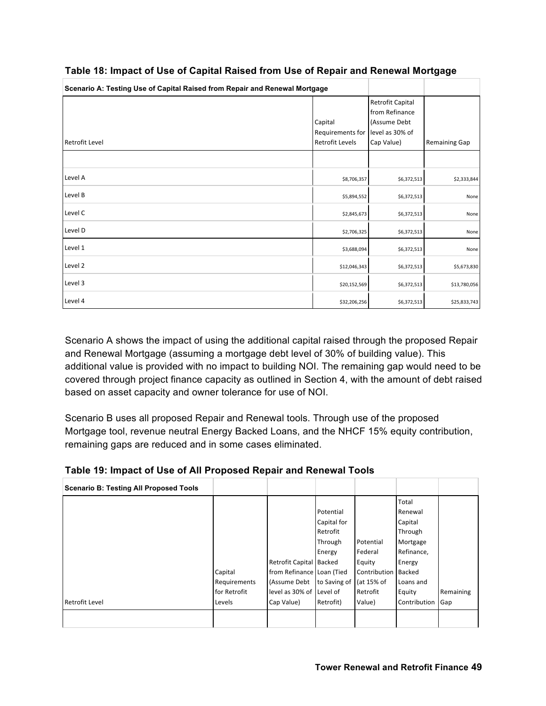| Scenario A: Testing Use of Capital Raised from Repair and Renewal Mortgage |                                                       |                                                                                     |                      |
|----------------------------------------------------------------------------|-------------------------------------------------------|-------------------------------------------------------------------------------------|----------------------|
| Retrofit Level                                                             | Capital<br>Requirements for<br><b>Retrofit Levels</b> | Retrofit Capital<br>from Refinance<br>(Assume Debt<br>level as 30% of<br>Cap Value) | <b>Remaining Gap</b> |
|                                                                            |                                                       |                                                                                     |                      |
| Level A                                                                    | \$8,706,357                                           | \$6,372,513                                                                         | \$2,333,844          |
| Level B                                                                    | \$5,894,552                                           | \$6,372,513                                                                         | None                 |
| Level C                                                                    | \$2,845,673                                           | \$6,372,513                                                                         | None                 |
| Level D                                                                    | \$2,706,325                                           | \$6,372,513                                                                         | None                 |
| Level 1                                                                    | \$3,688,094                                           | \$6,372,513                                                                         | None                 |
| Level 2                                                                    | \$12,046,343                                          | \$6,372,513                                                                         | \$5,673,830          |
| Level 3                                                                    | \$20,152,569                                          | \$6,372,513                                                                         | \$13,780,056         |
| Level 4                                                                    | \$32,206,256                                          | \$6,372,513                                                                         | \$25,833,743         |

#### **Table 18: Impact of Use of Capital Raised from Use of Repair and Renewal Mortgage**

Scenario A shows the impact of using the additional capital raised through the proposed Repair and Renewal Mortgage (assuming a mortgage debt level of 30% of building value). This additional value is provided with no impact to building NOI. The remaining gap would need to be covered through project finance capacity as outlined in Section 4, with the amount of debt raised based on asset capacity and owner tolerance for use of NOI.

Scenario B uses all proposed Repair and Renewal tools. Through use of the proposed Mortgage tool, revenue neutral Energy Backed Loans, and the NHCF 15% equity contribution, remaining gaps are reduced and in some cases eliminated.

# **Table 19: Impact of Use of All Proposed Repair and Renewal Tools**

| <b>Scenario B: Testing All Proposed Tools</b> |              |                           |              |              |              |           |
|-----------------------------------------------|--------------|---------------------------|--------------|--------------|--------------|-----------|
|                                               |              |                           |              |              | Total        |           |
|                                               |              |                           | Potential    |              | Renewal      |           |
|                                               |              |                           | Capital for  |              | Capital      |           |
|                                               |              |                           | Retrofit     |              | Through      |           |
|                                               |              |                           | Through      | Potential    | Mortgage     |           |
|                                               |              |                           | Energy       | Federal      | Refinance,   |           |
|                                               |              | Retrofit Capital Backed   |              | Equity       | Energy       |           |
|                                               | Capital      | from Refinance Loan (Tied |              | Contribution | Backed       |           |
|                                               | Requirements | (Assume Debt              | to Saving of | (at 15% of   | Loans and    |           |
|                                               | for Retrofit | level as 30% of Level of  |              | Retrofit     | Equity       | Remaining |
| <b>Retrofit Level</b>                         | Levels       | Cap Value)                | Retrofit)    | Value)       | Contribution | Gap       |
|                                               |              |                           |              |              |              |           |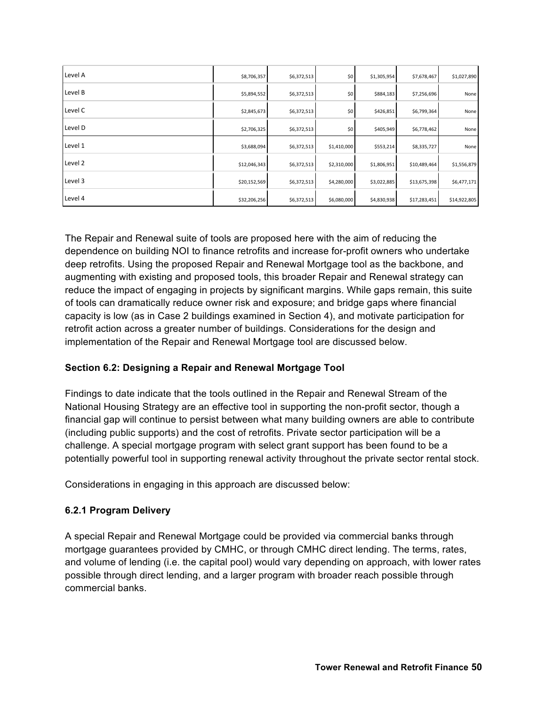| Level A | \$8,706,357  | \$6,372,513 | \$0         | \$1,305,954 | \$7,678,467  | \$1,027,890  |
|---------|--------------|-------------|-------------|-------------|--------------|--------------|
| Level B | \$5,894,552  | \$6,372,513 | \$0         | \$884,183   | \$7,256,696  | None         |
| Level C | \$2,845,673  | \$6,372,513 | \$0         | \$426,851   | \$6,799,364  | None         |
| Level D | \$2,706,325  | \$6,372,513 | \$0         | \$405,949   | \$6,778,462  | None         |
| Level 1 | \$3,688,094  | \$6,372,513 | \$1,410,000 | \$553,214   | \$8,335,727  | None         |
| Level 2 | \$12,046,343 | \$6,372,513 | \$2,310,000 | \$1,806,951 | \$10,489,464 | \$1,556,879  |
| Level 3 | \$20,152,569 | \$6,372,513 | \$4,280,000 | \$3,022,885 | \$13,675,398 | \$6,477,171  |
| Level 4 | \$32,206,256 | \$6,372,513 | \$6,080,000 | \$4,830,938 | \$17,283,451 | \$14,922,805 |

The Repair and Renewal suite of tools are proposed here with the aim of reducing the dependence on building NOI to finance retrofits and increase for-profit owners who undertake deep retrofits. Using the proposed Repair and Renewal Mortgage tool as the backbone, and augmenting with existing and proposed tools, this broader Repair and Renewal strategy can reduce the impact of engaging in projects by significant margins. While gaps remain, this suite of tools can dramatically reduce owner risk and exposure; and bridge gaps where financial capacity is low (as in Case 2 buildings examined in Section 4), and motivate participation for retrofit action across a greater number of buildings. Considerations for the design and implementation of the Repair and Renewal Mortgage tool are discussed below.

# **Section 6.2: Designing a Repair and Renewal Mortgage Tool**

Findings to date indicate that the tools outlined in the Repair and Renewal Stream of the National Housing Strategy are an effective tool in supporting the non-profit sector, though a financial gap will continue to persist between what many building owners are able to contribute (including public supports) and the cost of retrofits. Private sector participation will be a challenge. A special mortgage program with select grant support has been found to be a potentially powerful tool in supporting renewal activity throughout the private sector rental stock.

Considerations in engaging in this approach are discussed below:

# **6.2.1 Program Delivery**

A special Repair and Renewal Mortgage could be provided via commercial banks through mortgage guarantees provided by CMHC, or through CMHC direct lending. The terms, rates, and volume of lending (i.e. the capital pool) would vary depending on approach, with lower rates possible through direct lending, and a larger program with broader reach possible through commercial banks.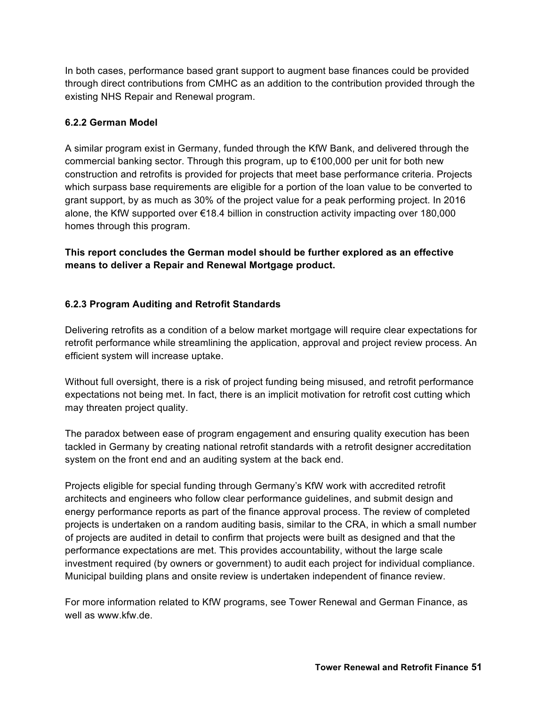In both cases, performance based grant support to augment base finances could be provided through direct contributions from CMHC as an addition to the contribution provided through the existing NHS Repair and Renewal program.

#### **6.2.2 German Model**

A similar program exist in Germany, funded through the KfW Bank, and delivered through the commercial banking sector. Through this program, up to €100,000 per unit for both new construction and retrofits is provided for projects that meet base performance criteria. Projects which surpass base requirements are eligible for a portion of the loan value to be converted to grant support, by as much as 30% of the project value for a peak performing project. In 2016 alone, the KfW supported over €18.4 billion in construction activity impacting over 180,000 homes through this program.

**This report concludes the German model should be further explored as an effective means to deliver a Repair and Renewal Mortgage product.** 

# **6.2.3 Program Auditing and Retrofit Standards**

Delivering retrofits as a condition of a below market mortgage will require clear expectations for retrofit performance while streamlining the application, approval and project review process. An efficient system will increase uptake.

Without full oversight, there is a risk of project funding being misused, and retrofit performance expectations not being met. In fact, there is an implicit motivation for retrofit cost cutting which may threaten project quality.

The paradox between ease of program engagement and ensuring quality execution has been tackled in Germany by creating national retrofit standards with a retrofit designer accreditation system on the front end and an auditing system at the back end.

Projects eligible for special funding through Germany's KfW work with accredited retrofit architects and engineers who follow clear performance guidelines, and submit design and energy performance reports as part of the finance approval process. The review of completed projects is undertaken on a random auditing basis, similar to the CRA, in which a small number of projects are audited in detail to confirm that projects were built as designed and that the performance expectations are met. This provides accountability, without the large scale investment required (by owners or government) to audit each project for individual compliance. Municipal building plans and onsite review is undertaken independent of finance review.

For more information related to KfW programs, see Tower Renewal and German Finance, as well as www.kfw.de.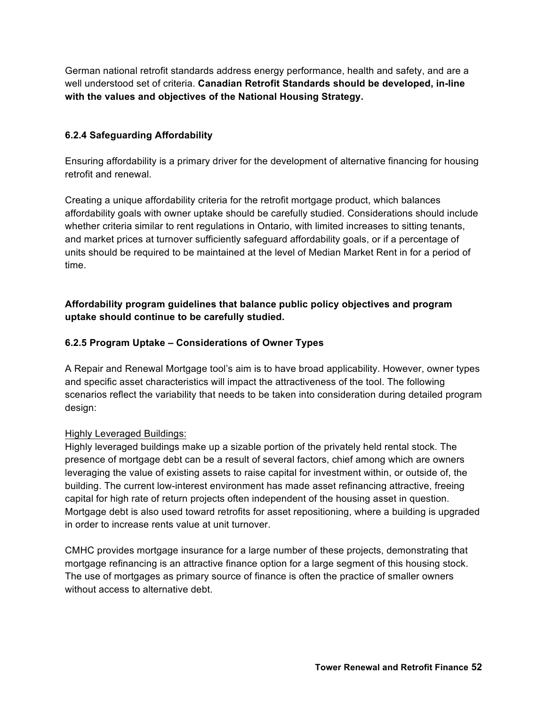German national retrofit standards address energy performance, health and safety, and are a well understood set of criteria. **Canadian Retrofit Standards should be developed, in-line with the values and objectives of the National Housing Strategy.**

# **6.2.4 Safeguarding Affordability**

Ensuring affordability is a primary driver for the development of alternative financing for housing retrofit and renewal.

Creating a unique affordability criteria for the retrofit mortgage product, which balances affordability goals with owner uptake should be carefully studied. Considerations should include whether criteria similar to rent regulations in Ontario, with limited increases to sitting tenants, and market prices at turnover sufficiently safeguard affordability goals, or if a percentage of units should be required to be maintained at the level of Median Market Rent in for a period of time.

# **Affordability program guidelines that balance public policy objectives and program uptake should continue to be carefully studied.**

# **6.2.5 Program Uptake – Considerations of Owner Types**

A Repair and Renewal Mortgage tool's aim is to have broad applicability. However, owner types and specific asset characteristics will impact the attractiveness of the tool. The following scenarios reflect the variability that needs to be taken into consideration during detailed program design:

#### Highly Leveraged Buildings:

Highly leveraged buildings make up a sizable portion of the privately held rental stock. The presence of mortgage debt can be a result of several factors, chief among which are owners leveraging the value of existing assets to raise capital for investment within, or outside of, the building. The current low-interest environment has made asset refinancing attractive, freeing capital for high rate of return projects often independent of the housing asset in question. Mortgage debt is also used toward retrofits for asset repositioning, where a building is upgraded in order to increase rents value at unit turnover.

CMHC provides mortgage insurance for a large number of these projects, demonstrating that mortgage refinancing is an attractive finance option for a large segment of this housing stock. The use of mortgages as primary source of finance is often the practice of smaller owners without access to alternative debt.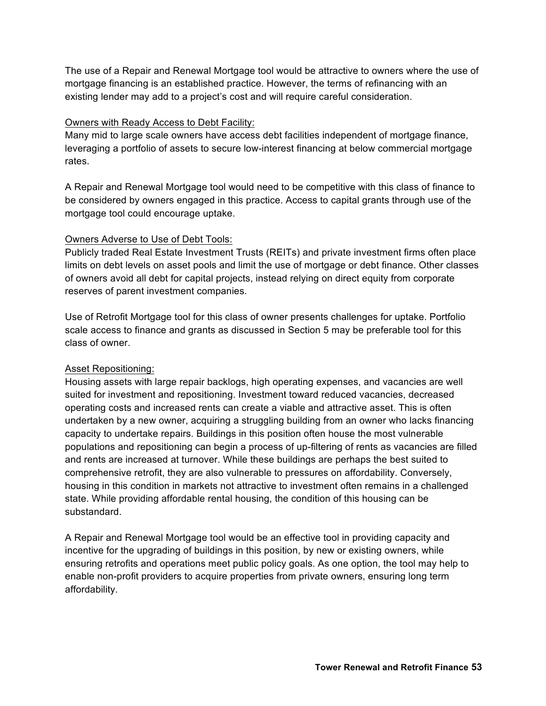The use of a Repair and Renewal Mortgage tool would be attractive to owners where the use of mortgage financing is an established practice. However, the terms of refinancing with an existing lender may add to a project's cost and will require careful consideration.

#### Owners with Ready Access to Debt Facility:

Many mid to large scale owners have access debt facilities independent of mortgage finance, leveraging a portfolio of assets to secure low-interest financing at below commercial mortgage rates.

A Repair and Renewal Mortgage tool would need to be competitive with this class of finance to be considered by owners engaged in this practice. Access to capital grants through use of the mortgage tool could encourage uptake.

# Owners Adverse to Use of Debt Tools:

Publicly traded Real Estate Investment Trusts (REITs) and private investment firms often place limits on debt levels on asset pools and limit the use of mortgage or debt finance. Other classes of owners avoid all debt for capital projects, instead relying on direct equity from corporate reserves of parent investment companies.

Use of Retrofit Mortgage tool for this class of owner presents challenges for uptake. Portfolio scale access to finance and grants as discussed in Section 5 may be preferable tool for this class of owner.

# Asset Repositioning:

Housing assets with large repair backlogs, high operating expenses, and vacancies are well suited for investment and repositioning. Investment toward reduced vacancies, decreased operating costs and increased rents can create a viable and attractive asset. This is often undertaken by a new owner, acquiring a struggling building from an owner who lacks financing capacity to undertake repairs. Buildings in this position often house the most vulnerable populations and repositioning can begin a process of up-filtering of rents as vacancies are filled and rents are increased at turnover. While these buildings are perhaps the best suited to comprehensive retrofit, they are also vulnerable to pressures on affordability. Conversely, housing in this condition in markets not attractive to investment often remains in a challenged state. While providing affordable rental housing, the condition of this housing can be substandard.

A Repair and Renewal Mortgage tool would be an effective tool in providing capacity and incentive for the upgrading of buildings in this position, by new or existing owners, while ensuring retrofits and operations meet public policy goals. As one option, the tool may help to enable non-profit providers to acquire properties from private owners, ensuring long term affordability.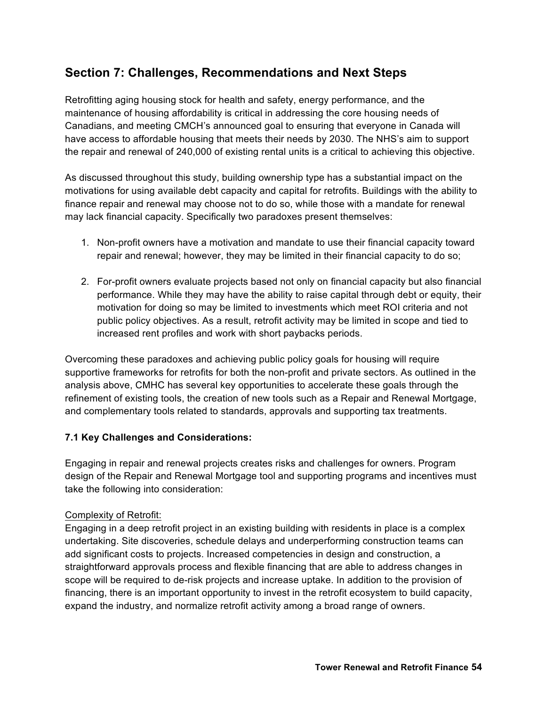# **Section 7: Challenges, Recommendations and Next Steps**

Retrofitting aging housing stock for health and safety, energy performance, and the maintenance of housing affordability is critical in addressing the core housing needs of Canadians, and meeting CMCH's announced goal to ensuring that everyone in Canada will have access to affordable housing that meets their needs by 2030. The NHS's aim to support the repair and renewal of 240,000 of existing rental units is a critical to achieving this objective.

As discussed throughout this study, building ownership type has a substantial impact on the motivations for using available debt capacity and capital for retrofits. Buildings with the ability to finance repair and renewal may choose not to do so, while those with a mandate for renewal may lack financial capacity. Specifically two paradoxes present themselves:

- 1. Non-profit owners have a motivation and mandate to use their financial capacity toward repair and renewal; however, they may be limited in their financial capacity to do so;
- 2. For-profit owners evaluate projects based not only on financial capacity but also financial performance. While they may have the ability to raise capital through debt or equity, their motivation for doing so may be limited to investments which meet ROI criteria and not public policy objectives. As a result, retrofit activity may be limited in scope and tied to increased rent profiles and work with short paybacks periods.

Overcoming these paradoxes and achieving public policy goals for housing will require supportive frameworks for retrofits for both the non-profit and private sectors. As outlined in the analysis above, CMHC has several key opportunities to accelerate these goals through the refinement of existing tools, the creation of new tools such as a Repair and Renewal Mortgage, and complementary tools related to standards, approvals and supporting tax treatments.

#### **7.1 Key Challenges and Considerations:**

Engaging in repair and renewal projects creates risks and challenges for owners. Program design of the Repair and Renewal Mortgage tool and supporting programs and incentives must take the following into consideration:

#### Complexity of Retrofit:

Engaging in a deep retrofit project in an existing building with residents in place is a complex undertaking. Site discoveries, schedule delays and underperforming construction teams can add significant costs to projects. Increased competencies in design and construction, a straightforward approvals process and flexible financing that are able to address changes in scope will be required to de-risk projects and increase uptake. In addition to the provision of financing, there is an important opportunity to invest in the retrofit ecosystem to build capacity, expand the industry, and normalize retrofit activity among a broad range of owners.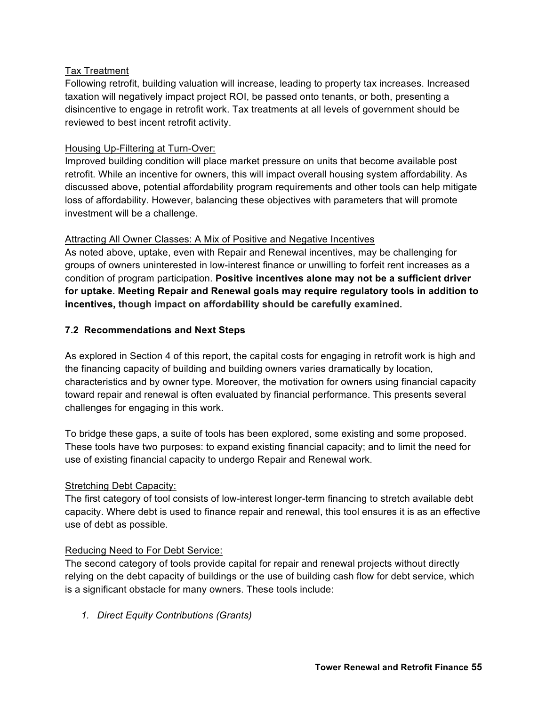#### Tax Treatment

Following retrofit, building valuation will increase, leading to property tax increases. Increased taxation will negatively impact project ROI, be passed onto tenants, or both, presenting a disincentive to engage in retrofit work. Tax treatments at all levels of government should be reviewed to best incent retrofit activity.

#### Housing Up-Filtering at Turn-Over:

Improved building condition will place market pressure on units that become available post retrofit. While an incentive for owners, this will impact overall housing system affordability. As discussed above, potential affordability program requirements and other tools can help mitigate loss of affordability. However, balancing these objectives with parameters that will promote investment will be a challenge.

#### Attracting All Owner Classes: A Mix of Positive and Negative Incentives

As noted above, uptake, even with Repair and Renewal incentives, may be challenging for groups of owners uninterested in low-interest finance or unwilling to forfeit rent increases as a condition of program participation. **Positive incentives alone may not be a sufficient driver for uptake. Meeting Repair and Renewal goals may require regulatory tools in addition to incentives, though impact on affordability should be carefully examined.**

#### **7.2 Recommendations and Next Steps**

As explored in Section 4 of this report, the capital costs for engaging in retrofit work is high and the financing capacity of building and building owners varies dramatically by location, characteristics and by owner type. Moreover, the motivation for owners using financial capacity toward repair and renewal is often evaluated by financial performance. This presents several challenges for engaging in this work.

To bridge these gaps, a suite of tools has been explored, some existing and some proposed. These tools have two purposes: to expand existing financial capacity; and to limit the need for use of existing financial capacity to undergo Repair and Renewal work.

#### Stretching Debt Capacity:

The first category of tool consists of low-interest longer-term financing to stretch available debt capacity. Where debt is used to finance repair and renewal, this tool ensures it is as an effective use of debt as possible.

#### Reducing Need to For Debt Service:

The second category of tools provide capital for repair and renewal projects without directly relying on the debt capacity of buildings or the use of building cash flow for debt service, which is a significant obstacle for many owners. These tools include:

*1. Direct Equity Contributions (Grants)*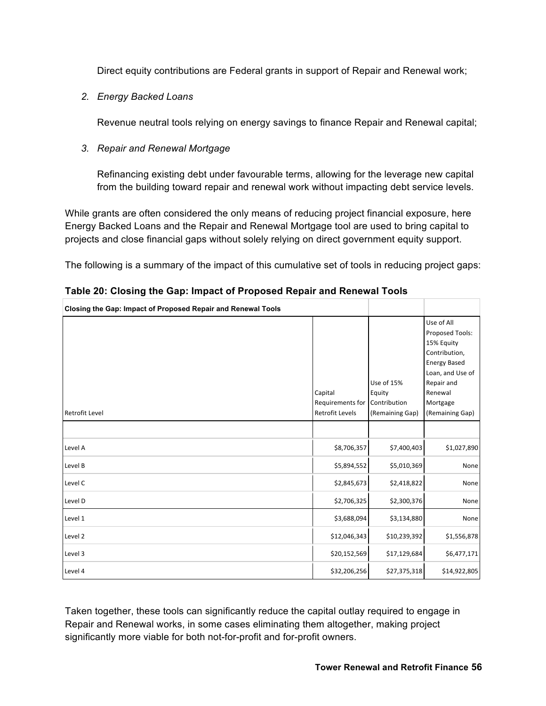Direct equity contributions are Federal grants in support of Repair and Renewal work;

*2. Energy Backed Loans*

Revenue neutral tools relying on energy savings to finance Repair and Renewal capital;

*3. Repair and Renewal Mortgage* 

Refinancing existing debt under favourable terms, allowing for the leverage new capital from the building toward repair and renewal work without impacting debt service levels.

While grants are often considered the only means of reducing project financial exposure, here Energy Backed Loans and the Repair and Renewal Mortgage tool are used to bring capital to projects and close financial gaps without solely relying on direct government equity support.

The following is a summary of the impact of this cumulative set of tools in reducing project gaps:

| Closing the Gap: Impact of Proposed Repair and Renewal Tools |                                                         |                      |                                                                                                                                  |
|--------------------------------------------------------------|---------------------------------------------------------|----------------------|----------------------------------------------------------------------------------------------------------------------------------|
|                                                              | Capital                                                 | Use of 15%<br>Equity | Use of All<br>Proposed Tools:<br>15% Equity<br>Contribution,<br><b>Energy Based</b><br>Loan, and Use of<br>Repair and<br>Renewal |
| Retrofit Level                                               | Requirements for Contribution<br><b>Retrofit Levels</b> | (Remaining Gap)      | Mortgage<br>(Remaining Gap)                                                                                                      |
| Level A                                                      | \$8,706,357                                             | \$7,400,403          | \$1,027,890                                                                                                                      |
| Level B                                                      | \$5,894,552                                             | \$5,010,369          | None                                                                                                                             |
| Level C                                                      | \$2,845,673                                             | \$2,418,822          | None                                                                                                                             |
| Level D                                                      | \$2,706,325                                             | \$2,300,376          | None                                                                                                                             |
| Level 1                                                      | \$3,688,094                                             | \$3,134,880          | None                                                                                                                             |
| Level 2                                                      | \$12,046,343                                            | \$10,239,392         | \$1,556,878                                                                                                                      |
| Level 3                                                      | \$20,152,569                                            | \$17,129,684         | \$6,477,171                                                                                                                      |
| Level 4                                                      | \$32,206,256                                            | \$27,375,318         | \$14,922,805                                                                                                                     |

|  |  |  | Table 20: Closing the Gap: Impact of Proposed Repair and Renewal Tools |
|--|--|--|------------------------------------------------------------------------|
|  |  |  |                                                                        |

Taken together, these tools can significantly reduce the capital outlay required to engage in Repair and Renewal works, in some cases eliminating them altogether, making project significantly more viable for both not-for-profit and for-profit owners.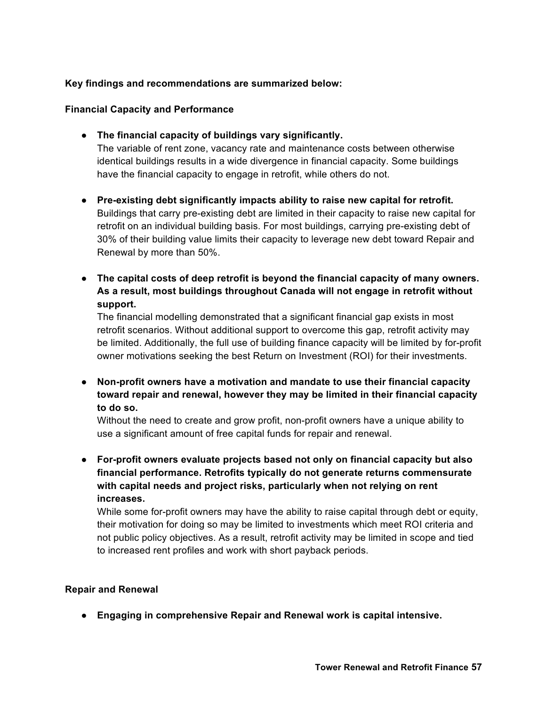### **Key findings and recommendations are summarized below:**

#### **Financial Capacity and Performance**

● **The financial capacity of buildings vary significantly.**

The variable of rent zone, vacancy rate and maintenance costs between otherwise identical buildings results in a wide divergence in financial capacity. Some buildings have the financial capacity to engage in retrofit, while others do not.

- **Pre-existing debt significantly impacts ability to raise new capital for retrofit.** Buildings that carry pre-existing debt are limited in their capacity to raise new capital for retrofit on an individual building basis. For most buildings, carrying pre-existing debt of 30% of their building value limits their capacity to leverage new debt toward Repair and Renewal by more than 50%.
- **The capital costs of deep retrofit is beyond the financial capacity of many owners. As a result, most buildings throughout Canada will not engage in retrofit without support.**

The financial modelling demonstrated that a significant financial gap exists in most retrofit scenarios. Without additional support to overcome this gap, retrofit activity may be limited. Additionally, the full use of building finance capacity will be limited by for-profit owner motivations seeking the best Return on Investment (ROI) for their investments.

● **Non-profit owners have a motivation and mandate to use their financial capacity toward repair and renewal, however they may be limited in their financial capacity to do so.**

Without the need to create and grow profit, non-profit owners have a unique ability to use a significant amount of free capital funds for repair and renewal.

● **For-profit owners evaluate projects based not only on financial capacity but also financial performance. Retrofits typically do not generate returns commensurate with capital needs and project risks, particularly when not relying on rent increases.**

While some for-profit owners may have the ability to raise capital through debt or equity, their motivation for doing so may be limited to investments which meet ROI criteria and not public policy objectives. As a result, retrofit activity may be limited in scope and tied to increased rent profiles and work with short payback periods.

#### **Repair and Renewal**

● **Engaging in comprehensive Repair and Renewal work is capital intensive.**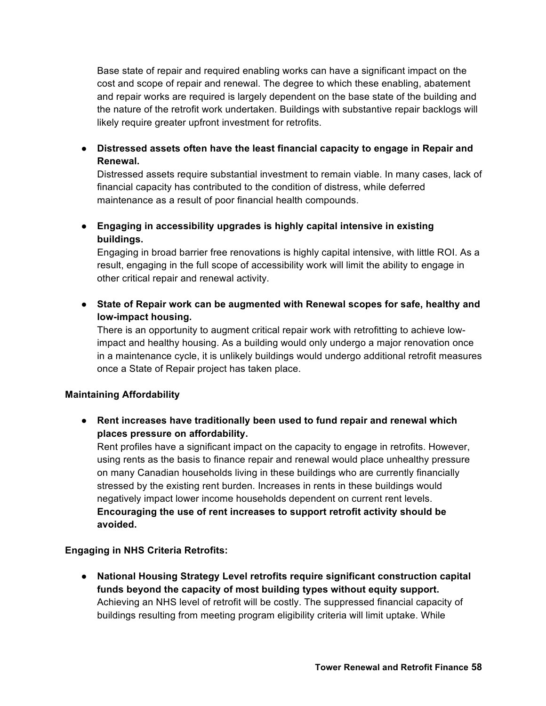Base state of repair and required enabling works can have a significant impact on the cost and scope of repair and renewal. The degree to which these enabling, abatement and repair works are required is largely dependent on the base state of the building and the nature of the retrofit work undertaken. Buildings with substantive repair backlogs will likely require greater upfront investment for retrofits.

● **Distressed assets often have the least financial capacity to engage in Repair and Renewal.** 

Distressed assets require substantial investment to remain viable. In many cases, lack of financial capacity has contributed to the condition of distress, while deferred maintenance as a result of poor financial health compounds.

● **Engaging in accessibility upgrades is highly capital intensive in existing buildings.**

Engaging in broad barrier free renovations is highly capital intensive, with little ROI. As a result, engaging in the full scope of accessibility work will limit the ability to engage in other critical repair and renewal activity.

● **State of Repair work can be augmented with Renewal scopes for safe, healthy and low-impact housing.**

There is an opportunity to augment critical repair work with retrofitting to achieve lowimpact and healthy housing. As a building would only undergo a major renovation once in a maintenance cycle, it is unlikely buildings would undergo additional retrofit measures once a State of Repair project has taken place.

# **Maintaining Affordability**

● **Rent increases have traditionally been used to fund repair and renewal which places pressure on affordability.** 

Rent profiles have a significant impact on the capacity to engage in retrofits. However, using rents as the basis to finance repair and renewal would place unhealthy pressure on many Canadian households living in these buildings who are currently financially stressed by the existing rent burden. Increases in rents in these buildings would negatively impact lower income households dependent on current rent levels. **Encouraging the use of rent increases to support retrofit activity should be avoided.**

#### **Engaging in NHS Criteria Retrofits:**

● **National Housing Strategy Level retrofits require significant construction capital funds beyond the capacity of most building types without equity support.** Achieving an NHS level of retrofit will be costly. The suppressed financial capacity of buildings resulting from meeting program eligibility criteria will limit uptake. While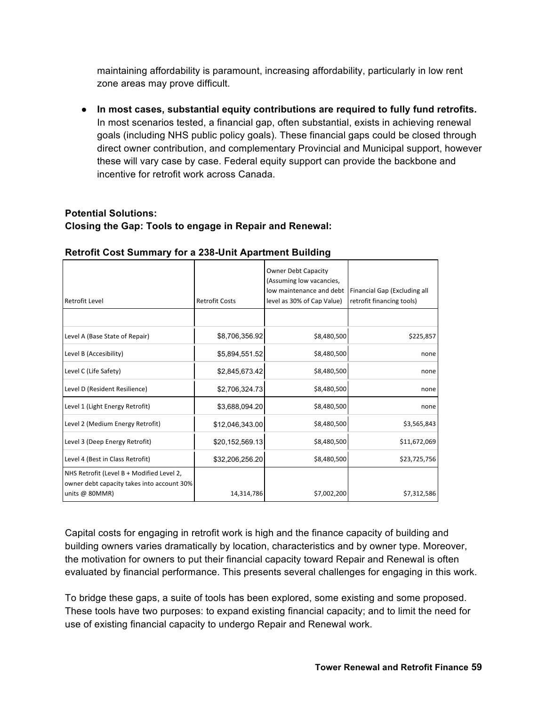maintaining affordability is paramount, increasing affordability, particularly in low rent zone areas may prove difficult.

● **In most cases, substantial equity contributions are required to fully fund retrofits.** In most scenarios tested, a financial gap, often substantial, exists in achieving renewal goals (including NHS public policy goals). These financial gaps could be closed through direct owner contribution, and complementary Provincial and Municipal support, however these will vary case by case. Federal equity support can provide the backbone and incentive for retrofit work across Canada.

# **Potential Solutions: Closing the Gap: Tools to engage in Repair and Renewal:**

| Retrofit Level                                                                                              | <b>Retrofit Costs</b> | <b>Owner Debt Capacity</b><br>(Assuming low vacancies,<br>low maintenance and debt<br>level as 30% of Cap Value) | Financial Gap (Excluding all<br>retrofit financing tools) |
|-------------------------------------------------------------------------------------------------------------|-----------------------|------------------------------------------------------------------------------------------------------------------|-----------------------------------------------------------|
|                                                                                                             |                       |                                                                                                                  |                                                           |
| Level A (Base State of Repair)                                                                              | \$8,706,356.92        | \$8,480,500                                                                                                      | \$225,857                                                 |
| Level B (Accesibility)                                                                                      | \$5,894,551.52        | \$8,480,500                                                                                                      | none                                                      |
| Level C (Life Safety)                                                                                       | \$2,845,673.42        | \$8,480,500                                                                                                      | none                                                      |
| Level D (Resident Resilience)                                                                               | \$2,706,324.73        | \$8,480,500                                                                                                      | none                                                      |
| Level 1 (Light Energy Retrofit)                                                                             | \$3,688,094.20        | \$8,480,500                                                                                                      | none                                                      |
| Level 2 (Medium Energy Retrofit)                                                                            | \$12,046,343.00       | \$8,480,500                                                                                                      | \$3,565,843                                               |
| Level 3 (Deep Energy Retrofit)                                                                              | \$20,152,569.13       | \$8,480,500                                                                                                      | \$11,672,069                                              |
| Level 4 (Best in Class Retrofit)                                                                            | \$32,206,256.20       | \$8,480,500                                                                                                      | \$23,725,756                                              |
| NHS Retrofit (Level B + Modified Level 2,<br>owner debt capacity takes into account 30%<br>units $@$ 80MMR) | 14,314,786            | \$7,002,200                                                                                                      | \$7,312,586                                               |

#### **Retrofit Cost Summary for a 238-Unit Apartment Building**

Capital costs for engaging in retrofit work is high and the finance capacity of building and building owners varies dramatically by location, characteristics and by owner type. Moreover, the motivation for owners to put their financial capacity toward Repair and Renewal is often evaluated by financial performance. This presents several challenges for engaging in this work.

To bridge these gaps, a suite of tools has been explored, some existing and some proposed. These tools have two purposes: to expand existing financial capacity; and to limit the need for use of existing financial capacity to undergo Repair and Renewal work.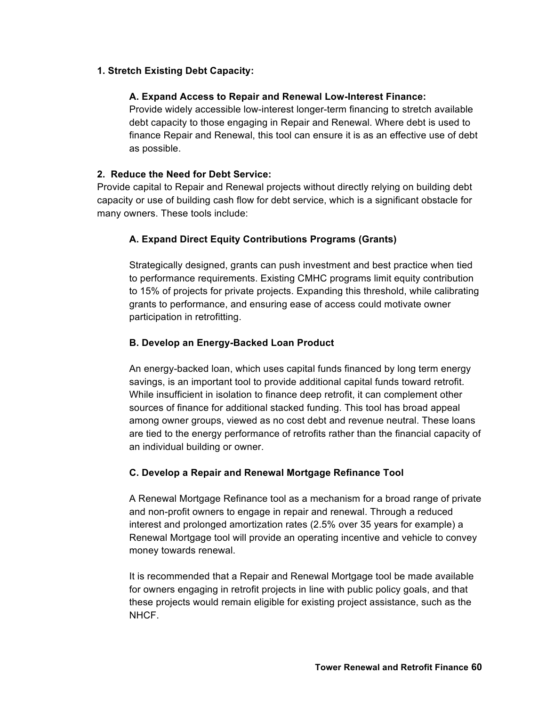#### **1. Stretch Existing Debt Capacity:**

#### **A. Expand Access to Repair and Renewal Low-Interest Finance:**

Provide widely accessible low-interest longer-term financing to stretch available debt capacity to those engaging in Repair and Renewal. Where debt is used to finance Repair and Renewal, this tool can ensure it is as an effective use of debt as possible.

#### **2. Reduce the Need for Debt Service:**

Provide capital to Repair and Renewal projects without directly relying on building debt capacity or use of building cash flow for debt service, which is a significant obstacle for many owners. These tools include:

#### **A. Expand Direct Equity Contributions Programs (Grants)**

Strategically designed, grants can push investment and best practice when tied to performance requirements. Existing CMHC programs limit equity contribution to 15% of projects for private projects. Expanding this threshold, while calibrating grants to performance, and ensuring ease of access could motivate owner participation in retrofitting.

#### **B. Develop an Energy-Backed Loan Product**

An energy-backed loan, which uses capital funds financed by long term energy savings, is an important tool to provide additional capital funds toward retrofit. While insufficient in isolation to finance deep retrofit, it can complement other sources of finance for additional stacked funding. This tool has broad appeal among owner groups, viewed as no cost debt and revenue neutral. These loans are tied to the energy performance of retrofits rather than the financial capacity of an individual building or owner.

# **C. Develop a Repair and Renewal Mortgage Refinance Tool**

A Renewal Mortgage Refinance tool as a mechanism for a broad range of private and non-profit owners to engage in repair and renewal. Through a reduced interest and prolonged amortization rates (2.5% over 35 years for example) a Renewal Mortgage tool will provide an operating incentive and vehicle to convey money towards renewal.

It is recommended that a Repair and Renewal Mortgage tool be made available for owners engaging in retrofit projects in line with public policy goals, and that these projects would remain eligible for existing project assistance, such as the **NHCF**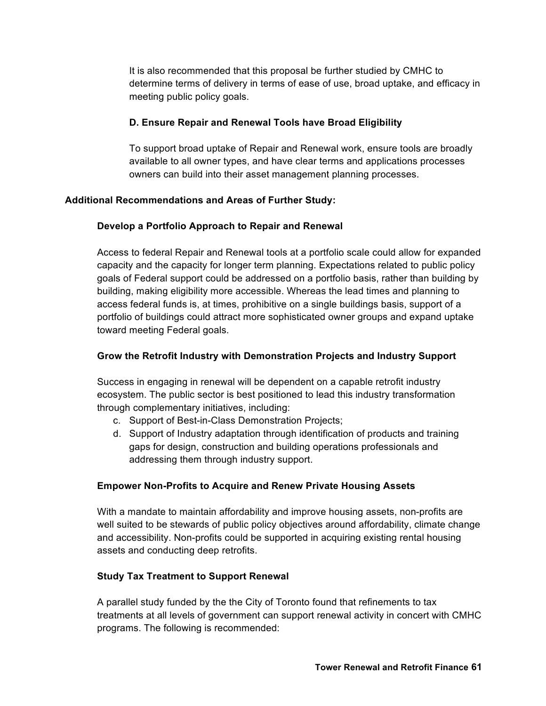It is also recommended that this proposal be further studied by CMHC to determine terms of delivery in terms of ease of use, broad uptake, and efficacy in meeting public policy goals.

#### **D. Ensure Repair and Renewal Tools have Broad Eligibility**

To support broad uptake of Repair and Renewal work, ensure tools are broadly available to all owner types, and have clear terms and applications processes owners can build into their asset management planning processes.

#### **Additional Recommendations and Areas of Further Study:**

#### **Develop a Portfolio Approach to Repair and Renewal**

Access to federal Repair and Renewal tools at a portfolio scale could allow for expanded capacity and the capacity for longer term planning. Expectations related to public policy goals of Federal support could be addressed on a portfolio basis, rather than building by building, making eligibility more accessible. Whereas the lead times and planning to access federal funds is, at times, prohibitive on a single buildings basis, support of a portfolio of buildings could attract more sophisticated owner groups and expand uptake toward meeting Federal goals.

### **Grow the Retrofit Industry with Demonstration Projects and Industry Support**

Success in engaging in renewal will be dependent on a capable retrofit industry ecosystem. The public sector is best positioned to lead this industry transformation through complementary initiatives, including:

- c. Support of Best-in-Class Demonstration Projects;
- d. Support of Industry adaptation through identification of products and training gaps for design, construction and building operations professionals and addressing them through industry support.

#### **Empower Non-Profits to Acquire and Renew Private Housing Assets**

With a mandate to maintain affordability and improve housing assets, non-profits are well suited to be stewards of public policy objectives around affordability, climate change and accessibility. Non-profits could be supported in acquiring existing rental housing assets and conducting deep retrofits.

#### **Study Tax Treatment to Support Renewal**

A parallel study funded by the the City of Toronto found that refinements to tax treatments at all levels of government can support renewal activity in concert with CMHC programs. The following is recommended: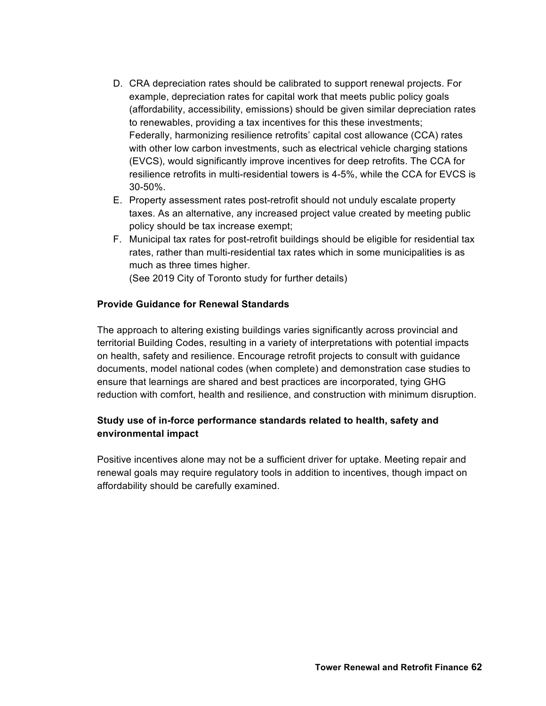- D. CRA depreciation rates should be calibrated to support renewal projects. For example, depreciation rates for capital work that meets public policy goals (affordability, accessibility, emissions) should be given similar depreciation rates to renewables, providing a tax incentives for this these investments; Federally, harmonizing resilience retrofits' capital cost allowance (CCA) rates with other low carbon investments, such as electrical vehicle charging stations (EVCS), would significantly improve incentives for deep retrofits. The CCA for resilience retrofits in multi-residential towers is 4-5%, while the CCA for EVCS is 30-50%.
- E. Property assessment rates post-retrofit should not unduly escalate property taxes. As an alternative, any increased project value created by meeting public policy should be tax increase exempt;
- F. Municipal tax rates for post-retrofit buildings should be eligible for residential tax rates, rather than multi-residential tax rates which in some municipalities is as much as three times higher.

(See 2019 City of Toronto study for further details)

#### **Provide Guidance for Renewal Standards**

The approach to altering existing buildings varies significantly across provincial and territorial Building Codes, resulting in a variety of interpretations with potential impacts on health, safety and resilience. Encourage retrofit projects to consult with guidance documents, model national codes (when complete) and demonstration case studies to ensure that learnings are shared and best practices are incorporated, tying GHG reduction with comfort, health and resilience, and construction with minimum disruption.

# **Study use of in-force performance standards related to health, safety and environmental impact**

Positive incentives alone may not be a sufficient driver for uptake. Meeting repair and renewal goals may require regulatory tools in addition to incentives, though impact on affordability should be carefully examined.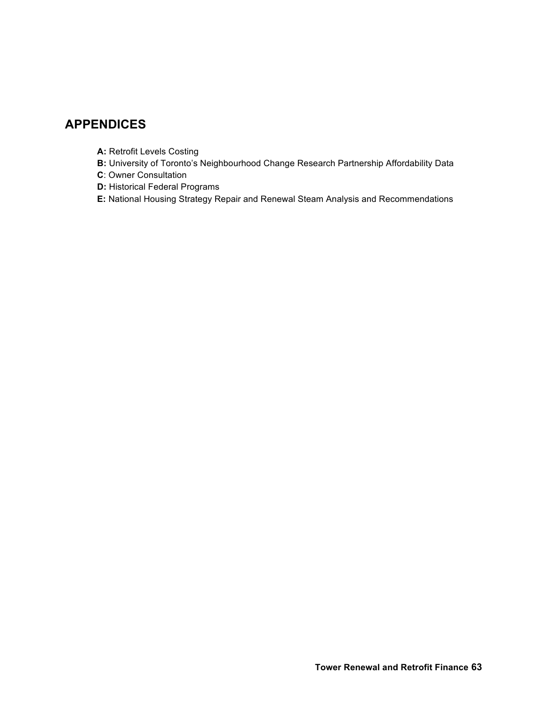# **APPENDICES**

- **A: Retrofit Levels Costing**
- **B:** University of Toronto's Neighbourhood Change Research Partnership Affordability Data
- **C**: Owner Consultation
- **D:** Historical Federal Programs
- **E:** National Housing Strategy Repair and Renewal Steam Analysis and Recommendations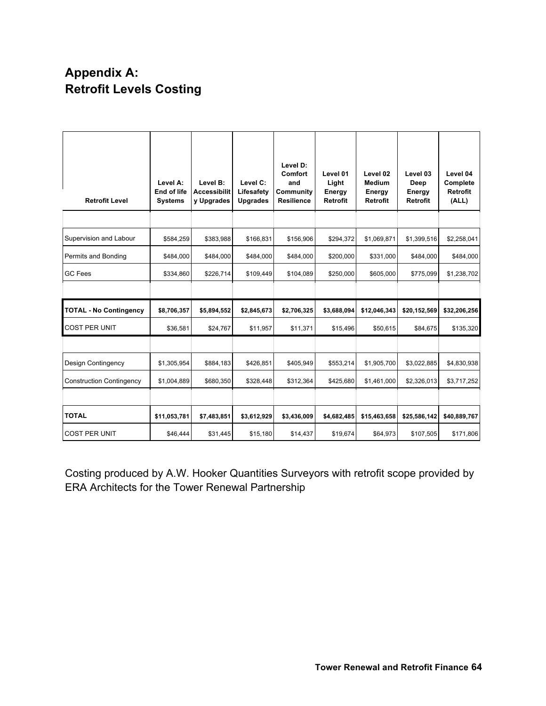# **Appendix A: Retrofit Levels Costing**

| <b>Retrofit Level</b>           | Level A:<br>End of life<br><b>Systems</b> | Level B:<br><b>Accessibilit</b><br>y Upgrades | Level C:<br>Lifesafety<br><b>Upgrades</b> | Level D:<br>Comfort<br>and<br>Community<br><b>Resilience</b> | Level 01<br>Light<br>Energy<br>Retrofit | Level 02<br>Medium<br>Energy<br>Retrofit | Level 03<br>Deep<br>Energy<br><b>Retrofit</b> | Level 04<br>Complete<br>Retrofit<br>(ALL) |
|---------------------------------|-------------------------------------------|-----------------------------------------------|-------------------------------------------|--------------------------------------------------------------|-----------------------------------------|------------------------------------------|-----------------------------------------------|-------------------------------------------|
|                                 |                                           |                                               |                                           |                                                              |                                         |                                          |                                               |                                           |
| Supervision and Labour          | \$584,259                                 | \$383,988                                     | \$166,831                                 | \$156,906                                                    | \$294,372                               | \$1,069,871                              | \$1,399,516                                   | \$2,258,041                               |
| Permits and Bonding             | \$484,000                                 | \$484,000                                     | \$484,000                                 | \$484,000                                                    | \$200,000                               | \$331,000                                | \$484,000                                     | \$484,000                                 |
| <b>GC Fees</b>                  | \$334,860                                 | \$226,714                                     | \$109,449                                 | \$104,089                                                    | \$250,000                               | \$605,000                                | \$775,099                                     | \$1,238,702                               |
|                                 |                                           |                                               |                                           |                                                              |                                         |                                          |                                               |                                           |
| <b>TOTAL - No Contingency</b>   | \$8,706,357                               | \$5,894,552                                   | \$2,845,673                               | \$2,706,325                                                  | \$3,688,094                             | \$12,046,343                             | \$20,152,569                                  | \$32,206,256                              |
|                                 |                                           |                                               |                                           |                                                              |                                         |                                          |                                               |                                           |
| <b>COST PER UNIT</b>            | \$36,581                                  | \$24,767                                      | \$11,957                                  | \$11,371                                                     | \$15,496                                | \$50,615                                 | \$84,675                                      | \$135,320                                 |
|                                 |                                           |                                               |                                           |                                                              |                                         |                                          |                                               |                                           |
| Design Contingency              | \$1,305,954                               | \$884,183                                     | \$426,851                                 | \$405,949                                                    | \$553,214                               | \$1,905,700                              | \$3,022,885                                   | \$4,830,938                               |
| <b>Construction Contingency</b> | \$1,004,889                               | \$680,350                                     | \$328,448                                 | \$312,364                                                    | \$425,680                               | \$1,461,000                              | \$2,326,013                                   | \$3,717,252                               |
|                                 |                                           |                                               |                                           |                                                              |                                         |                                          |                                               |                                           |
| <b>TOTAL</b>                    | \$11,053,781                              | \$7,483,851                                   | \$3,612,929                               | \$3,436,009                                                  | \$4,682,485                             | \$15,463,658                             | \$25,586,142                                  | \$40,889,767                              |

Costing produced by A.W. Hooker Quantities Surveyors with retrofit scope provided by ERA Architects for the Tower Renewal Partnership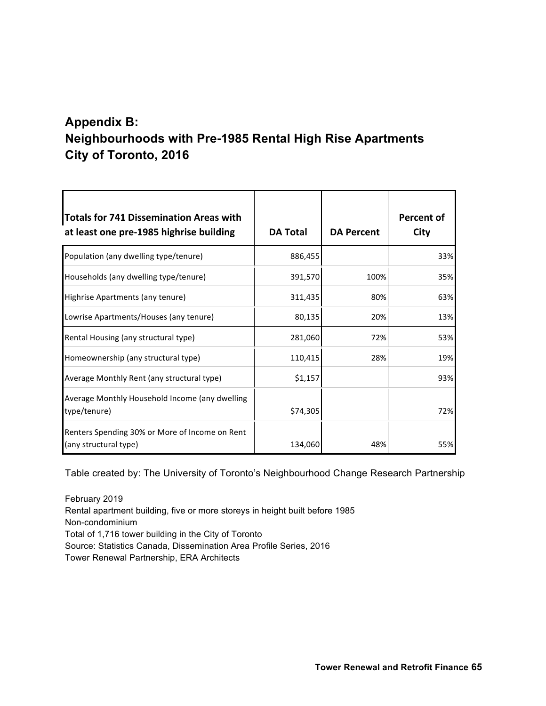# **Appendix B: Neighbourhoods with Pre-1985 Rental High Rise Apartments City of Toronto, 2016**

| <b>Totals for 741 Dissemination Areas with</b><br>at least one pre-1985 highrise building | <b>DA Total</b> | <b>DA Percent</b> | Percent of<br>City |
|-------------------------------------------------------------------------------------------|-----------------|-------------------|--------------------|
| Population (any dwelling type/tenure)                                                     | 886,455         |                   | 33%                |
| Households (any dwelling type/tenure)                                                     | 391,570         | 100%              | 35%                |
| Highrise Apartments (any tenure)                                                          | 311,435         | 80%               | 63%                |
| Lowrise Apartments/Houses (any tenure)                                                    | 80,135          | 20%               | 13%                |
| Rental Housing (any structural type)                                                      | 281,060         | 72%               | 53%                |
| Homeownership (any structural type)                                                       | 110,415         | 28%               | 19%                |
| Average Monthly Rent (any structural type)                                                | \$1,157         |                   | 93%                |
| Average Monthly Household Income (any dwelling<br>type/tenure)                            | \$74,305        |                   | 72%                |
| Renters Spending 30% or More of Income on Rent<br>(any structural type)                   | 134,060         | 48%               | 55%                |

Table created by: The University of Toronto's Neighbourhood Change Research Partnership

February 2019 Rental apartment building, five or more storeys in height built before 1985 Non-condominium Total of 1,716 tower building in the City of Toronto Source: Statistics Canada, Dissemination Area Profile Series, 2016 Tower Renewal Partnership, ERA Architects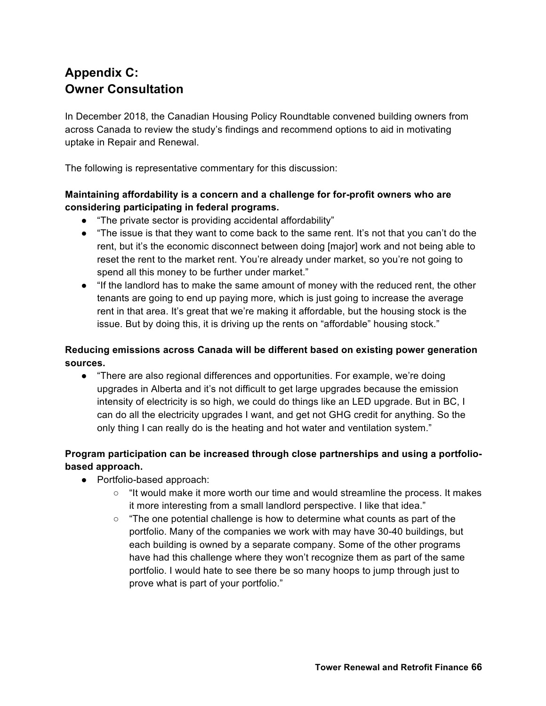# **Appendix C: Owner Consultation**

In December 2018, the Canadian Housing Policy Roundtable convened building owners from across Canada to review the study's findings and recommend options to aid in motivating uptake in Repair and Renewal.

The following is representative commentary for this discussion:

# **Maintaining affordability is a concern and a challenge for for-profit owners who are considering participating in federal programs.**

- "The private sector is providing accidental affordability"
- "The issue is that they want to come back to the same rent. It's not that you can't do the rent, but it's the economic disconnect between doing [major] work and not being able to reset the rent to the market rent. You're already under market, so you're not going to spend all this money to be further under market."
- "If the landlord has to make the same amount of money with the reduced rent, the other tenants are going to end up paying more, which is just going to increase the average rent in that area. It's great that we're making it affordable, but the housing stock is the issue. But by doing this, it is driving up the rents on "affordable" housing stock."

# **Reducing emissions across Canada will be different based on existing power generation sources.**

● "There are also regional differences and opportunities. For example, we're doing upgrades in Alberta and it's not difficult to get large upgrades because the emission intensity of electricity is so high, we could do things like an LED upgrade. But in BC, I can do all the electricity upgrades I want, and get not GHG credit for anything. So the only thing I can really do is the heating and hot water and ventilation system."

# **Program participation can be increased through close partnerships and using a portfoliobased approach.**

- Portfolio-based approach:
	- "It would make it more worth our time and would streamline the process. It makes it more interesting from a small landlord perspective. I like that idea."
	- $\circ$  "The one potential challenge is how to determine what counts as part of the portfolio. Many of the companies we work with may have 30-40 buildings, but each building is owned by a separate company. Some of the other programs have had this challenge where they won't recognize them as part of the same portfolio. I would hate to see there be so many hoops to jump through just to prove what is part of your portfolio."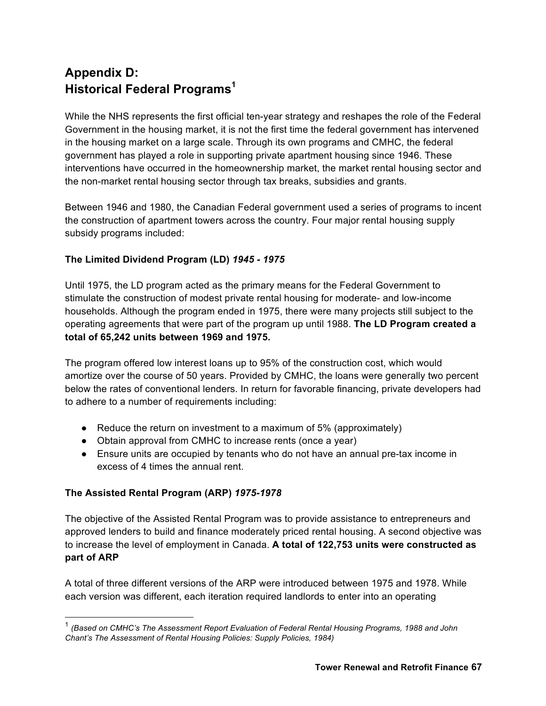# **Appendix D: Historical Federal Programs<sup>1</sup>**

While the NHS represents the first official ten-year strategy and reshapes the role of the Federal Government in the housing market, it is not the first time the federal government has intervened in the housing market on a large scale. Through its own programs and CMHC, the federal government has played a role in supporting private apartment housing since 1946. These interventions have occurred in the homeownership market, the market rental housing sector and the non-market rental housing sector through tax breaks, subsidies and grants.

Between 1946 and 1980, the Canadian Federal government used a series of programs to incent the construction of apartment towers across the country. Four major rental housing supply subsidy programs included:

# **The Limited Dividend Program (LD)** *1945 - 1975*

Until 1975, the LD program acted as the primary means for the Federal Government to stimulate the construction of modest private rental housing for moderate- and low-income households. Although the program ended in 1975, there were many projects still subject to the operating agreements that were part of the program up until 1988. **The LD Program created a total of 65,242 units between 1969 and 1975.**

The program offered low interest loans up to 95% of the construction cost, which would amortize over the course of 50 years. Provided by CMHC, the loans were generally two percent below the rates of conventional lenders. In return for favorable financing, private developers had to adhere to a number of requirements including:

- $\bullet$  Reduce the return on investment to a maximum of 5% (approximately)
- Obtain approval from CMHC to increase rents (once a year)
- Ensure units are occupied by tenants who do not have an annual pre-tax income in excess of 4 times the annual rent.

# **The Assisted Rental Program (ARP)** *1975-1978*

The objective of the Assisted Rental Program was to provide assistance to entrepreneurs and approved lenders to build and finance moderately priced rental housing. A second objective was to increase the level of employment in Canada. **A total of 122,753 units were constructed as part of ARP**

A total of three different versions of the ARP were introduced between 1975 and 1978. While each version was different, each iteration required landlords to enter into an operating

 <sup>1</sup> *(Based on CMHC's The Assessment Report Evaluation of Federal Rental Housing Programs, 1988 and John Chant's The Assessment of Rental Housing Policies: Supply Policies, 1984)*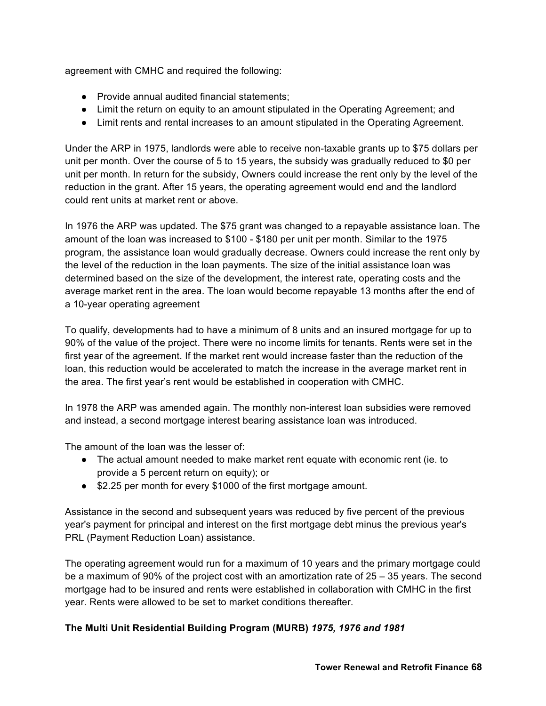agreement with CMHC and required the following:

- Provide annual audited financial statements:
- Limit the return on equity to an amount stipulated in the Operating Agreement; and
- Limit rents and rental increases to an amount stipulated in the Operating Agreement.

Under the ARP in 1975, landlords were able to receive non-taxable grants up to \$75 dollars per unit per month. Over the course of 5 to 15 years, the subsidy was gradually reduced to \$0 per unit per month. In return for the subsidy, Owners could increase the rent only by the level of the reduction in the grant. After 15 years, the operating agreement would end and the landlord could rent units at market rent or above.

In 1976 the ARP was updated. The \$75 grant was changed to a repayable assistance loan. The amount of the loan was increased to \$100 - \$180 per unit per month. Similar to the 1975 program, the assistance loan would gradually decrease. Owners could increase the rent only by the level of the reduction in the loan payments. The size of the initial assistance loan was determined based on the size of the development, the interest rate, operating costs and the average market rent in the area. The loan would become repayable 13 months after the end of a 10-year operating agreement

To qualify, developments had to have a minimum of 8 units and an insured mortgage for up to 90% of the value of the project. There were no income limits for tenants. Rents were set in the first year of the agreement. If the market rent would increase faster than the reduction of the loan, this reduction would be accelerated to match the increase in the average market rent in the area. The first year's rent would be established in cooperation with CMHC.

In 1978 the ARP was amended again. The monthly non-interest loan subsidies were removed and instead, a second mortgage interest bearing assistance loan was introduced.

The amount of the loan was the lesser of:

- The actual amount needed to make market rent equate with economic rent (ie. to provide a 5 percent return on equity); or
- \$2.25 per month for every \$1000 of the first mortgage amount.

Assistance in the second and subsequent years was reduced by five percent of the previous year's payment for principal and interest on the first mortgage debt minus the previous year's PRL (Payment Reduction Loan) assistance.

The operating agreement would run for a maximum of 10 years and the primary mortgage could be a maximum of 90% of the project cost with an amortization rate of 25 – 35 years. The second mortgage had to be insured and rents were established in collaboration with CMHC in the first year. Rents were allowed to be set to market conditions thereafter.

# **The Multi Unit Residential Building Program (MURB)** *1975, 1976 and 1981*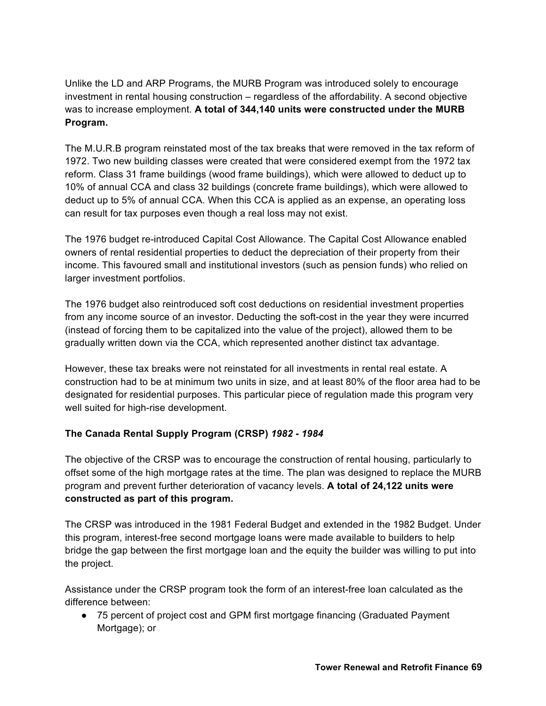Unlike the LD and ARP Programs, the MURB Program was introduced solely to encourage investment in rental housing construction – regardless of the affordability. A second objective was to increase employment. **A total of 344,140 units were constructed under the MURB Program.**

The M.U.R.B program reinstated most of the tax breaks that were removed in the tax reform of 1972. Two new building classes were created that were considered exempt from the 1972 tax reform. Class 31 frame buildings (wood frame buildings), which were allowed to deduct up to 10% of annual CCA and class 32 buildings (concrete frame buildings), which were allowed to deduct up to 5% of annual CCA. When this CCA is applied as an expense, an operating loss can result for tax purposes even though a real loss may not exist.

The 1976 budget re-introduced Capital Cost Allowance. The Capital Cost Allowance enabled owners of rental residential properties to deduct the depreciation of their property from their income. This favoured small and institutional investors (such as pension funds) who relied on larger investment portfolios.

The 1976 budget also reintroduced soft cost deductions on residential investment properties from any income source of an investor. Deducting the soft-cost in the year they were incurred (instead of forcing them to be capitalized into the value of the project), allowed them to be gradually written down via the CCA, which represented another distinct tax advantage.

However, these tax breaks were not reinstated for all investments in rental real estate. A construction had to be at minimum two units in size, and at least 80% of the floor area had to be designated for residential purposes. This particular piece of regulation made this program very well suited for high-rise development.

# **The Canada Rental Supply Program (CRSP)** *1982 - 1984*

The objective of the CRSP was to encourage the construction of rental housing, particularly to offset some of the high mortgage rates at the time. The plan was designed to replace the MURB program and prevent further deterioration of vacancy levels. **A total of 24,122 units were constructed as part of this program.**

The CRSP was introduced in the 1981 Federal Budget and extended in the 1982 Budget. Under this program, interest-free second mortgage loans were made available to builders to help bridge the gap between the first mortgage loan and the equity the builder was willing to put into the project.

Assistance under the CRSP program took the form of an interest-free loan calculated as the difference between:

● 75 percent of project cost and GPM first mortgage financing (Graduated Payment Mortgage); or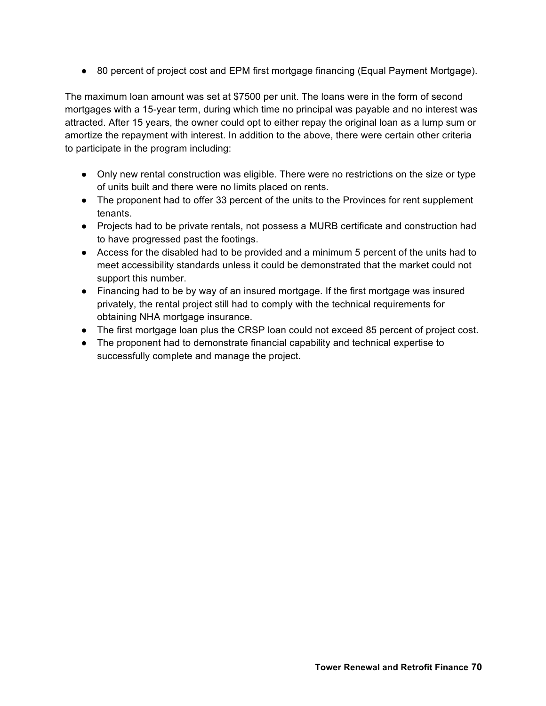● 80 percent of project cost and EPM first mortgage financing (Equal Payment Mortgage).

The maximum loan amount was set at \$7500 per unit. The loans were in the form of second mortgages with a 15-year term, during which time no principal was payable and no interest was attracted. After 15 years, the owner could opt to either repay the original loan as a lump sum or amortize the repayment with interest. In addition to the above, there were certain other criteria to participate in the program including:

- Only new rental construction was eligible. There were no restrictions on the size or type of units built and there were no limits placed on rents.
- The proponent had to offer 33 percent of the units to the Provinces for rent supplement tenants.
- Projects had to be private rentals, not possess a MURB certificate and construction had to have progressed past the footings.
- Access for the disabled had to be provided and a minimum 5 percent of the units had to meet accessibility standards unless it could be demonstrated that the market could not support this number.
- Financing had to be by way of an insured mortgage. If the first mortgage was insured privately, the rental project still had to comply with the technical requirements for obtaining NHA mortgage insurance.
- The first mortgage loan plus the CRSP loan could not exceed 85 percent of project cost.
- The proponent had to demonstrate financial capability and technical expertise to successfully complete and manage the project.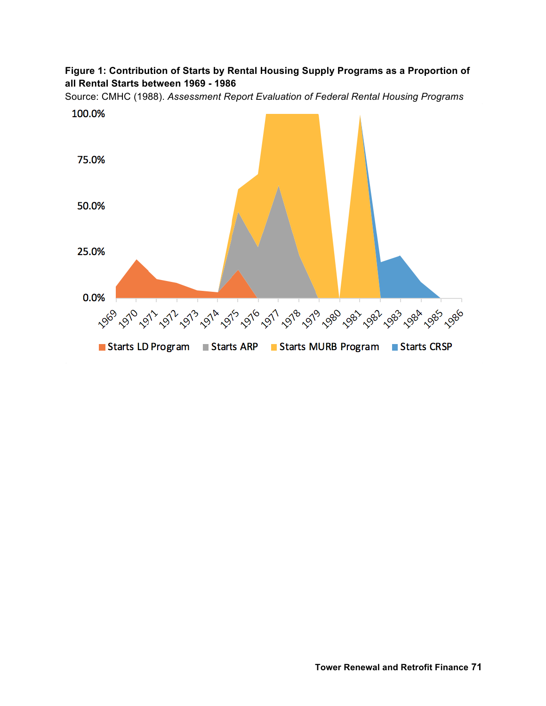# **Figure 1: Contribution of Starts by Rental Housing Supply Programs as a Proportion of all Rental Starts between 1969 - 1986**

Source: CMHC (1988). *Assessment Report Evaluation of Federal Rental Housing Programs*

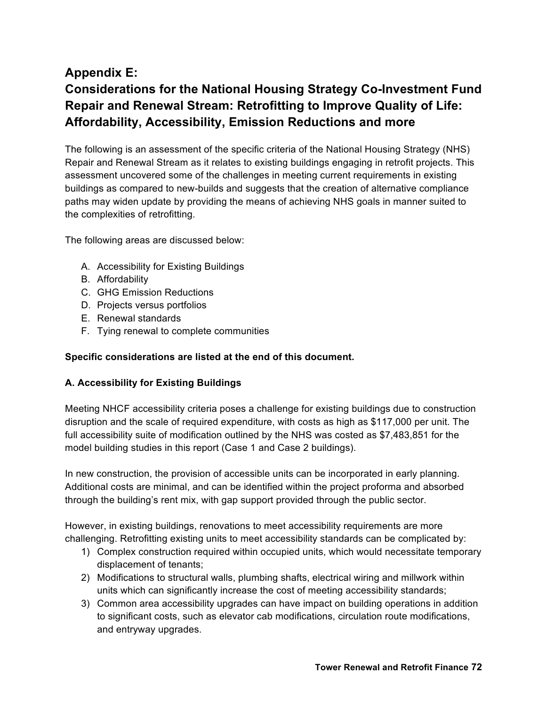# **Appendix E: Considerations for the National Housing Strategy Co-Investment Fund Repair and Renewal Stream: Retrofitting to Improve Quality of Life: Affordability, Accessibility, Emission Reductions and more**

The following is an assessment of the specific criteria of the National Housing Strategy (NHS) Repair and Renewal Stream as it relates to existing buildings engaging in retrofit projects. This assessment uncovered some of the challenges in meeting current requirements in existing buildings as compared to new-builds and suggests that the creation of alternative compliance paths may widen update by providing the means of achieving NHS goals in manner suited to the complexities of retrofitting.

The following areas are discussed below:

- A. Accessibility for Existing Buildings
- B. Affordability
- C. GHG Emission Reductions
- D. Projects versus portfolios
- E. Renewal standards
- F. Tying renewal to complete communities

#### **Specific considerations are listed at the end of this document.**

#### **A. Accessibility for Existing Buildings**

Meeting NHCF accessibility criteria poses a challenge for existing buildings due to construction disruption and the scale of required expenditure, with costs as high as \$117,000 per unit. The full accessibility suite of modification outlined by the NHS was costed as \$7,483,851 for the model building studies in this report (Case 1 and Case 2 buildings).

In new construction, the provision of accessible units can be incorporated in early planning. Additional costs are minimal, and can be identified within the project proforma and absorbed through the building's rent mix, with gap support provided through the public sector.

However, in existing buildings, renovations to meet accessibility requirements are more challenging. Retrofitting existing units to meet accessibility standards can be complicated by:

- 1) Complex construction required within occupied units, which would necessitate temporary displacement of tenants;
- 2) Modifications to structural walls, plumbing shafts, electrical wiring and millwork within units which can significantly increase the cost of meeting accessibility standards;
- 3) Common area accessibility upgrades can have impact on building operations in addition to significant costs, such as elevator cab modifications, circulation route modifications, and entryway upgrades.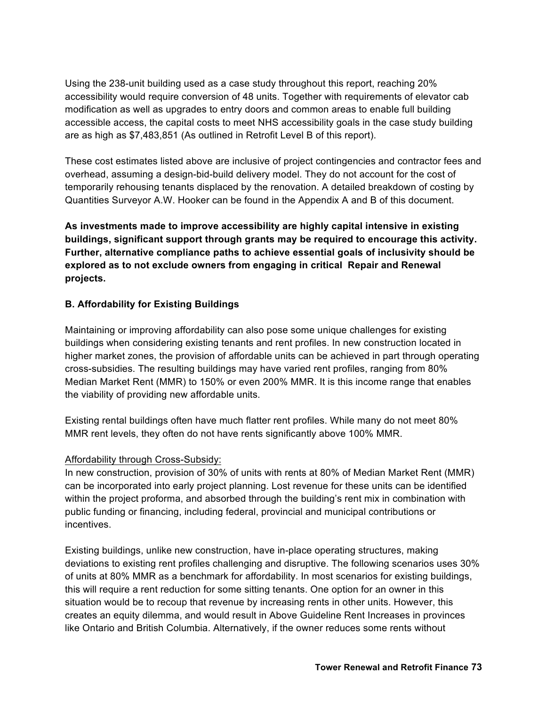Using the 238-unit building used as a case study throughout this report, reaching 20% accessibility would require conversion of 48 units. Together with requirements of elevator cab modification as well as upgrades to entry doors and common areas to enable full building accessible access, the capital costs to meet NHS accessibility goals in the case study building are as high as \$7,483,851 (As outlined in Retrofit Level B of this report).

These cost estimates listed above are inclusive of project contingencies and contractor fees and overhead, assuming a design-bid-build delivery model. They do not account for the cost of temporarily rehousing tenants displaced by the renovation. A detailed breakdown of costing by Quantities Surveyor A.W. Hooker can be found in the Appendix A and B of this document.

**As investments made to improve accessibility are highly capital intensive in existing buildings, significant support through grants may be required to encourage this activity. Further, alternative compliance paths to achieve essential goals of inclusivity should be explored as to not exclude owners from engaging in critical Repair and Renewal projects.**

# **B. Affordability for Existing Buildings**

Maintaining or improving affordability can also pose some unique challenges for existing buildings when considering existing tenants and rent profiles. In new construction located in higher market zones, the provision of affordable units can be achieved in part through operating cross-subsidies. The resulting buildings may have varied rent profiles, ranging from 80% Median Market Rent (MMR) to 150% or even 200% MMR. It is this income range that enables the viability of providing new affordable units.

Existing rental buildings often have much flatter rent profiles. While many do not meet 80% MMR rent levels, they often do not have rents significantly above 100% MMR.

# Affordability through Cross-Subsidy:

In new construction, provision of 30% of units with rents at 80% of Median Market Rent (MMR) can be incorporated into early project planning. Lost revenue for these units can be identified within the project proforma, and absorbed through the building's rent mix in combination with public funding or financing, including federal, provincial and municipal contributions or incentives.

Existing buildings, unlike new construction, have in-place operating structures, making deviations to existing rent profiles challenging and disruptive. The following scenarios uses 30% of units at 80% MMR as a benchmark for affordability. In most scenarios for existing buildings, this will require a rent reduction for some sitting tenants. One option for an owner in this situation would be to recoup that revenue by increasing rents in other units. However, this creates an equity dilemma, and would result in Above Guideline Rent Increases in provinces like Ontario and British Columbia. Alternatively, if the owner reduces some rents without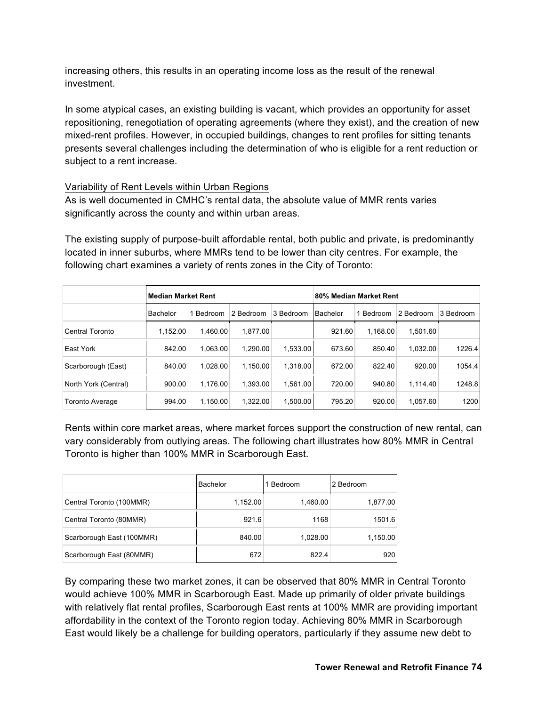increasing others, this results in an operating income loss as the result of the renewal investment.

In some atypical cases, an existing building is vacant, which provides an opportunity for asset repositioning, renegotiation of operating agreements (where they exist), and the creation of new mixed-rent profiles. However, in occupied buildings, changes to rent profiles for sitting tenants presents several challenges including the determination of who is eligible for a rent reduction or subject to a rent increase.

# Variability of Rent Levels within Urban Regions

As is well documented in CMHC's rental data, the absolute value of MMR rents varies significantly across the county and within urban areas.

The existing supply of purpose-built affordable rental, both public and private, is predominantly located in inner suburbs, where MMRs tend to be lower than city centres. For example, the following chart examines a variety of rents zones in the City of Toronto:

|                      | <b>Median Market Rent</b> |          |           | 80% Median Market Rent |          |           |           |           |
|----------------------|---------------------------|----------|-----------|------------------------|----------|-----------|-----------|-----------|
|                      | Bachelor                  | Bedroom  | 2 Bedroom | 3 Bedroom              | Bachelor | 1 Bedroom | 2 Bedroom | 3 Bedroom |
| Central Toronto      | 1.152.00                  | 1.460.00 | 1.877.00  |                        | 921.60   | 1.168.00  | 1.501.60  |           |
| East York            | 842.00                    | 1.063.00 | 1.290.00  | 1.533.00               | 673.60   | 850.40    | 1,032.00  | 1226.4    |
| Scarborough (East)   | 840.00                    | 1.028.00 | 1.150.00  | 1.318.00               | 672.00   | 822.40    | 920.00    | 1054.4    |
| North York (Central) | 900.00                    | 1.176.00 | 1.393.00  | 1,561.00               | 720.00   | 940.80    | 1,114.40  | 1248.8    |
| Toronto Average      | 994.00                    | 1.150.00 | 1.322.00  | 1,500.00               | 795.20   | 920.00    | 1,057.60  | 1200      |

Rents within core market areas, where market forces support the construction of new rental, can vary considerably from outlying areas. The following chart illustrates how 80% MMR in Central Toronto is higher than 100% MMR in Scarborough East.

|                           | <b>Bachelor</b> | Bedroom  | 2 Bedroom |
|---------------------------|-----------------|----------|-----------|
| Central Toronto (100MMR)  | 1,152.00        | 1,460.00 | 1,877.00  |
| Central Toronto (80MMR)   | 921.6           | 1168     | 1501.6    |
| Scarborough East (100MMR) | 840.00          | 1,028.00 | 1,150.00  |
| Scarborough East (80MMR)  | 672             | 822.4    | 920       |

By comparing these two market zones, it can be observed that 80% MMR in Central Toronto would achieve 100% MMR in Scarborough East. Made up primarily of older private buildings with relatively flat rental profiles, Scarborough East rents at 100% MMR are providing important affordability in the context of the Toronto region today. Achieving 80% MMR in Scarborough East would likely be a challenge for building operators, particularly if they assume new debt to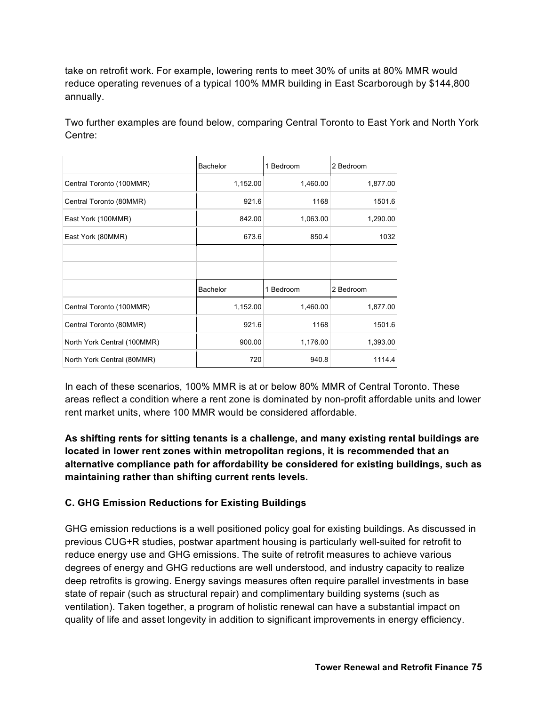take on retrofit work. For example, lowering rents to meet 30% of units at 80% MMR would reduce operating revenues of a typical 100% MMR building in East Scarborough by \$144,800 annually.

Two further examples are found below, comparing Central Toronto to East York and North York Centre:

|                             | Bachelor | 1 Bedroom | 2 Bedroom |
|-----------------------------|----------|-----------|-----------|
| Central Toronto (100MMR)    | 1,152.00 | 1,460.00  | 1,877.00  |
| Central Toronto (80MMR)     | 921.6    | 1168      | 1501.6    |
| East York (100MMR)          | 842.00   | 1,063.00  | 1,290.00  |
| East York (80MMR)           | 673.6    | 850.4     | 1032      |
|                             |          |           |           |
|                             |          |           |           |
|                             | Bachelor | 1 Bedroom | 2 Bedroom |
| Central Toronto (100MMR)    | 1,152.00 | 1,460.00  | 1,877.00  |
| Central Toronto (80MMR)     | 921.6    | 1168      | 1501.6    |
| North York Central (100MMR) | 900.00   | 1,176.00  | 1,393.00  |
| North York Central (80MMR)  | 720      | 940.8     | 1114.4    |

In each of these scenarios, 100% MMR is at or below 80% MMR of Central Toronto. These areas reflect a condition where a rent zone is dominated by non-profit affordable units and lower rent market units, where 100 MMR would be considered affordable.

# **As shifting rents for sitting tenants is a challenge, and many existing rental buildings are located in lower rent zones within metropolitan regions, it is recommended that an alternative compliance path for affordability be considered for existing buildings, such as maintaining rather than shifting current rents levels.**

# **C. GHG Emission Reductions for Existing Buildings**

GHG emission reductions is a well positioned policy goal for existing buildings. As discussed in previous CUG+R studies, postwar apartment housing is particularly well-suited for retrofit to reduce energy use and GHG emissions. The suite of retrofit measures to achieve various degrees of energy and GHG reductions are well understood, and industry capacity to realize deep retrofits is growing. Energy savings measures often require parallel investments in base state of repair (such as structural repair) and complimentary building systems (such as ventilation). Taken together, a program of holistic renewal can have a substantial impact on quality of life and asset longevity in addition to significant improvements in energy efficiency.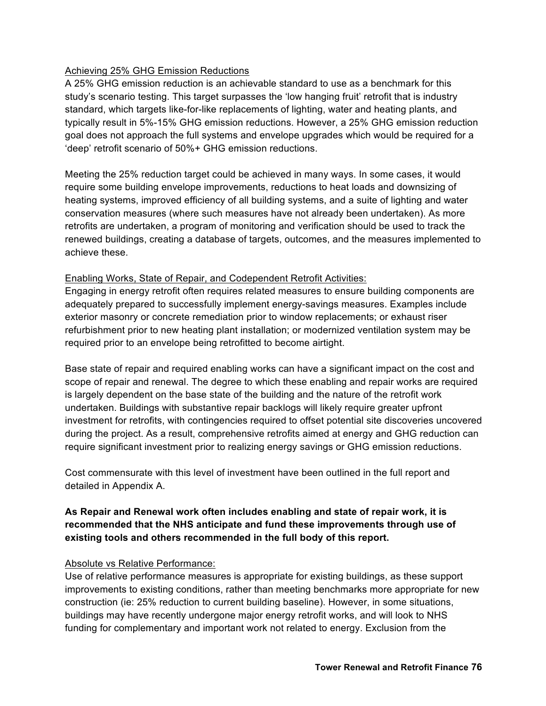# Achieving 25% GHG Emission Reductions

A 25% GHG emission reduction is an achievable standard to use as a benchmark for this study's scenario testing. This target surpasses the 'low hanging fruit' retrofit that is industry standard, which targets like-for-like replacements of lighting, water and heating plants, and typically result in 5%-15% GHG emission reductions. However, a 25% GHG emission reduction goal does not approach the full systems and envelope upgrades which would be required for a 'deep' retrofit scenario of 50%+ GHG emission reductions.

Meeting the 25% reduction target could be achieved in many ways. In some cases, it would require some building envelope improvements, reductions to heat loads and downsizing of heating systems, improved efficiency of all building systems, and a suite of lighting and water conservation measures (where such measures have not already been undertaken). As more retrofits are undertaken, a program of monitoring and verification should be used to track the renewed buildings, creating a database of targets, outcomes, and the measures implemented to achieve these.

## Enabling Works, State of Repair, and Codependent Retrofit Activities:

Engaging in energy retrofit often requires related measures to ensure building components are adequately prepared to successfully implement energy-savings measures. Examples include exterior masonry or concrete remediation prior to window replacements; or exhaust riser refurbishment prior to new heating plant installation; or modernized ventilation system may be required prior to an envelope being retrofitted to become airtight.

Base state of repair and required enabling works can have a significant impact on the cost and scope of repair and renewal. The degree to which these enabling and repair works are required is largely dependent on the base state of the building and the nature of the retrofit work undertaken. Buildings with substantive repair backlogs will likely require greater upfront investment for retrofits, with contingencies required to offset potential site discoveries uncovered during the project. As a result, comprehensive retrofits aimed at energy and GHG reduction can require significant investment prior to realizing energy savings or GHG emission reductions.

Cost commensurate with this level of investment have been outlined in the full report and detailed in Appendix A.

# **As Repair and Renewal work often includes enabling and state of repair work, it is recommended that the NHS anticipate and fund these improvements through use of existing tools and others recommended in the full body of this report.**

## Absolute vs Relative Performance:

Use of relative performance measures is appropriate for existing buildings, as these support improvements to existing conditions, rather than meeting benchmarks more appropriate for new construction (ie: 25% reduction to current building baseline). However, in some situations, buildings may have recently undergone major energy retrofit works, and will look to NHS funding for complementary and important work not related to energy. Exclusion from the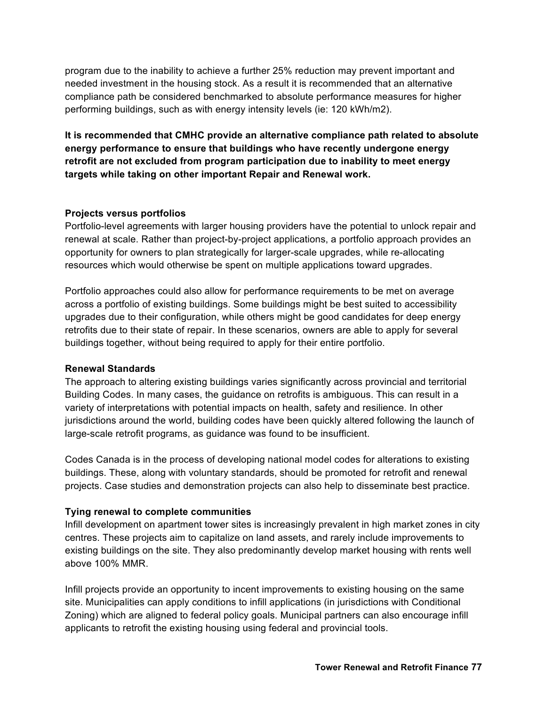program due to the inability to achieve a further 25% reduction may prevent important and needed investment in the housing stock. As a result it is recommended that an alternative compliance path be considered benchmarked to absolute performance measures for higher performing buildings, such as with energy intensity levels (ie: 120 kWh/m2).

**It is recommended that CMHC provide an alternative compliance path related to absolute energy performance to ensure that buildings who have recently undergone energy retrofit are not excluded from program participation due to inability to meet energy targets while taking on other important Repair and Renewal work.** 

## **Projects versus portfolios**

Portfolio-level agreements with larger housing providers have the potential to unlock repair and renewal at scale. Rather than project-by-project applications, a portfolio approach provides an opportunity for owners to plan strategically for larger-scale upgrades, while re-allocating resources which would otherwise be spent on multiple applications toward upgrades.

Portfolio approaches could also allow for performance requirements to be met on average across a portfolio of existing buildings. Some buildings might be best suited to accessibility upgrades due to their configuration, while others might be good candidates for deep energy retrofits due to their state of repair. In these scenarios, owners are able to apply for several buildings together, without being required to apply for their entire portfolio.

#### **Renewal Standards**

The approach to altering existing buildings varies significantly across provincial and territorial Building Codes. In many cases, the guidance on retrofits is ambiguous. This can result in a variety of interpretations with potential impacts on health, safety and resilience. In other jurisdictions around the world, building codes have been quickly altered following the launch of large-scale retrofit programs, as guidance was found to be insufficient.

Codes Canada is in the process of developing national model codes for alterations to existing buildings. These, along with voluntary standards, should be promoted for retrofit and renewal projects. Case studies and demonstration projects can also help to disseminate best practice.

## **Tying renewal to complete communities**

Infill development on apartment tower sites is increasingly prevalent in high market zones in city centres. These projects aim to capitalize on land assets, and rarely include improvements to existing buildings on the site. They also predominantly develop market housing with rents well above 100% MMR.

Infill projects provide an opportunity to incent improvements to existing housing on the same site. Municipalities can apply conditions to infill applications (in jurisdictions with Conditional Zoning) which are aligned to federal policy goals. Municipal partners can also encourage infill applicants to retrofit the existing housing using federal and provincial tools.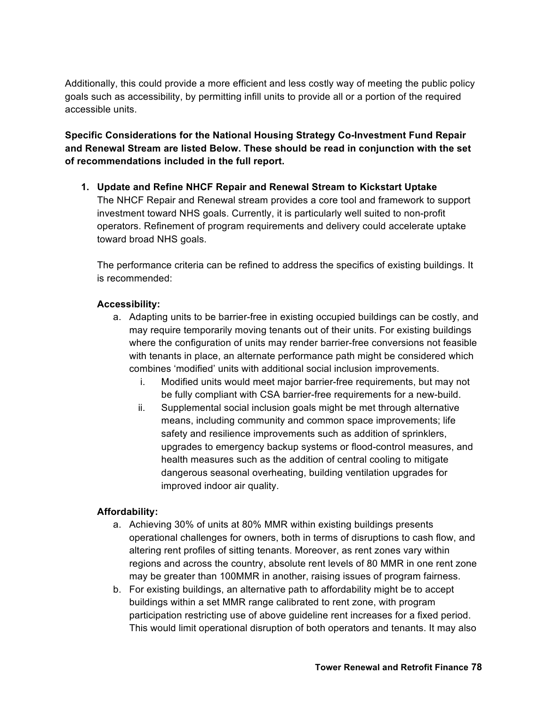Additionally, this could provide a more efficient and less costly way of meeting the public policy goals such as accessibility, by permitting infill units to provide all or a portion of the required accessible units.

**Specific Considerations for the National Housing Strategy Co-Investment Fund Repair and Renewal Stream are listed Below. These should be read in conjunction with the set of recommendations included in the full report.**

**1. Update and Refine NHCF Repair and Renewal Stream to Kickstart Uptake** The NHCF Repair and Renewal stream provides a core tool and framework to support investment toward NHS goals. Currently, it is particularly well suited to non-profit operators. Refinement of program requirements and delivery could accelerate uptake toward broad NHS goals.

The performance criteria can be refined to address the specifics of existing buildings. It is recommended:

# **Accessibility:**

- a. Adapting units to be barrier-free in existing occupied buildings can be costly, and may require temporarily moving tenants out of their units. For existing buildings where the configuration of units may render barrier-free conversions not feasible with tenants in place, an alternate performance path might be considered which combines 'modified' units with additional social inclusion improvements.
	- i. Modified units would meet major barrier-free requirements, but may not be fully compliant with CSA barrier-free requirements for a new-build.
	- ii. Supplemental social inclusion goals might be met through alternative means, including community and common space improvements; life safety and resilience improvements such as addition of sprinklers, upgrades to emergency backup systems or flood-control measures, and health measures such as the addition of central cooling to mitigate dangerous seasonal overheating, building ventilation upgrades for improved indoor air quality.

## **Affordability:**

- a. Achieving 30% of units at 80% MMR within existing buildings presents operational challenges for owners, both in terms of disruptions to cash flow, and altering rent profiles of sitting tenants. Moreover, as rent zones vary within regions and across the country, absolute rent levels of 80 MMR in one rent zone may be greater than 100MMR in another, raising issues of program fairness.
- b. For existing buildings, an alternative path to affordability might be to accept buildings within a set MMR range calibrated to rent zone, with program participation restricting use of above guideline rent increases for a fixed period. This would limit operational disruption of both operators and tenants. It may also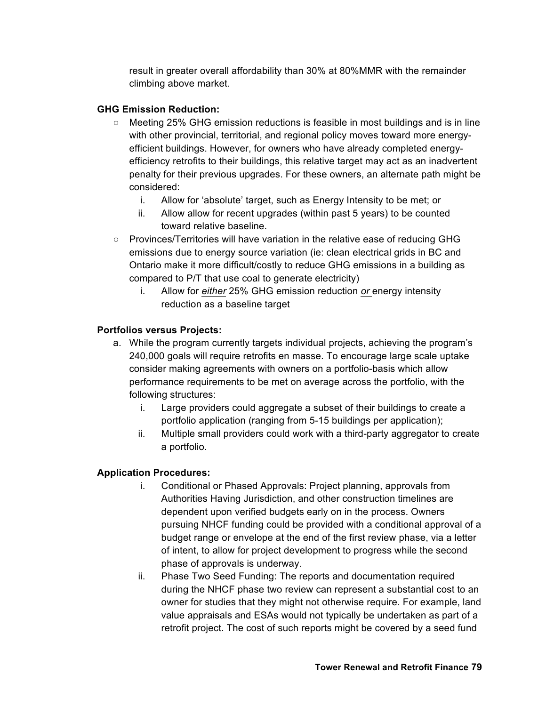result in greater overall affordability than 30% at 80%MMR with the remainder climbing above market.

## **GHG Emission Reduction:**

- Meeting 25% GHG emission reductions is feasible in most buildings and is in line with other provincial, territorial, and regional policy moves toward more energyefficient buildings. However, for owners who have already completed energyefficiency retrofits to their buildings, this relative target may act as an inadvertent penalty for their previous upgrades. For these owners, an alternate path might be considered:
	- i. Allow for 'absolute' target, such as Energy Intensity to be met; or
	- ii. Allow allow for recent upgrades (within past 5 years) to be counted toward relative baseline.
- Provinces/Territories will have variation in the relative ease of reducing GHG emissions due to energy source variation (ie: clean electrical grids in BC and Ontario make it more difficult/costly to reduce GHG emissions in a building as compared to P/T that use coal to generate electricity)
	- i. Allow for *either* 25% GHG emission reduction *or* energy intensity reduction as a baseline target

#### **Portfolios versus Projects:**

- a. While the program currently targets individual projects, achieving the program's 240,000 goals will require retrofits en masse. To encourage large scale uptake consider making agreements with owners on a portfolio-basis which allow performance requirements to be met on average across the portfolio, with the following structures:
	- i. Large providers could aggregate a subset of their buildings to create a portfolio application (ranging from 5-15 buildings per application);
	- ii. Multiple small providers could work with a third-party aggregator to create a portfolio.

#### **Application Procedures:**

- i. Conditional or Phased Approvals: Project planning, approvals from Authorities Having Jurisdiction, and other construction timelines are dependent upon verified budgets early on in the process. Owners pursuing NHCF funding could be provided with a conditional approval of a budget range or envelope at the end of the first review phase, via a letter of intent, to allow for project development to progress while the second phase of approvals is underway.
- ii. Phase Two Seed Funding: The reports and documentation required during the NHCF phase two review can represent a substantial cost to an owner for studies that they might not otherwise require. For example, land value appraisals and ESAs would not typically be undertaken as part of a retrofit project. The cost of such reports might be covered by a seed fund